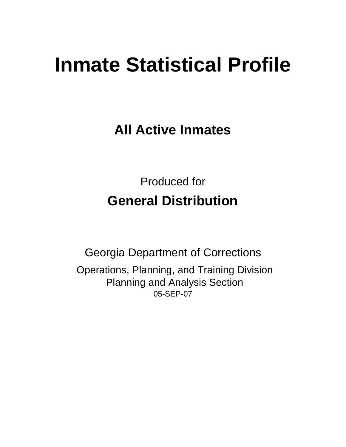# **Inmate Statistical Profile**

**All Active Inmates**

Produced for **General Distribution**

05-SEP-07 Georgia Department of Corrections Operations, Planning, and Training Division Planning and Analysis Section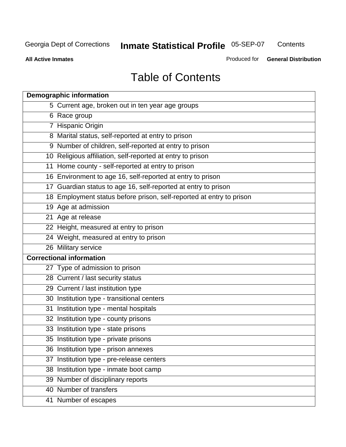**Contents** 

**All Active Inmates**

Produced for **General Distribution**

# Table of Contents

| <b>Demographic information</b>                                       |  |
|----------------------------------------------------------------------|--|
| 5 Current age, broken out in ten year age groups                     |  |
| 6 Race group                                                         |  |
| 7 Hispanic Origin                                                    |  |
| 8 Marital status, self-reported at entry to prison                   |  |
| 9 Number of children, self-reported at entry to prison               |  |
| 10 Religious affiliation, self-reported at entry to prison           |  |
| 11 Home county - self-reported at entry to prison                    |  |
| 16 Environment to age 16, self-reported at entry to prison           |  |
| 17 Guardian status to age 16, self-reported at entry to prison       |  |
| 18 Employment status before prison, self-reported at entry to prison |  |
| 19 Age at admission                                                  |  |
| 21 Age at release                                                    |  |
| 22 Height, measured at entry to prison                               |  |
| 24 Weight, measured at entry to prison                               |  |
| 26 Military service                                                  |  |
| <b>Correctional information</b>                                      |  |
| 27 Type of admission to prison                                       |  |
| 28 Current / last security status                                    |  |
| 29 Current / last institution type                                   |  |
| 30 Institution type - transitional centers                           |  |
| Institution type - mental hospitals<br>31                            |  |
| 32 Institution type - county prisons                                 |  |
| 33 Institution type - state prisons                                  |  |
| 35 Institution type - private prisons                                |  |
| 36 Institution type - prison annexes                                 |  |
| Institution type - pre-release centers<br>37                         |  |
| 38 Institution type - inmate boot camp                               |  |
| 39 Number of disciplinary reports                                    |  |
| 40 Number of transfers                                               |  |
| 41 Number of escapes                                                 |  |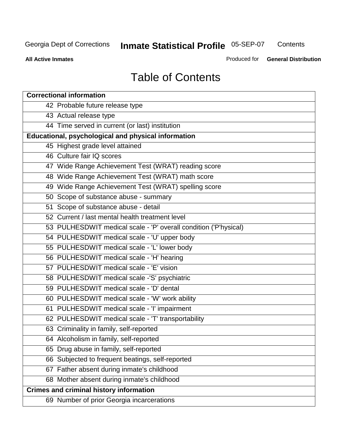**Contents** 

**All Active Inmates**

Produced for **General Distribution**

# Table of Contents

| <b>Correctional information</b>                                  |
|------------------------------------------------------------------|
| 42 Probable future release type                                  |
| 43 Actual release type                                           |
| 44 Time served in current (or last) institution                  |
| Educational, psychological and physical information              |
| 45 Highest grade level attained                                  |
| 46 Culture fair IQ scores                                        |
| 47 Wide Range Achievement Test (WRAT) reading score              |
| 48 Wide Range Achievement Test (WRAT) math score                 |
| 49 Wide Range Achievement Test (WRAT) spelling score             |
| 50 Scope of substance abuse - summary                            |
| 51 Scope of substance abuse - detail                             |
| 52 Current / last mental health treatment level                  |
| 53 PULHESDWIT medical scale - 'P' overall condition ('P'hysical) |
| 54 PULHESDWIT medical scale - 'U' upper body                     |
| 55 PULHESDWIT medical scale - 'L' lower body                     |
| 56 PULHESDWIT medical scale - 'H' hearing                        |
| 57 PULHESDWIT medical scale - 'E' vision                         |
| 58 PULHESDWIT medical scale -'S' psychiatric                     |
| 59 PULHESDWIT medical scale - 'D' dental                         |
| 60 PULHESDWIT medical scale - 'W' work ability                   |
| 61 PULHESDWIT medical scale - 'I' impairment                     |
| 62 PULHESDWIT medical scale - 'T' transportability               |
| 63 Criminality in family, self-reported                          |
| 64 Alcoholism in family, self-reported                           |
| 65 Drug abuse in family, self-reported                           |
| 66 Subjected to frequent beatings, self-reported                 |
| 67 Father absent during inmate's childhood                       |
| 68 Mother absent during inmate's childhood                       |
| <b>Crimes and criminal history information</b>                   |
| 69 Number of prior Georgia incarcerations                        |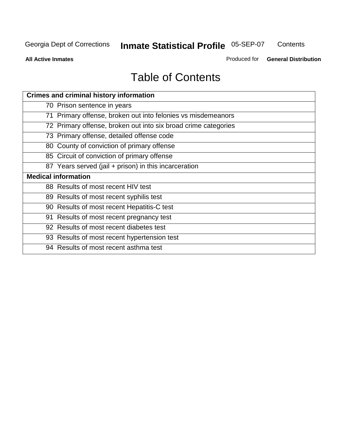**Contents** 

**All Active Inmates**

Produced for **General Distribution**

# Table of Contents

| <b>Crimes and criminal history information</b>                 |
|----------------------------------------------------------------|
| 70 Prison sentence in years                                    |
| 71 Primary offense, broken out into felonies vs misdemeanors   |
| 72 Primary offense, broken out into six broad crime categories |
| 73 Primary offense, detailed offense code                      |
| 80 County of conviction of primary offense                     |
| 85 Circuit of conviction of primary offense                    |
| 87 Years served (jail + prison) in this incarceration          |
| <b>Medical information</b>                                     |
| 88 Results of most recent HIV test                             |
| 89 Results of most recent syphilis test                        |
| 90 Results of most recent Hepatitis-C test                     |
| 91 Results of most recent pregnancy test                       |
| 92 Results of most recent diabetes test                        |
| 93 Results of most recent hypertension test                    |
| 94 Results of most recent asthma test                          |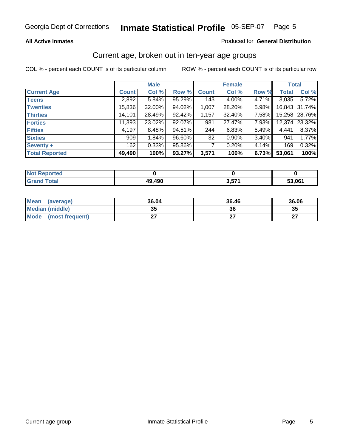#### **All Active Inmates**

#### Produced for **General Distribution**

#### Current age, broken out in ten-year age groups

|                       |              | <b>Male</b> |        |              | <b>Female</b> |       | <b>Total</b> |               |
|-----------------------|--------------|-------------|--------|--------------|---------------|-------|--------------|---------------|
| <b>Current Age</b>    | <b>Count</b> | Col %       | Row %  | <b>Count</b> | Col %         | Row % | <b>Total</b> | Col %         |
| <b>Teens</b>          | 2,892        | $5.84\%$    | 95.29% | 143          | 4.00%         | 4.71% | 3,035        | 5.72%         |
| <b>Twenties</b>       | 15,836       | 32.00%      | 94.02% | 1,007        | 28.20%        | 5.98% |              | 16,843 31.74% |
| <b>Thirties</b>       | 14,101       | 28.49%      | 92.42% | 1,157        | 32.40%        | 7.58% |              | 15,258 28.76% |
| <b>Forties</b>        | 11,393       | 23.02%      | 92.07% | 981          | 27.47%        | 7.93% |              | 12,374 23.32% |
| <b>Fifties</b>        | 4,197        | 8.48%       | 94.51% | 244          | 6.83%         | 5.49% | 4,441        | 8.37%         |
| <b>Sixties</b>        | 909          | 1.84%       | 96.60% | 32           | 0.90%         | 3.40% | 941          | 1.77%         |
| Seventy +             | 162          | 0.33%       | 95.86% |              | 0.20%         | 4.14% | 169          | 0.32%         |
| <b>Total Reported</b> | 49,490       | 100%        | 93.27% | 3,571        | 100%          | 6.73% | 53,061       | 100%          |

| <b>Not Reported</b> |        |            |       |
|---------------------|--------|------------|-------|
| <b>Total</b>        | 49,490 | <b>E74</b> | 53,06 |

| <b>Mean</b><br>(average) | 36.04     | 36.46 | 36.06     |
|--------------------------|-----------|-------|-----------|
| Median (middle)          | 25<br>JJ. | 36    | 35        |
| Mode<br>(most frequent)  |           |       | ^7<br>. . |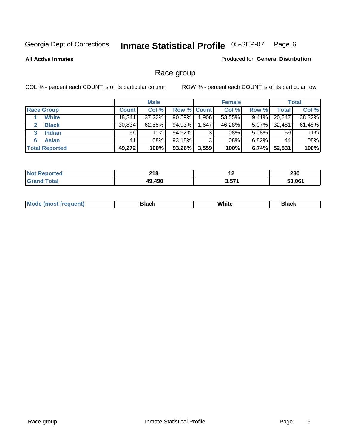#### **All Active Inmates**

#### Produced for **General Distribution**

### Race group

|                       |              | <b>Male</b> |                    |       | <b>Female</b> |          |        | <b>Total</b> |
|-----------------------|--------------|-------------|--------------------|-------|---------------|----------|--------|--------------|
| <b>Race Group</b>     | <b>Count</b> | Col %       | <b>Row % Count</b> |       | Col %         | Row %    | Total  | Col %        |
| <b>White</b>          | 18.341       | 37.22%      | $90.59\%$          | 1,906 | 53.55%        | $9.41\%$ | 20,247 | 38.32%       |
| <b>Black</b>          | 30,834       | 62.58%      | 94.93%             | .647  | 46.28%        | 5.07%    | 32,481 | 61.48%       |
| <b>Indian</b>         | 56           | $.11\%$     | 94.92%             | 3     | $.08\%$       | $5.08\%$ | 59     | $.11\%$      |
| <b>Asian</b><br>6     | 41           | .08%        | 93.18%             | 3     | .08%          | $6.82\%$ | 44     | .08%         |
| <b>Total Reported</b> | 49,272       | 100%        | 93.26%             | 3,559 | 100%          | 6.74%    | 52,831 | 100%         |

| ົາ 4 ດ<br><b>ZIO</b> | $\sim$ | <b>000</b><br>ZJU |
|----------------------|--------|-------------------|
| AOC.<br>10           | 3.571  | 53.061            |

| $ -$ | White<br>Mc<br>DIACK<br>nacn |  |
|------|------------------------------|--|
|------|------------------------------|--|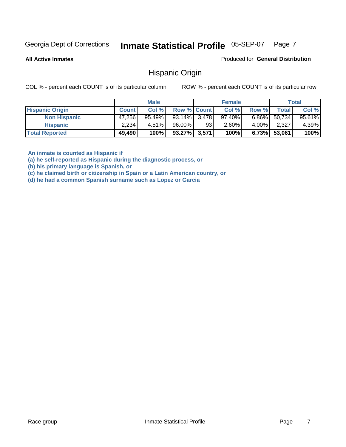**All Active Inmates**

Produced for **General Distribution**

#### Hispanic Origin

COL % - percent each COUNT is of its particular column ROW % - percent each COUNT is of its particular row

|                        |              | <b>Male</b> |                    |    | <b>Female</b> |          |        | <b>Total</b> |
|------------------------|--------------|-------------|--------------------|----|---------------|----------|--------|--------------|
| <b>Hispanic Origin</b> | <b>Count</b> | Col %       | <b>Row % Count</b> |    | Col %         | Row %    | Total  | Col %        |
| <b>Non Hispanic</b>    | 47,256       | $95.49\%$   | 93.14% 3,478       |    | $97.40\%$     | $6.86\%$ | 50,734 | 95.61%       |
| <b>Hispanic</b>        | 2,234        | $4.51\%$    | 96.00%             | 93 | 2.60%         | $4.00\%$ | 2,327  | 4.39%        |
| <b>Total Reported</b>  | 49,490       | 100%        | 93.27% 3,571       |    | 100%          | 6.73%    | 53,061 | 100%         |

**An inmate is counted as Hispanic if** 

**(a) he self-reported as Hispanic during the diagnostic process, or** 

**(b) his primary language is Spanish, or** 

**(c) he claimed birth or citizenship in Spain or a Latin American country, or** 

**(d) he had a common Spanish surname such as Lopez or Garcia**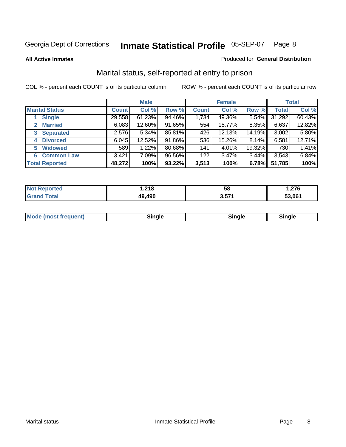**All Active Inmates**

#### Produced for **General Distribution**

### Marital status, self-reported at entry to prison

|                                  |              | <b>Male</b> |        |              | <b>Female</b> |          |              | <b>Total</b> |
|----------------------------------|--------------|-------------|--------|--------------|---------------|----------|--------------|--------------|
| <b>Marital Status</b>            | <b>Count</b> | Col %       | Row %  | <b>Count</b> | Col %         | Row %    | <b>Total</b> | Col %        |
| <b>Single</b>                    | 29,558       | $61.23\%$   | 94.46% | 1,734        | 49.36%        | $5.54\%$ | 31,292       | 60.43%       |
| <b>Married</b><br>$\mathbf{2}^-$ | 6,083        | 12.60%      | 91.65% | 554          | 15.77%        | 8.35%    | 6,637        | 12.82%       |
| <b>Separated</b><br>3            | 2,576        | 5.34%       | 85.81% | 426          | 12.13%        | 14.19%   | 3,002        | 5.80%        |
| <b>Divorced</b><br>4             | 6,045        | 12.52%      | 91.86% | 536          | 15.26%        | 8.14%    | 6,581        | 12.71%       |
| <b>Widowed</b><br>5              | 589          | 1.22%       | 80.68% | 141          | 4.01%         | 19.32%   | 730          | 1.41%        |
| <b>Common Law</b><br>6.          | 3,421        | 7.09%       | 96.56% | 122          | 3.47%         | 3.44%    | 3,543        | 6.84%        |
| <b>Total Reported</b>            | 48,272       | 100%        | 93.22% | 3,513        | 100%          | 6.78%    | 51,785       | 100%         |

|        | 240<br>. וט | - -<br>၁၀    | 276    |
|--------|-------------|--------------|--------|
| ______ | 49.490      | 2.57.<br>J.J | 53.061 |

|  | Mode (most f<br>freauent) | `ınale |  | `inale |
|--|---------------------------|--------|--|--------|
|--|---------------------------|--------|--|--------|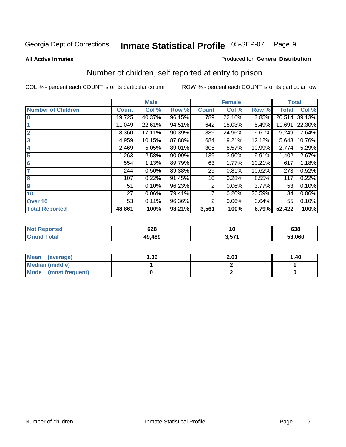#### **All Active Inmates**

#### Produced for **General Distribution**

# Number of children, self reported at entry to prison

|                           | <b>Male</b>  |        |        |              | <b>Female</b> |        | <b>Total</b> |        |
|---------------------------|--------------|--------|--------|--------------|---------------|--------|--------------|--------|
| <b>Number of Children</b> | <b>Count</b> | Col %  | Row %  | <b>Count</b> | Col %         | Row %  | <b>Total</b> | Col %  |
| $\bf{0}$                  | 19,725       | 40.37% | 96.15% | 789          | 22.16%        | 3.85%  | 20,514       | 39.13% |
|                           | 11,049       | 22.61% | 94.51% | 642          | 18.03%        | 5.49%  | 11,691       | 22.30% |
| $\overline{2}$            | 8,360        | 17.11% | 90.39% | 889          | 24.96%        | 9.61%  | 9,249        | 17.64% |
| 3                         | 4,959        | 10.15% | 87.88% | 684          | 19.21%        | 12.12% | 5,643        | 10.76% |
| 4                         | 2,469        | 5.05%  | 89.01% | 305          | 8.57%         | 10.99% | 2,774        | 5.29%  |
| 5                         | 1,263        | 2.58%  | 90.09% | 139          | 3.90%         | 9.91%  | 1,402        | 2.67%  |
| $6\phantom{a}$            | 554          | 1.13%  | 89.79% | 63           | 1.77%         | 10.21% | 617          | 1.18%  |
| 7                         | 244          | 0.50%  | 89.38% | 29           | 0.81%         | 10.62% | 273          | 0.52%  |
| 8                         | 107          | 0.22%  | 91.45% | 10           | 0.28%         | 8.55%  | 117          | 0.22%  |
| 9                         | 51           | 0.10%  | 96.23% | 2            | 0.06%         | 3.77%  | 53           | 0.10%  |
| 10                        | 27           | 0.06%  | 79.41% | 7            | 0.20%         | 20.59% | 34           | 0.06%  |
| Over 10                   | 53           | 0.11%  | 96.36% | 2            | 0.06%         | 3.64%  | 55           | 0.10%  |
| <b>Total Reported</b>     | 48,861       | 100%   | 93.21% | 3,561        | 100%          | 6.79%  | 52,422       | 100%   |

| . | 628       | $\sim$                | 638    |
|---|-----------|-----------------------|--------|
|   | 100<br>юь | <b>E74</b><br><u></u> | 53,060 |

| <b>Mean</b><br>(average) | 1.36 | 2.01 | 1.40 |
|--------------------------|------|------|------|
| <b>Median (middle)</b>   |      |      |      |
| Mode<br>(most frequent)  |      |      |      |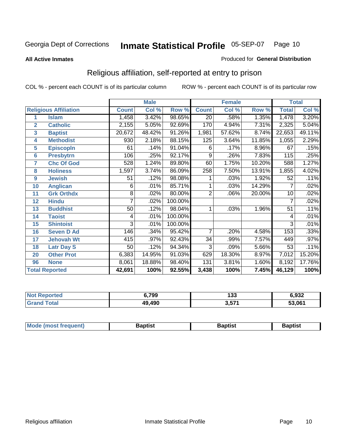#### **All Active Inmates**

#### Produced for **General Distribution**

# Religious affiliation, self-reported at entry to prison

|                  | <b>Male</b>                  |                 |        |         | <b>Female</b>   |        |        | <b>Total</b>    |        |
|------------------|------------------------------|-----------------|--------|---------|-----------------|--------|--------|-----------------|--------|
|                  | <b>Religious Affiliation</b> | <b>Count</b>    | Col %  | Row %   | <b>Count</b>    | Col %  | Row %  | <b>Total</b>    | Col %  |
| 1                | <b>Islam</b>                 | 1,458           | 3.42%  | 98.65%  | $\overline{20}$ | .58%   | 1.35%  | 1,478           | 3.20%  |
| $\overline{2}$   | <b>Catholic</b>              | 2,155           | 5.05%  | 92.69%  | 170             | 4.94%  | 7.31%  | 2,325           | 5.04%  |
| $\mathbf{3}$     | <b>Baptist</b>               | 20,672          | 48.42% | 91.26%  | 1,981           | 57.62% | 8.74%  | 22,653          | 49.11% |
| 4                | <b>Methodist</b>             | 930             | 2.18%  | 88.15%  | 125             | 3.64%  | 11.85% | 1,055           | 2.29%  |
| 5                | <b>EpiscopIn</b>             | 61              | .14%   | 91.04%  | 6               | .17%   | 8.96%  | 67              | .15%   |
| 6                | <b>Presbytrn</b>             | 106             | .25%   | 92.17%  | 9               | .26%   | 7.83%  | 115             | .25%   |
| 7                | <b>Chc Of God</b>            | 528             | 1.24%  | 89.80%  | 60              | 1.75%  | 10.20% | 588             | 1.27%  |
| 8                | <b>Holiness</b>              | 1,597           | 3.74%  | 86.09%  | 258             | 7.50%  | 13.91% | 1,855           | 4.02%  |
| $\boldsymbol{9}$ | <b>Jewish</b>                | 51              | .12%   | 98.08%  |                 | .03%   | 1.92%  | 52              | .11%   |
| 10               | <b>Anglican</b>              | 6               | .01%   | 85.71%  |                 | .03%   | 14.29% | 7               | .02%   |
| 11               | <b>Grk Orthdx</b>            | 8               | .02%   | 80.00%  | $\overline{2}$  | .06%   | 20.00% | 10              | .02%   |
| 12               | <b>Hindu</b>                 | 7               | .02%   | 100.00% |                 |        |        | 7               | .02%   |
| 13               | <b>Buddhist</b>              | $\overline{50}$ | .12%   | 98.04%  | 1               | .03%   | 1.96%  | $\overline{51}$ | .11%   |
| 14               | <b>Taoist</b>                | 4               | .01%   | 100.00% |                 |        |        | 4               | .01%   |
| 15               | <b>Shintoist</b>             | 3               | .01%   | 100.00% |                 |        |        | 3               | .01%   |
| 16               | <b>Seven D Ad</b>            | 146             | .34%   | 95.42%  | 7               | .20%   | 4.58%  | 153             | .33%   |
| 17               | <b>Jehovah Wt</b>            | 415             | .97%   | 92.43%  | 34              | .99%   | 7.57%  | 449             | .97%   |
| 18               | <b>Latr Day S</b>            | 50              | .12%   | 94.34%  | $\overline{3}$  | .09%   | 5.66%  | $\overline{53}$ | .11%   |
| 20               | <b>Other Prot</b>            | 6,383           | 14.95% | 91.03%  | 629             | 18.30% | 8.97%  | 7,012           | 15.20% |
| 96               | <b>None</b>                  | 8,061           | 18.88% | 98.40%  | 131             | 3.81%  | 1.60%  | 8,192           | 17.76% |
|                  | <b>Total Reported</b>        | 42,691          | 100%   | 92.55%  | 3,438           | 100%   | 7.45%  | 46,129          | 100%   |

| orted | 6,799  | ی و ا<br>נט ו | 6,932  |
|-------|--------|---------------|--------|
| ักtar | 49,490 | 3,571         | 53,061 |

| <b>Mode</b><br>frequent)<br>umost | 3aptist | 3aptist | <b>Baptist</b> |
|-----------------------------------|---------|---------|----------------|
|                                   |         |         |                |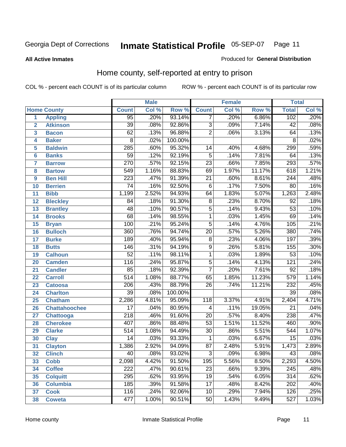#### **All Active Inmates**

#### Produced for **General Distribution**

### Home county, self-reported at entry to prison

|                |                      |                  | <b>Male</b> |         |                  | <b>Female</b> |        | <b>Total</b>     |       |  |
|----------------|----------------------|------------------|-------------|---------|------------------|---------------|--------|------------------|-------|--|
|                | <b>Home County</b>   | <b>Count</b>     | Col %       | Row %   | <b>Count</b>     | Col %         | Row %  | <b>Total</b>     | Col % |  |
| 1              | <b>Appling</b>       | 95               | .20%        | 93.14%  | 7                | .20%          | 6.86%  | 102              | .20%  |  |
| $\overline{2}$ | <b>Atkinson</b>      | $\overline{39}$  | .08%        | 92.86%  | 3                | .09%          | 7.14%  | $\overline{42}$  | .08%  |  |
| 3              | <b>Bacon</b>         | 62               | .13%        | 96.88%  | $\overline{2}$   | .06%          | 3.13%  | 64               | .13%  |  |
| 4              | <b>Baker</b>         | $\overline{8}$   | .02%        | 100.00% |                  |               |        | $\overline{8}$   | .02%  |  |
| 5              | <b>Baldwin</b>       | 285              | .60%        | 95.32%  | 14               | .40%          | 4.68%  | 299              | .59%  |  |
| $6\phantom{a}$ | <b>Banks</b>         | $\overline{59}$  | .12%        | 92.19%  | $\overline{5}$   | .14%          | 7.81%  | 64               | .13%  |  |
| $\overline{7}$ | <b>Barrow</b>        | 270              | .57%        | 92.15%  | $\overline{23}$  | .66%          | 7.85%  | 293              | .57%  |  |
| 8              | <b>Bartow</b>        | $\overline{549}$ | 1.16%       | 88.83%  | 69               | 1.97%         | 11.17% | 618              | 1.21% |  |
| 9              | <b>Ben Hill</b>      | $\overline{223}$ | .47%        | 91.39%  | $\overline{21}$  | .60%          | 8.61%  | 244              | .48%  |  |
| 10             | <b>Berrien</b>       | $\overline{74}$  | .16%        | 92.50%  | $\overline{6}$   | .17%          | 7.50%  | $\overline{80}$  | .16%  |  |
| 11             | <b>Bibb</b>          | 1,199            | 2.52%       | 94.93%  | 64               | 1.83%         | 5.07%  | 1,263            | 2.48% |  |
| 12             | <b>Bleckley</b>      | 84               | .18%        | 91.30%  | $\overline{8}$   | .23%          | 8.70%  | 92               | .18%  |  |
| 13             | <b>Brantley</b>      | 48               | .10%        | 90.57%  | $\overline{5}$   | .14%          | 9.43%  | $\overline{53}$  | .10%  |  |
| 14             | <b>Brooks</b>        | $\overline{68}$  | .14%        | 98.55%  | $\overline{1}$   | .03%          | 1.45%  | 69               | .14%  |  |
| 15             | <b>Bryan</b>         | 100              | .21%        | 95.24%  | $\overline{5}$   | .14%          | 4.76%  | 105              | .21%  |  |
| 16             | <b>Bulloch</b>       | 360              | .76%        | 94.74%  | $\overline{20}$  | .57%          | 5.26%  | 380              | .74%  |  |
| 17             | <b>Burke</b>         | 189              | .40%        | 95.94%  | $\overline{8}$   | .23%          | 4.06%  | 197              | .39%  |  |
| 18             | <b>Butts</b>         | 146              | .31%        | 94.19%  | $\overline{9}$   | .26%          | 5.81%  | 155              | .30%  |  |
| 19             | <b>Calhoun</b>       | $\overline{52}$  | .11%        | 98.11%  | $\overline{1}$   | .03%          | 1.89%  | $\overline{53}$  | .10%  |  |
| 20             | <b>Camden</b>        | $\overline{116}$ | .24%        | 95.87%  | $\overline{5}$   | .14%          | 4.13%  | $\overline{121}$ | .24%  |  |
| 21             | <b>Candler</b>       | $\overline{85}$  | .18%        | 92.39%  | $\overline{7}$   | .20%          | 7.61%  | 92               | .18%  |  |
| 22             | <b>Carroll</b>       | $\overline{514}$ | 1.08%       | 88.77%  | 65               | 1.85%         | 11.23% | $\overline{579}$ | 1.14% |  |
| 23             | <b>Catoosa</b>       | 206              | .43%        | 88.79%  | $\overline{26}$  | .74%          | 11.21% | 232              | .45%  |  |
| 24             | <b>Charlton</b>      | $\overline{39}$  | .08%        | 100.00% |                  |               |        | $\overline{39}$  | .08%  |  |
| 25             | <b>Chatham</b>       | 2,286            | 4.81%       | 95.09%  | $\overline{118}$ | 3.37%         | 4.91%  | 2,404            | 4.71% |  |
| 26             | <b>Chattahoochee</b> | $\overline{17}$  | .04%        | 80.95%  | 4                | .11%          | 19.05% | $\overline{21}$  | .04%  |  |
| 27             | <b>Chattooga</b>     | $\overline{218}$ | .46%        | 91.60%  | $\overline{20}$  | .57%          | 8.40%  | 238              | .47%  |  |
| 28             | <b>Cherokee</b>      | 407              | .86%        | 88.48%  | $\overline{53}$  | 1.51%         | 11.52% | 460              | .90%  |  |
| 29             | <b>Clarke</b>        | $\overline{514}$ | 1.08%       | 94.49%  | $\overline{30}$  | .86%          | 5.51%  | 544              | 1.07% |  |
| 30             | <b>Clay</b>          | $\overline{14}$  | .03%        | 93.33%  | $\mathbf{1}$     | .03%          | 6.67%  | $\overline{15}$  | .03%  |  |
| 31             | <b>Clayton</b>       | 1,386            | 2.92%       | 94.09%  | $\overline{87}$  | 2.48%         | 5.91%  | 1,473            | 2.89% |  |
| 32             | <b>Clinch</b>        | $\overline{40}$  | .08%        | 93.02%  | 3                | .09%          | 6.98%  | $\overline{43}$  | .08%  |  |
| 33             | <b>Cobb</b>          | 2,098            | 4.42%       | 91.50%  | 195              | 5.56%         | 8.50%  | 2,293            | 4.50% |  |
| 34             | <b>Coffee</b>        | $\overline{222}$ | .47%        | 90.61%  | $\overline{23}$  | .66%          | 9.39%  | 245              | .48%  |  |
| 35             | <b>Colquitt</b>      | 295              | .62%        | 93.95%  | 19               | .54%          | 6.05%  | 314              | .62%  |  |
| 36             | <b>Columbia</b>      | 185              | .39%        | 91.58%  | $\overline{17}$  | .48%          | 8.42%  | 202              | .40%  |  |
| 37             | <b>Cook</b>          | 116              | .24%        | 92.06%  | 10               | .29%          | 7.94%  | 126              | .25%  |  |
| 38             | <b>Coweta</b>        | 477              | 1.00%       | 90.51%  | $\overline{50}$  | 1.43%         | 9.49%  | $\overline{527}$ | 1.03% |  |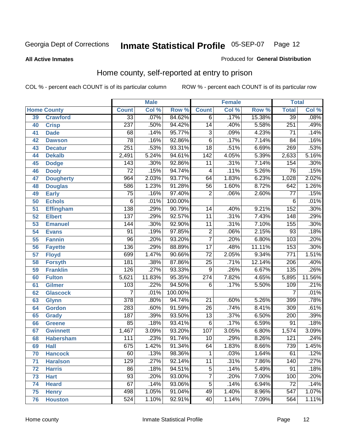**All Active Inmates**

#### Produced for **General Distribution**

### Home county, self-reported at entry to prison

|                 |                    | <b>Male</b>      |        |                  |                  | <b>Female</b> |        | <b>Total</b>     |        |  |
|-----------------|--------------------|------------------|--------|------------------|------------------|---------------|--------|------------------|--------|--|
|                 | <b>Home County</b> | <b>Count</b>     | Col %  | Row <sup>%</sup> | <b>Count</b>     | Col %         | Row %  | <b>Total</b>     | Col %  |  |
| 39              | <b>Crawford</b>    | $\overline{33}$  | .07%   | 84.62%           | 6                | .17%          | 15.38% | 39               | .08%   |  |
| 40              | <b>Crisp</b>       | 237              | .50%   | 94.42%           | $\overline{14}$  | .40%          | 5.58%  | 251              | .49%   |  |
| 41              | <b>Dade</b>        | 68               | .14%   | 95.77%           | $\overline{3}$   | .09%          | 4.23%  | 71               | .14%   |  |
| 42              | <b>Dawson</b>      | $\overline{78}$  | .16%   | 92.86%           | $\overline{6}$   | .17%          | 7.14%  | $\overline{84}$  | .16%   |  |
| 43              | <b>Decatur</b>     | 251              | .53%   | 93.31%           | $\overline{18}$  | .51%          | 6.69%  | 269              | .53%   |  |
| 44              | <b>Dekalb</b>      | 2,491            | 5.24%  | 94.61%           | $\overline{142}$ | 4.05%         | 5.39%  | 2,633            | 5.16%  |  |
| 45              | <b>Dodge</b>       | 143              | .30%   | 92.86%           | $\overline{11}$  | .31%          | 7.14%  | 154              | .30%   |  |
| 46              | <b>Dooly</b>       | $\overline{72}$  | .15%   | 94.74%           | 4                | .11%          | 5.26%  | $\overline{76}$  | .15%   |  |
| 47              | <b>Dougherty</b>   | $\overline{964}$ | 2.03%  | 93.77%           | 64               | 1.83%         | 6.23%  | 1,028            | 2.02%  |  |
| 48              | <b>Douglas</b>     | 586              | 1.23%  | 91.28%           | $\overline{56}$  | 1.60%         | 8.72%  | 642              | 1.26%  |  |
| 49              | <b>Early</b>       | $\overline{75}$  | .16%   | 97.40%           | $\overline{2}$   | .06%          | 2.60%  | $\overline{77}$  | .15%   |  |
| 50              | <b>Echols</b>      | $\overline{6}$   | .01%   | 100.00%          |                  |               |        | 6                | .01%   |  |
| $\overline{51}$ | <b>Effingham</b>   | 138              | .29%   | 90.79%           | 14               | .40%          | 9.21%  | 152              | .30%   |  |
| 52              | <b>Elbert</b>      | 137              | .29%   | 92.57%           | $\overline{11}$  | .31%          | 7.43%  | $\overline{148}$ | .29%   |  |
| 53              | <b>Emanuel</b>     | 144              | .30%   | 92.90%           | $\overline{11}$  | .31%          | 7.10%  | 155              | .30%   |  |
| 54              | <b>Evans</b>       | 91               | .19%   | 97.85%           | $\overline{2}$   | .06%          | 2.15%  | $\overline{93}$  | .18%   |  |
| 55              | <b>Fannin</b>      | $\overline{96}$  | .20%   | 93.20%           | $\overline{7}$   | .20%          | 6.80%  | 103              | .20%   |  |
| 56              | <b>Fayette</b>     | 136              | .29%   | 88.89%           | $\overline{17}$  | .48%          | 11.11% | 153              | .30%   |  |
| 57              | <b>Floyd</b>       | 699              | 1.47%  | 90.66%           | $\overline{72}$  | 2.05%         | 9.34%  | $\overline{771}$ | 1.51%  |  |
| 58              | <b>Forsyth</b>     | 181              | .38%   | 87.86%           | $\overline{25}$  | .71%          | 12.14% | $\overline{206}$ | .40%   |  |
| 59              | <b>Franklin</b>    | 126              | .27%   | 93.33%           | $\overline{9}$   | .26%          | 6.67%  | $\overline{135}$ | .26%   |  |
| 60              | <b>Fulton</b>      | 5,621            | 11.83% | 95.35%           | $\overline{274}$ | 7.82%         | 4.65%  | 5,895            | 11.56% |  |
| 61              | Gilmer             | $\overline{103}$ | .22%   | 94.50%           | 6                | .17%          | 5.50%  | 109              | .21%   |  |
| 62              | <b>Glascock</b>    | $\overline{7}$   | .01%   | 100.00%          |                  |               |        | $\overline{7}$   | .01%   |  |
| 63              | <b>Glynn</b>       | $\overline{378}$ | .80%   | 94.74%           | $\overline{21}$  | .60%          | 5.26%  | 399              | .78%   |  |
| 64              | <b>Gordon</b>      | 283              | .60%   | 91.59%           | $\overline{26}$  | .74%          | 8.41%  | 309              | .61%   |  |
| 65              | <b>Grady</b>       | 187              | .39%   | 93.50%           | $\overline{13}$  | .37%          | 6.50%  | 200              | .39%   |  |
| 66              | <b>Greene</b>      | 85               | .18%   | 93.41%           | $\overline{6}$   | .17%          | 6.59%  | $\overline{91}$  | .18%   |  |
| 67              | <b>Gwinnett</b>    | 1,467            | 3.09%  | 93.20%           | $\overline{107}$ | 3.05%         | 6.80%  | 1,574            | 3.09%  |  |
| 68              | <b>Habersham</b>   | 111              | .23%   | 91.74%           | 10               | .29%          | 8.26%  | $\overline{121}$ | .24%   |  |
| 69              | <b>Hall</b>        | 675              | 1.42%  | 91.34%           | 64               | 1.83%         | 8.66%  | 739              | 1.45%  |  |
| 70              | <b>Hancock</b>     | 60               | .13%   | 98.36%           | 1                | .03%          | 1.64%  | 61               | .12%   |  |
| 71              | <b>Haralson</b>    | 129              | .27%   | 92.14%           | $\overline{11}$  | .31%          | 7.86%  | 140              | .27%   |  |
| 72              | <b>Harris</b>      | 86               | .18%   | 94.51%           | $\overline{5}$   | .14%          | 5.49%  | $\overline{91}$  | .18%   |  |
| 73              | <b>Hart</b>        | $\overline{93}$  | .20%   | 93.00%           | $\overline{7}$   | .20%          | 7.00%  | 100              | .20%   |  |
| 74              | <b>Heard</b>       | 67               | .14%   | 93.06%           | $\overline{5}$   | .14%          | 6.94%  | 72               | .14%   |  |
| 75              | <b>Henry</b>       | 498              | 1.05%  | 91.04%           | 49               | 1.40%         | 8.96%  | 547              | 1.07%  |  |
| 76              | <b>Houston</b>     | 524              | 1.10%  | 92.91%           | 40               | 1.14%         | 7.09%  | 564              | 1.11%  |  |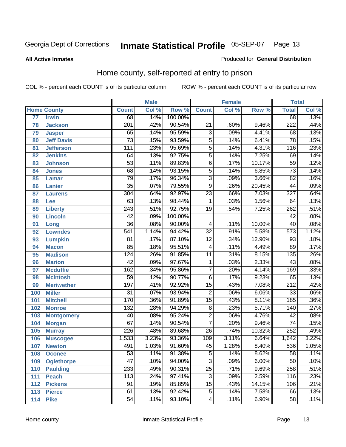#### **All Active Inmates**

#### Produced for **General Distribution**

### Home county, self-reported at entry to prison

|     |                    |                  | <b>Male</b> |         |                           | <b>Female</b> |        | <b>Total</b>     |       |
|-----|--------------------|------------------|-------------|---------|---------------------------|---------------|--------|------------------|-------|
|     | <b>Home County</b> | <b>Count</b>     | Col %       | Row %   | <b>Count</b>              | Col %         | Row %  | <b>Total</b>     | Col % |
| 77  | <b>Irwin</b>       | 68               | .14%        | 100.00% |                           |               |        | 68               | .13%  |
| 78  | <b>Jackson</b>     | $\overline{201}$ | .42%        | 90.54%  | $\overline{21}$           | .60%          | 9.46%  | $\overline{222}$ | .44%  |
| 79  | <b>Jasper</b>      | 65               | .14%        | 95.59%  | $\overline{3}$            | .09%          | 4.41%  | 68               | .13%  |
| 80  | <b>Jeff Davis</b>  | $\overline{73}$  | .15%        | 93.59%  | $\overline{5}$            | .14%          | 6.41%  | $\overline{78}$  | .15%  |
| 81  | <b>Jefferson</b>   | $\overline{111}$ | .23%        | 95.69%  | $\overline{5}$            | .14%          | 4.31%  | 116              | .23%  |
| 82  | <b>Jenkins</b>     | 64               | .13%        | 92.75%  | $\overline{5}$            | .14%          | 7.25%  | 69               | .14%  |
| 83  | <b>Johnson</b>     | $\overline{53}$  | .11%        | 89.83%  | $\overline{6}$            | .17%          | 10.17% | $\overline{59}$  | .12%  |
| 84  | <b>Jones</b>       | $\overline{68}$  | .14%        | 93.15%  | $\overline{5}$            | .14%          | 6.85%  | $\overline{73}$  | .14%  |
| 85  | <b>Lamar</b>       | $\overline{79}$  | .17%        | 96.34%  | $\overline{\overline{3}}$ | .09%          | 3.66%  | $\overline{82}$  | .16%  |
| 86  | <b>Lanier</b>      | $\overline{35}$  | .07%        | 79.55%  | 9                         | .26%          | 20.45% | 44               | .09%  |
| 87  | <b>Laurens</b>     | 304              | .64%        | 92.97%  | $\overline{23}$           | .66%          | 7.03%  | $\overline{327}$ | .64%  |
| 88  | <b>Lee</b>         | 63               | .13%        | 98.44%  | 1                         | .03%          | 1.56%  | 64               | .13%  |
| 89  | <b>Liberty</b>     | $\overline{243}$ | .51%        | 92.75%  | $\overline{19}$           | .54%          | 7.25%  | 262              | .51%  |
| 90  | <b>Lincoln</b>     | 42               | .09%        | 100.00% |                           |               |        | 42               | .08%  |
| 91  | Long               | $\overline{36}$  | .08%        | 90.00%  | 4                         | .11%          | 10.00% | 40               | .08%  |
| 92  | <b>Lowndes</b>     | $\overline{541}$ | 1.14%       | 94.42%  | $\overline{32}$           | .91%          | 5.58%  | $\overline{573}$ | 1.12% |
| 93  | <b>Lumpkin</b>     | $\overline{81}$  | .17%        | 87.10%  | $\overline{12}$           | .34%          | 12.90% | $\overline{93}$  | .18%  |
| 94  | <b>Macon</b>       | 85               | .18%        | 95.51%  | 4                         | .11%          | 4.49%  | 89               | .17%  |
| 95  | <b>Madison</b>     | $\overline{124}$ | .26%        | 91.85%  | $\overline{11}$           | .31%          | 8.15%  | 135              | .26%  |
| 96  | <b>Marion</b>      | $\overline{42}$  | .09%        | 97.67%  | 1                         | .03%          | 2.33%  | $\overline{43}$  | .08%  |
| 97  | <b>Mcduffie</b>    | 162              | .34%        | 95.86%  | $\overline{7}$            | .20%          | 4.14%  | 169              | .33%  |
| 98  | <b>Mcintosh</b>    | $\overline{59}$  | .12%        | 90.77%  | $\overline{6}$            | .17%          | 9.23%  | 65               | .13%  |
| 99  | <b>Meriwether</b>  | $\overline{197}$ | .41%        | 92.92%  | $\overline{15}$           | .43%          | 7.08%  | $\overline{212}$ | .42%  |
| 100 | <b>Miller</b>      | $\overline{31}$  | .07%        | 93.94%  | $\overline{2}$            | .06%          | 6.06%  | $\overline{33}$  | .06%  |
| 101 | <b>Mitchell</b>    | 170              | .36%        | 91.89%  | $\overline{15}$           | .43%          | 8.11%  | 185              | .36%  |
| 102 | <b>Monroe</b>      | 132              | .28%        | 94.29%  | $\overline{8}$            | .23%          | 5.71%  | 140              | .27%  |
| 103 | <b>Montgomery</b>  | $\overline{40}$  | .08%        | 95.24%  | $\overline{2}$            | .06%          | 4.76%  | $\overline{42}$  | .08%  |
| 104 | <b>Morgan</b>      | 67               | .14%        | 90.54%  | $\overline{7}$            | .20%          | 9.46%  | 74               | .15%  |
| 105 | <b>Murray</b>      | $\overline{226}$ | .48%        | 89.68%  | $\overline{26}$           | .74%          | 10.32% | 252              | .49%  |
| 106 | <b>Muscogee</b>    | 1,533            | 3.23%       | 93.36%  | 109                       | 3.11%         | 6.64%  | 1,642            | 3.22% |
| 107 | <b>Newton</b>      | 491              | 1.03%       | 91.60%  | $\overline{45}$           | 1.28%         | 8.40%  | 536              | 1.05% |
| 108 | <b>Oconee</b>      | 53               | .11%        | 91.38%  | 5                         | .14%          | 8.62%  | 58               | .11%  |
| 109 | <b>Oglethorpe</b>  | $\overline{47}$  | .10%        | 94.00%  | $\overline{\overline{3}}$ | .09%          | 6.00%  | $\overline{50}$  | .10%  |
| 110 | <b>Paulding</b>    | 233              | .49%        | 90.31%  | $\overline{25}$           | .71%          | 9.69%  | 258              | .51%  |
| 111 | <b>Peach</b>       | 113              | .24%        | 97.41%  | $\overline{3}$            | .09%          | 2.59%  | 116              | .23%  |
| 112 | <b>Pickens</b>     | 91               | .19%        | 85.85%  | $\overline{15}$           | .43%          | 14.15% | 106              | .21%  |
| 113 | <b>Pierce</b>      | 61               | .13%        | 92.42%  | $\overline{5}$            | .14%          | 7.58%  | 66               | .13%  |
| 114 | <b>Pike</b>        | $\overline{54}$  | .11%        | 93.10%  | 4                         | .11%          | 6.90%  | 58               | .11%  |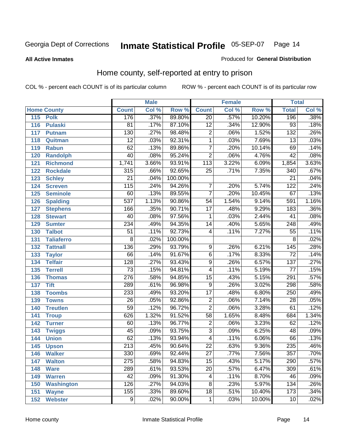#### **All Active Inmates**

#### Produced for **General Distribution**

### Home county, self-reported at entry to prison

|     |                    |                  | <b>Male</b> |         |                  | <b>Female</b> |        | <b>Total</b>     |                            |
|-----|--------------------|------------------|-------------|---------|------------------|---------------|--------|------------------|----------------------------|
|     | <b>Home County</b> | <b>Count</b>     | Col %       | Row %   | <b>Count</b>     | Col %         | Row %  | <b>Total</b>     | $\overline{\text{Col }^9}$ |
| 115 | <b>Polk</b>        | 176              | .37%        | 89.80%  | $\overline{20}$  | .57%          | 10.20% | 196              | .38%                       |
| 116 | <b>Pulaski</b>     | $\overline{81}$  | .17%        | 87.10%  | $\overline{12}$  | .34%          | 12.90% | $\overline{93}$  | .18%                       |
| 117 | <b>Putnam</b>      | 130              | .27%        | 98.48%  | $\overline{2}$   | .06%          | 1.52%  | $\overline{132}$ | .26%                       |
| 118 | Quitman            | $\overline{12}$  | .03%        | 92.31%  | $\overline{1}$   | .03%          | 7.69%  | $\overline{13}$  | .03%                       |
| 119 | <b>Rabun</b>       | 62               | .13%        | 89.86%  | $\overline{7}$   | .20%          | 10.14% | 69               | .14%                       |
| 120 | <b>Randolph</b>    | $\overline{40}$  | .08%        | 95.24%  | $\overline{2}$   | .06%          | 4.76%  | $\overline{42}$  | .08%                       |
| 121 | <b>Richmond</b>    | 1,741            | 3.66%       | 93.91%  | $\overline{113}$ | 3.22%         | 6.09%  | 1,854            | 3.63%                      |
| 122 | <b>Rockdale</b>    | 315              | .66%        | 92.65%  | $\overline{25}$  | .71%          | 7.35%  | 340              | .67%                       |
| 123 | <b>Schley</b>      | $\overline{21}$  | .04%        | 100.00% |                  |               |        | $\overline{21}$  | .04%                       |
| 124 | <b>Screven</b>     | 115              | .24%        | 94.26%  | $\overline{7}$   | .20%          | 5.74%  | 122              | .24%                       |
| 125 | <b>Seminole</b>    | 60               | .13%        | 89.55%  | $\overline{7}$   | .20%          | 10.45% | 67               | .13%                       |
| 126 | <b>Spalding</b>    | 537              | 1.13%       | 90.86%  | $\overline{54}$  | 1.54%         | 9.14%  | 591              | 1.16%                      |
| 127 | <b>Stephens</b>    | 166              | .35%        | 90.71%  | $\overline{17}$  | .48%          | 9.29%  | 183              | .36%                       |
| 128 | <b>Stewart</b>     | $\overline{40}$  | .08%        | 97.56%  | 1                | .03%          | 2.44%  | $\overline{41}$  | .08%                       |
| 129 | <b>Sumter</b>      | 234              | .49%        | 94.35%  | $\overline{14}$  | .40%          | 5.65%  | $\overline{248}$ | .49%                       |
| 130 | <b>Talbot</b>      | $\overline{51}$  | .11%        | 92.73%  | 4                | .11%          | 7.27%  | $\overline{55}$  | .11%                       |
| 131 | <b>Taliaferro</b>  | $\overline{8}$   | .02%        | 100.00% |                  |               |        | 8                | .02%                       |
| 132 | <b>Tattnall</b>    | 136              | .29%        | 93.79%  | 9                | .26%          | 6.21%  | $\overline{145}$ | .28%                       |
| 133 | <b>Taylor</b>      | 66               | .14%        | 91.67%  | $\overline{6}$   | .17%          | 8.33%  | $\overline{72}$  | .14%                       |
| 134 | <b>Telfair</b>     | $\overline{128}$ | .27%        | 93.43%  | $\overline{9}$   | .26%          | 6.57%  | 137              | .27%                       |
| 135 | <b>Terrell</b>     | $\overline{73}$  | .15%        | 94.81%  | $\overline{4}$   | .11%          | 5.19%  | $\overline{77}$  | .15%                       |
| 136 | <b>Thomas</b>      | $\overline{276}$ | .58%        | 94.85%  | $\overline{15}$  | .43%          | 5.15%  | 291              | .57%                       |
| 137 | <b>Tift</b>        | 289              | .61%        | 96.98%  | $\overline{9}$   | .26%          | 3.02%  | 298              | .58%                       |
| 138 | <b>Toombs</b>      | 233              | .49%        | 93.20%  | $\overline{17}$  | .48%          | 6.80%  | 250              | .49%                       |
| 139 | <b>Towns</b>       | $\overline{26}$  | .05%        | 92.86%  | $\overline{2}$   | .06%          | 7.14%  | $\overline{28}$  | .05%                       |
| 140 | <b>Treutlen</b>    | $\overline{59}$  | .12%        | 96.72%  | $\overline{2}$   | .06%          | 3.28%  | 61               | .12%                       |
| 141 | <b>Troup</b>       | 626              | 1.32%       | 91.52%  | $\overline{58}$  | 1.65%         | 8.48%  | 684              | 1.34%                      |
| 142 | <b>Turner</b>      | 60               | .13%        | 96.77%  | $\overline{2}$   | .06%          | 3.23%  | 62               | .12%                       |
| 143 | <b>Twiggs</b>      | $\overline{45}$  | .09%        | 93.75%  | $\overline{3}$   | .09%          | 6.25%  | 48               | .09%                       |
| 144 | <b>Union</b>       | 62               | .13%        | 93.94%  | $\overline{4}$   | .11%          | 6.06%  | 66               | .13%                       |
| 145 | <b>Upson</b>       | $\overline{213}$ | .45%        | 90.64%  | $\overline{22}$  | .63%          | 9.36%  | 235              | .46%                       |
| 146 | <b>Walker</b>      | 330              | .69%        | 92.44%  | 27               | .77%          | 7.56%  | 357              | .70%                       |
| 147 | <b>Walton</b>      | $\overline{275}$ | .58%        | 94.83%  | $\overline{15}$  | .43%          | 5.17%  | 290              | .57%                       |
| 148 | <b>Ware</b>        | 289              | .61%        | 93.53%  | $\overline{20}$  | .57%          | 6.47%  | 309              | .61%                       |
| 149 | <b>Warren</b>      | 42               | .09%        | 91.30%  | 4                | .11%          | 8.70%  | 46               | .09%                       |
| 150 | <b>Washington</b>  | 126              | .27%        | 94.03%  | $\overline{8}$   | .23%          | 5.97%  | $\overline{134}$ | .26%                       |
| 151 | <b>Wayne</b>       | 155              | .33%        | 89.60%  | $\overline{18}$  | .51%          | 10.40% | 173              | .34%                       |
| 152 | <b>Webster</b>     | $\overline{9}$   | .02%        | 90.00%  | 1                | .03%          | 10.00% | 10               | .02%                       |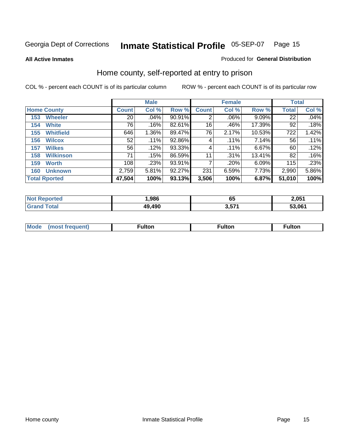**All Active Inmates**

#### Produced for **General Distribution**

### Home county, self-reported at entry to prison

|                      |                  |                 | <b>Male</b> |        |              | <b>Female</b> | <b>Total</b> |              |       |
|----------------------|------------------|-----------------|-------------|--------|--------------|---------------|--------------|--------------|-------|
| <b>Home County</b>   |                  | <b>Count</b>    | Col %       | Row %  | <b>Count</b> | Col %         | Row %        | <b>Total</b> | Col % |
| 153                  | <b>Wheeler</b>   | $\overline{20}$ | .04%        | 90.91% | 2            | .06%          | $9.09\%$     | 22           | .04%  |
| 154                  | <b>White</b>     | 76              | .16%        | 82.61% | 16           | .46%          | 17.39%       | 92           | .18%  |
| 155                  | <b>Whitfield</b> | 646             | 1.36%       | 89.47% | 76           | 2.17%         | 10.53%       | 722          | 1.42% |
| 156                  | <b>Wilcox</b>    | 52              | .11%        | 92.86% | 4            | .11%          | 7.14%        | 56           | .11%  |
| 157                  | <b>Wilkes</b>    | 56              | .12%        | 93.33% | 4            | .11%          | 6.67%        | 60           | .12%  |
| 158                  | <b>Wilkinson</b> | 71              | .15%        | 86.59% | 11           | .31%          | 13.41%       | 82           | .16%  |
| 159                  | <b>Worth</b>     | 108             | .23%        | 93.91% |              | .20%          | 6.09%        | 115          | .23%  |
| 160                  | <b>Unknown</b>   | 2,759           | 5.81%       | 92.27% | 231          | 6.59%         | 7.73%        | 2,990        | 5.86% |
| <b>Total Rported</b> |                  | 47,504          | 100%        | 93.13% | 3,506        | 100%          | 6.87%        | 51,010       | 100%  |

| <b>rted</b><br>Not | ,986   | 65              | 2,051  |
|--------------------|--------|-----------------|--------|
| <b>Total</b>       | 49,490 | <b>E74</b><br>. | 53.061 |

| <b>Mode</b> | ---<br>.tor | <b>ulton</b> | . |
|-------------|-------------|--------------|---|
|             |             |              |   |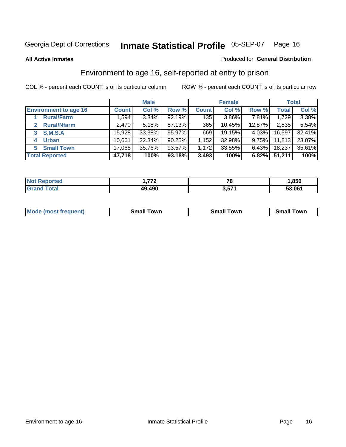#### **All Active Inmates**

#### Produced for **General Distribution**

### Environment to age 16, self-reported at entry to prison

|                                      | <b>Male</b>  |        |        | <b>Female</b> |        |        | <b>Total</b> |        |
|--------------------------------------|--------------|--------|--------|---------------|--------|--------|--------------|--------|
| <b>Environment to age 16</b>         | <b>Count</b> | Col %  | Row %  | <b>Count</b>  | Col %  | Row %  | Total        | Col %  |
| <b>Rural/Farm</b>                    | 1,594        | 3.34%  | 92.19% | 135           | 3.86%  | 7.81%  | 1,729        | 3.38%  |
| <b>Rural/Nfarm</b><br>$\overline{2}$ | 2,470        | 5.18%  | 87.13% | 365           | 10.45% | 12.87% | 2,835        | 5.54%  |
| <b>S.M.S.A</b><br>3                  | 15,928       | 33.38% | 95.97% | 669           | 19.15% | 4.03%  | 16,597       | 32.41% |
| <b>Urban</b><br>4                    | 10,661       | 22.34% | 90.25% | 1,152         | 32.98% | 9.75%  | 11,813       | 23.07% |
| <b>Small Town</b><br>5.              | 17,065       | 35.76% | 93.57% | 1,172         | 33.55% | 6.43%  | 18,237       | 35.61% |
| <b>Total Reported</b>                | 47,718       | 100%   | 93.18% | 3,493         | 100%   | 6.82%  | 51,211       | 100%   |

| <b>Not Reported</b> | ァァヘ<br>1 . <i>.</i> | 70<br>10 | ,850   |
|---------------------|---------------------|----------|--------|
| Total<br>Grand      | 49,490              | 3,571    | 53,061 |

| <b>Mode</b><br>requent)<br>. | owr<br>imall | <b>Smal</b><br>owr | <b>TOW</b> |
|------------------------------|--------------|--------------------|------------|
|                              |              |                    |            |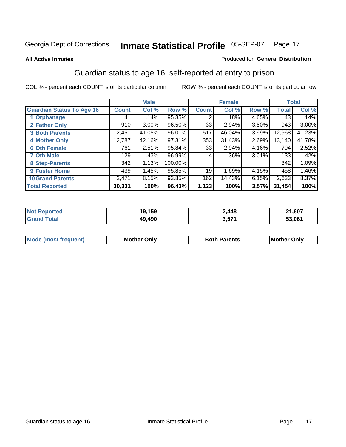#### **All Active Inmates**

#### Produced for **General Distribution**

### Guardian status to age 16, self-reported at entry to prison

|                                  |              | <b>Male</b> |         |              | <b>Female</b> |       |              | <b>Total</b> |
|----------------------------------|--------------|-------------|---------|--------------|---------------|-------|--------------|--------------|
| <b>Guardian Status To Age 16</b> | <b>Count</b> | Col %       | Row %   | <b>Count</b> | Col %         | Row % | <b>Total</b> | Col %        |
| 1 Orphanage                      | 41           | .14%        | 95.35%  | 2            | .18%          | 4.65% | 43           | .14%         |
| 2 Father Only                    | 910          | 3.00%       | 96.50%  | 33           | $2.94\%$      | 3.50% | 943          | $3.00\%$     |
| <b>3 Both Parents</b>            | 12,451       | 41.05%      | 96.01%  | 517          | 46.04%        | 3.99% | 12,968       | 41.23%       |
| <b>4 Mother Only</b>             | 12,787       | 42.16%      | 97.31%  | 353          | 31.43%        | 2.69% | 13,140       | 41.78%       |
| <b>6 Oth Female</b>              | 761          | 2.51%       | 95.84%  | 33           | 2.94%         | 4.16% | 794          | 2.52%        |
| <b>7 Oth Male</b>                | 129          | .43%        | 96.99%  | 4            | .36%          | 3.01% | 133          | .42%         |
| 8 Step-Parents                   | 342          | 1.13%       | 100.00% |              |               |       | 342          | 1.09%        |
| 9 Foster Home                    | 439          | 1.45%       | 95.85%  | 19           | 1.69%         | 4.15% | 458          | 1.46%        |
| <b>10 Grand Parents</b>          | 2,471        | 8.15%       | 93.85%  | 162          | 14.43%        | 6.15% | 2,633        | 8.37%        |
| <b>Total Reported</b>            | 30,331       | 100%        | 96.43%  | 1,123        | 100%          | 3.57% | 31,454       | 100%         |

| nted<br>. Nr | 9.159  | 2,448 | ,607   |
|--------------|--------|-------|--------|
| . Gr         | 49.490 | 3,571 | 53.061 |

| Mode | Onlv<br>Mot | <b>Roth</b><br>Parents | <b>IMot</b><br>Onlv<br>∵hei |
|------|-------------|------------------------|-----------------------------|
|      |             |                        |                             |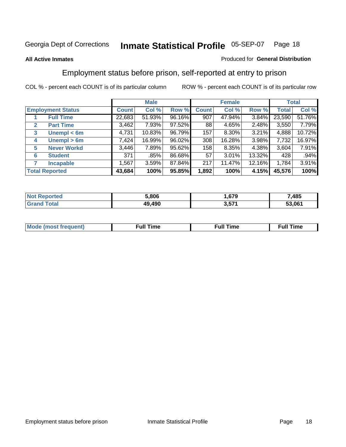#### **All Active Inmates**

#### Produced for **General Distribution**

### Employment status before prison, self-reported at entry to prison

|              |                          |              | <b>Male</b> |        |              | <b>Female</b> |        |        | <b>Total</b> |
|--------------|--------------------------|--------------|-------------|--------|--------------|---------------|--------|--------|--------------|
|              | <b>Employment Status</b> | <b>Count</b> | Col %       | Row %  | <b>Count</b> | Col %         | Row %  | Total  | Col %        |
|              | <b>Full Time</b>         | 22,683       | 51.93%      | 96.16% | 907          | 47.94%        | 3.84%  | 23,590 | 51.76%       |
| $\mathbf{2}$ | <b>Part Time</b>         | 3,462        | 7.93%       | 97.52% | 88           | 4.65%         | 2.48%  | 3,550  | 7.79%        |
| 3            | Unempl $<$ 6m            | 4,731        | 10.83%      | 96.79% | 157          | $8.30\%$      | 3.21%  | 4,888  | 10.72%       |
| 4            | Unempl > 6m              | 7,424        | 16.99%      | 96.02% | 308          | 16.28%        | 3.98%  | 7,732  | 16.97%       |
| 5            | <b>Never Workd</b>       | 3,446        | 7.89%       | 95.62% | 158          | 8.35%         | 4.38%  | 3,604  | 7.91%        |
| 6            | <b>Student</b>           | 371          | .85%        | 86.68% | 57           | 3.01%         | 13.32% | 428    | .94%         |
|              | <b>Incapable</b>         | 1,567        | 3.59%       | 87.84% | 217          | 11.47%        | 12.16% | 1,784  | 3.91%        |
|              | <b>Total Reported</b>    | 43,684       | 100%        | 95.85% | 1,892        | 100%          | 4.15%  | 45,576 | 100%         |

| neo | 806.د | $\sim$        | ,485   |
|-----|-------|---------------|--------|
|     | .490  | n - 74<br>v.v | 53.061 |

| <b>M</b> ດ | the contract of the contract of the contract of the contract of the contract of the contract of the contract of | the contract of the contract of the contract of the contract of the contract of the contract of the contract of | ----<br><b>Full Time</b> |
|------------|-----------------------------------------------------------------------------------------------------------------|-----------------------------------------------------------------------------------------------------------------|--------------------------|
|            |                                                                                                                 |                                                                                                                 |                          |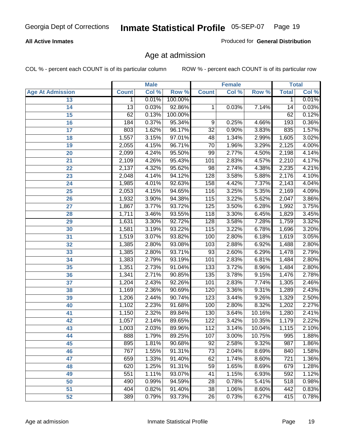#### **All Active Inmates**

Produced for **General Distribution**

### Age at admission

|                         |                 | <b>Male</b> |         |                  | <b>Female</b> |        |              | <b>Total</b> |
|-------------------------|-----------------|-------------|---------|------------------|---------------|--------|--------------|--------------|
| <b>Age At Admission</b> | <b>Count</b>    | Col %       | Row %   | <b>Count</b>     | Col %         | Row %  | <b>Total</b> | Col %        |
| 13                      | 1               | 0.01%       | 100.00% |                  |               |        | 1            | 0.01%        |
| 14                      | $\overline{13}$ | 0.03%       | 92.86%  | 1                | 0.03%         | 7.14%  | 14           | 0.03%        |
| $\overline{15}$         | 62              | 0.13%       | 100.00% |                  |               |        | 62           | 0.12%        |
| 16                      | 184             | 0.37%       | 95.34%  | 9                | 0.25%         | 4.66%  | 193          | 0.36%        |
| $\overline{17}$         | 803             | 1.62%       | 96.17%  | $\overline{32}$  | 0.90%         | 3.83%  | 835          | 1.57%        |
| 18                      | 1,557           | 3.15%       | 97.01%  | 48               | 1.34%         | 2.99%  | 1,605        | 3.02%        |
| 19                      | 2,055           | 4.15%       | 96.71%  | $\overline{70}$  | 1.96%         | 3.29%  | 2,125        | 4.00%        |
| 20                      | 2,099           | 4.24%       | 95.50%  | 99               | 2.77%         | 4.50%  | 2,198        | 4.14%        |
| 21                      | 2,109           | 4.26%       | 95.43%  | 101              | 2.83%         | 4.57%  | 2,210        | 4.17%        |
| 22                      | 2,137           | 4.32%       | 95.62%  | 98               | 2.74%         | 4.38%  | 2,235        | 4.21%        |
| 23                      | 2,048           | 4.14%       | 94.12%  | 128              | 3.58%         | 5.88%  | 2,176        | 4.10%        |
| 24                      | 1,985           | 4.01%       | 92.63%  | 158              | 4.42%         | 7.37%  | 2,143        | 4.04%        |
| $\overline{25}$         | 2,053           | 4.15%       | 94.65%  | 116              | 3.25%         | 5.35%  | 2,169        | 4.09%        |
| 26                      | 1,932           | 3.90%       | 94.38%  | 115              | 3.22%         | 5.62%  | 2,047        | 3.86%        |
| 27                      | 1,867           | 3.77%       | 93.72%  | 125              | 3.50%         | 6.28%  | 1,992        | 3.75%        |
| 28                      | 1,711           | 3.46%       | 93.55%  | 118              | 3.30%         | 6.45%  | 1,829        | 3.45%        |
| 29                      | 1,631           | 3.30%       | 92.72%  | 128              | 3.58%         | 7.28%  | 1,759        | 3.32%        |
| 30                      | 1,581           | 3.19%       | 93.22%  | 115              | 3.22%         | 6.78%  | 1,696        | 3.20%        |
| 31                      | 1,519           | 3.07%       | 93.82%  | 100              | 2.80%         | 6.18%  | 1,619        | 3.05%        |
| 32                      | 1,385           | 2.80%       | 93.08%  | 103              | 2.88%         | 6.92%  | 1,488        | 2.80%        |
| 33                      | 1,385           | 2.80%       | 93.71%  | 93               | 2.60%         | 6.29%  | 1,478        | 2.79%        |
| 34                      | 1,383           | 2.79%       | 93.19%  | 101              | 2.83%         | 6.81%  | 1,484        | 2.80%        |
| 35                      | 1,351           | 2.73%       | 91.04%  | 133              | 3.72%         | 8.96%  | 1,484        | 2.80%        |
| 36                      | 1,341           | 2.71%       | 90.85%  | 135              | 3.78%         | 9.15%  | 1,476        | 2.78%        |
| 37                      | 1,204           | 2.43%       | 92.26%  | 101              | 2.83%         | 7.74%  | 1,305        | 2.46%        |
| 38                      | 1,169           | 2.36%       | 90.69%  | 120              | 3.36%         | 9.31%  | 1,289        | 2.43%        |
| 39                      | 1,206           | 2.44%       | 90.74%  | $\overline{123}$ | 3.44%         | 9.26%  | 1,329        | 2.50%        |
| 40                      | 1,102           | 2.23%       | 91.68%  | 100              | 2.80%         | 8.32%  | 1,202        | 2.27%        |
| 41                      | 1,150           | 2.32%       | 89.84%  | 130              | 3.64%         | 10.16% | 1,280        | 2.41%        |
| 42                      | 1,057           | 2.14%       | 89.65%  | 122              | 3.42%         | 10.35% | 1,179        | 2.22%        |
| 43                      | 1,003           | 2.03%       | 89.96%  | 112              | 3.14%         | 10.04% | 1,115        | 2.10%        |
| 44                      | 888             | 1.79%       | 89.25%  | 107              | 3.00%         | 10.75% | 995          | 1.88%        |
| 45                      | 895             | 1.81%       | 90.68%  | $\overline{92}$  | 2.58%         | 9.32%  | 987          | 1.86%        |
| 46                      | 767             | 1.55%       | 91.31%  | $\overline{73}$  | 2.04%         | 8.69%  | 840          | 1.58%        |
| 47                      | 659             | 1.33%       | 91.40%  | 62               | 1.74%         | 8.60%  | 721          | 1.36%        |
| 48                      | 620             | 1.25%       | 91.31%  | 59               | 1.65%         | 8.69%  | 679          | 1.28%        |
| 49                      | 551             | 1.11%       | 93.07%  | 41               | 1.15%         | 6.93%  | 592          | 1.12%        |
| 50                      | 490             | 0.99%       | 94.59%  | 28               | 0.78%         | 5.41%  | 518          | 0.98%        |
| 51                      | 404             | 0.82%       | 91.40%  | $\overline{38}$  | 1.06%         | 8.60%  | 442          | 0.83%        |
| 52                      | 389             | 0.79%       | 93.73%  | 26               | 0.73%         | 6.27%  | 415          | 0.78%        |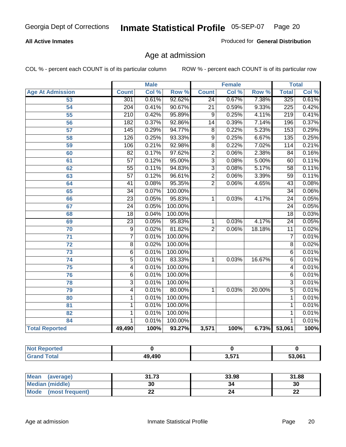#### **All Active Inmates**

Produced for **General Distribution**

### Age at admission

|                          | <b>Male</b>      |       | <b>Female</b> |                 |       | <b>Total</b> |                  |       |
|--------------------------|------------------|-------|---------------|-----------------|-------|--------------|------------------|-------|
| <b>Age At Admission</b>  | <b>Count</b>     | Col % | Row %         | <b>Count</b>    | Col % | Row %        | <b>Total</b>     | Col % |
| 53                       | 301              | 0.61% | 92.62%        | $\overline{24}$ | 0.67% | 7.38%        | 325              | 0.61% |
| 54                       | 204              | 0.41% | 90.67%        | $\overline{21}$ | 0.59% | 9.33%        | 225              | 0.42% |
| 55                       | $\overline{210}$ | 0.42% | 95.89%        | $\overline{9}$  | 0.25% | 4.11%        | $\overline{219}$ | 0.41% |
| $\overline{56}$          | 182              | 0.37% | 92.86%        | $\overline{14}$ | 0.39% | 7.14%        | 196              | 0.37% |
| 57                       | 145              | 0.29% | 94.77%        | $\overline{8}$  | 0.22% | 5.23%        | 153              | 0.29% |
| 58                       | 126              | 0.25% | 93.33%        | $\overline{9}$  | 0.25% | 6.67%        | $\overline{135}$ | 0.25% |
| 59                       | 106              | 0.21% | 92.98%        | $\overline{8}$  | 0.22% | 7.02%        | 114              | 0.21% |
| 60                       | $\overline{82}$  | 0.17% | 97.62%        | $\overline{2}$  | 0.06% | 2.38%        | $\overline{84}$  | 0.16% |
| 61                       | $\overline{57}$  | 0.12% | 95.00%        | $\overline{3}$  | 0.08% | 5.00%        | 60               | 0.11% |
| 62                       | $\overline{55}$  | 0.11% | 94.83%        | $\overline{3}$  | 0.08% | 5.17%        | $\overline{58}$  | 0.11% |
| 63                       | $\overline{57}$  | 0.12% | 96.61%        | $\overline{2}$  | 0.06% | 3.39%        | $\overline{59}$  | 0.11% |
| 64                       | $\overline{41}$  | 0.08% | 95.35%        | $\overline{2}$  | 0.06% | 4.65%        | $\overline{43}$  | 0.08% |
| 65                       | $\overline{34}$  | 0.07% | 100.00%       |                 |       |              | $\overline{34}$  | 0.06% |
| 66                       | $\overline{23}$  | 0.05% | 95.83%        | 1               | 0.03% | 4.17%        | $\overline{24}$  | 0.05% |
| 67                       | 24               | 0.05% | 100.00%       |                 |       |              | $\overline{24}$  | 0.05% |
| 68                       | $\overline{18}$  | 0.04% | 100.00%       |                 |       |              | $\overline{18}$  | 0.03% |
| 69                       | $\overline{23}$  | 0.05% | 95.83%        | 1               | 0.03% | 4.17%        | $\overline{24}$  | 0.05% |
| 70                       | $\overline{9}$   | 0.02% | 81.82%        | $\overline{2}$  | 0.06% | 18.18%       | $\overline{11}$  | 0.02% |
| 71                       | $\overline{7}$   | 0.01% | 100.00%       |                 |       |              | 7                | 0.01% |
| $\overline{72}$          | $\overline{8}$   | 0.02% | 100.00%       |                 |       |              | $\overline{8}$   | 0.02% |
| 73                       | $\overline{6}$   | 0.01% | 100.00%       |                 |       |              | $\overline{6}$   | 0.01% |
| 74                       | $\overline{5}$   | 0.01% | 83.33%        | 1               | 0.03% | 16.67%       | $\overline{6}$   | 0.01% |
| 75                       | 4                | 0.01% | 100.00%       |                 |       |              | 4                | 0.01% |
| 76                       | $\overline{6}$   | 0.01% | 100.00%       |                 |       |              | 6                | 0.01% |
| 78                       | $\overline{3}$   | 0.01% | 100.00%       |                 |       |              | $\overline{3}$   | 0.01% |
| 79                       | $\overline{4}$   | 0.01% | 80.00%        | $\mathbf{1}$    | 0.03% | 20.00%       | $\overline{5}$   | 0.01% |
| 80                       | 1                | 0.01% | 100.00%       |                 |       |              | 1                | 0.01% |
| $\overline{\mathbf{81}}$ | $\mathbf{1}$     | 0.01% | 100.00%       |                 |       |              | 1                | 0.01% |
| 82                       | 1                | 0.01% | 100.00%       |                 |       |              | 1                | 0.01% |
| 84                       | 1                | 0.01% | 100.00%       |                 |       |              | 1                | 0.01% |
| <b>Total Reported</b>    | 49,490           | 100%  | 93.27%        | 3,571           | 100%  | 6.73%        | 53,061           | 100%  |

| <b>Not Reported</b> |        |       |        |
|---------------------|--------|-------|--------|
| <b>Grand Total</b>  | 49,490 | 3,571 | 53,061 |

| <b>Mean</b><br>(average) | 31.73     | 33.98 | 31.88    |
|--------------------------|-----------|-------|----------|
| <b>Median (middle)</b>   | 30        | 34    | 30       |
| Mode<br>(most frequent)  | <u>__</u> |       | ^^<br>44 |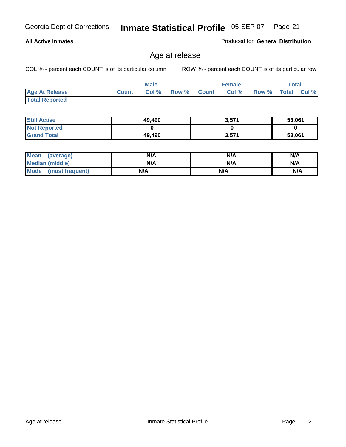#### **All Active Inmates**

Produced for **General Distribution**

### Age at release

|                       |              | <b>Male</b> |       |              | <b>Female</b> |       | <b>Total</b> |       |
|-----------------------|--------------|-------------|-------|--------------|---------------|-------|--------------|-------|
| <b>Age At Release</b> | <b>Count</b> | Col%        | Row % | <b>Count</b> | Col %         | Row % | <b>Total</b> | Col % |
| <b>Total Reported</b> |              |             |       |              |               |       |              |       |

| <b>Still Active</b> | 49,490 | 3,571 | 53,061 |
|---------------------|--------|-------|--------|
| <b>Not Reported</b> |        |       |        |
| <b>Grand Total</b>  | 49,490 | 3,571 | 53,061 |

| Mean (average)       | N/A | N/A | N/A |
|----------------------|-----|-----|-----|
| Median (middle)      | N/A | N/A | N/A |
| Mode (most frequent) | N/A | N/A | N/A |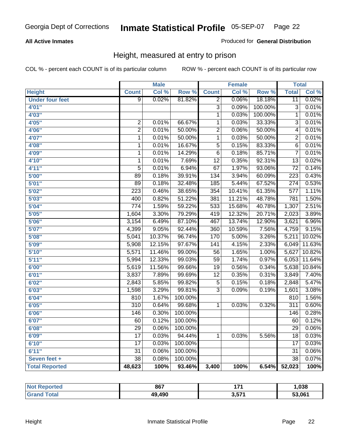#### **All Active Inmates**

#### Produced for **General Distribution**

### Height, measured at entry to prison

|                        |                  | <b>Male</b> |                  |                  | <b>Female</b> |         | <b>Total</b>     |        |
|------------------------|------------------|-------------|------------------|------------------|---------------|---------|------------------|--------|
| <b>Height</b>          | <b>Count</b>     | Col %       | Row <sup>7</sup> | <b>Count</b>     | Col %         | Row %   | <b>Total</b>     | Col %  |
| <b>Under four feet</b> | $\overline{9}$   | 0.02%       | 81.82%           | $\overline{2}$   | 0.06%         | 18.18%  | $\overline{11}$  | 0.02%  |
| 4'01''                 |                  |             |                  | $\overline{3}$   | 0.09%         | 100.00% | 3                | 0.01%  |
| 4'03''                 |                  |             |                  | $\overline{1}$   | 0.03%         | 100.00% | $\overline{1}$   | 0.01%  |
| 4'05''                 | $\overline{2}$   | 0.01%       | 66.67%           | $\overline{1}$   | 0.03%         | 33.33%  | $\overline{3}$   | 0.01%  |
| 4'06"                  | $\overline{2}$   | 0.01%       | 50.00%           | $\overline{2}$   | 0.06%         | 50.00%  | 4                | 0.01%  |
| 4'07"                  | $\overline{1}$   | 0.01%       | 50.00%           | $\overline{1}$   | 0.03%         | 50.00%  | $\overline{2}$   | 0.01%  |
| 4'08"                  | $\overline{1}$   | 0.01%       | 16.67%           | $\overline{5}$   | 0.15%         | 83.33%  | $\overline{6}$   | 0.01%  |
| 4'09"                  | $\mathbf 1$      | 0.01%       | 14.29%           | $\overline{6}$   | 0.18%         | 85.71%  | $\overline{7}$   | 0.01%  |
| 4'10''                 | $\overline{1}$   | 0.01%       | 7.69%            | $\overline{12}$  | 0.35%         | 92.31%  | $\overline{13}$  | 0.02%  |
| 4'11''                 | $\overline{5}$   | 0.01%       | 6.94%            | 67               | 1.97%         | 93.06%  | $\overline{72}$  | 0.14%  |
| 5'00''                 | $\overline{89}$  | 0.18%       | 39.91%           | 134              | 3.94%         | 60.09%  | $\overline{223}$ | 0.43%  |
| 5'01''                 | $\overline{89}$  | 0.18%       | 32.48%           | 185              | 5.44%         | 67.52%  | 274              | 0.53%  |
| 5'02''                 | $\overline{223}$ | 0.46%       | 38.65%           | 354              | 10.41%        | 61.35%  | $\overline{577}$ | 1.11%  |
| 5'03''                 | 400              | 0.82%       | 51.22%           | 381              | 11.21%        | 48.78%  | 781              | 1.50%  |
| 5'04''                 | $\overline{774}$ | 1.59%       | 59.22%           | 533              | 15.68%        | 40.78%  | 1,307            | 2.51%  |
| 5'05''                 | 1,604            | 3.30%       | 79.29%           | 419              | 12.32%        | 20.71%  | 2,023            | 3.89%  |
| 5'06''                 | 3,154            | 6.49%       | 87.10%           | 467              | 13.74%        | 12.90%  | 3,621            | 6.96%  |
| 5'07''                 | 4,399            | 9.05%       | 92.44%           | 360              | 10.59%        | 7.56%   | 4,759            | 9.15%  |
| 5'08''                 | 5,041            | 10.37%      | 96.74%           | 170              | 5.00%         | 3.26%   | 5,211            | 10.02% |
| 5'09''                 | 5,908            | 12.15%      | 97.67%           | $\overline{141}$ | 4.15%         | 2.33%   | 6,049            | 11.63% |
| 5'10''                 | 5,571            | 11.46%      | 99.00%           | $\overline{56}$  | 1.65%         | 1.00%   | 5,627            | 10.82% |
| 5'11''                 | 5,994            | 12.33%      | 99.03%           | $\overline{59}$  | 1.74%         | 0.97%   | 6,053            | 11.64% |
| 6'00''                 | 5,619            | 11.56%      | 99.66%           | $\overline{19}$  | 0.56%         | 0.34%   | 5,638            | 10.84% |
| 6'01''                 | 3,837            | 7.89%       | 99.69%           | $\overline{12}$  | 0.35%         | 0.31%   | 3,849            | 7.40%  |
| 6'02''                 | 2,843            | 5.85%       | 99.82%           | $\overline{5}$   | 0.15%         | 0.18%   | 2,848            | 5.47%  |
| 6'03''                 | 1,598            | 3.29%       | 99.81%           | $\overline{3}$   | 0.09%         | 0.19%   | 1,601            | 3.08%  |
| 6'04''                 | 810              | 1.67%       | 100.00%          |                  |               |         | 810              | 1.56%  |
| 6'05''                 | $\overline{310}$ | 0.64%       | 99.68%           | $\mathbf 1$      | 0.03%         | 0.32%   | $\overline{311}$ | 0.60%  |
| 6'06''                 | 146              | 0.30%       | 100.00%          |                  |               |         | 146              | 0.28%  |
| 6'07''                 | $\overline{60}$  | 0.12%       | 100.00%          |                  |               |         | 60               | 0.12%  |
| 6'08''                 | $\overline{29}$  | 0.06%       | 100.00%          |                  |               |         | $\overline{29}$  | 0.06%  |
| 6'09''                 | $\overline{17}$  | 0.03%       | 94.44%           | $\mathbf{1}$     | 0.03%         | 5.56%   | $\overline{18}$  | 0.03%  |
| 6'10''                 | $\overline{17}$  | 0.03%       | 100.00%          |                  |               |         | $\overline{17}$  | 0.03%  |
| 6'11''                 | $\overline{31}$  | 0.06%       | 100.00%          |                  |               |         | $\overline{31}$  | 0.06%  |
| Seven feet +           | $\overline{38}$  | 0.08%       | 100.00%          |                  |               |         | $\overline{38}$  | 0.07%  |
| <b>Total Reported</b>  | 48,623           | 100%        | 93.46%           | 3,400            | 100%          | 6.54%   | 52,023           | 100%   |

| <b>Not</b><br><b>oorted</b> | 867    | .                       | 1,038  |
|-----------------------------|--------|-------------------------|--------|
| <b>Total</b><br><b>Grar</b> | 49,490 | 9 E74<br>- 3.J <i>i</i> | 53,061 |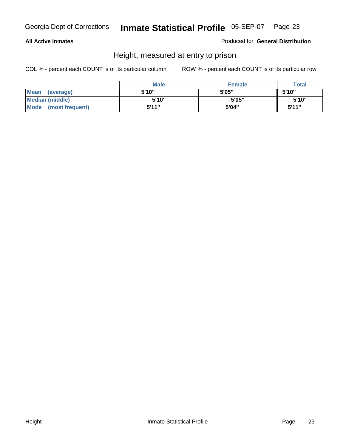#### **All Active Inmates**

Produced for **General Distribution**

### Height, measured at entry to prison

|                        | <b>Male</b> | <b>Female</b> | <b>Total</b> |
|------------------------|-------------|---------------|--------------|
| Mean (average)         | 5'10"       | 5'05"         | 5'10''       |
| <b>Median (middle)</b> | 5'10''      | 5'05"         | 5'10"        |
| Mode (most frequent)   | 5'11"       | 5'04"         | 5'11''       |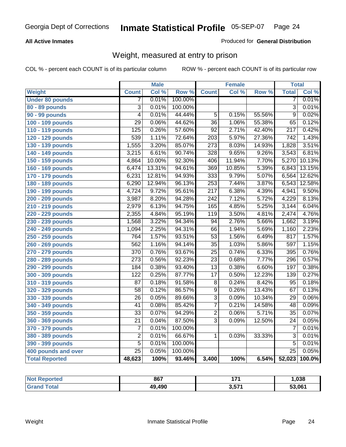#### **All Active Inmates**

#### Produced for **General Distribution**

### Weight, measured at entry to prison

|                        |                           | <b>Male</b> |         |                  | <b>Female</b> |        | <b>Total</b>     |        |
|------------------------|---------------------------|-------------|---------|------------------|---------------|--------|------------------|--------|
| Weight                 | <b>Count</b>              | Col %       | Row %   | <b>Count</b>     | Col %         | Row %  | <b>Total</b>     | Col %  |
| <b>Under 80 pounds</b> | 7                         | 0.01%       | 100.00% |                  |               |        | 7                | 0.01%  |
| 80 - 89 pounds         | $\overline{\overline{3}}$ | 0.01%       | 100.00% |                  |               |        | $\overline{3}$   | 0.01%  |
| 90 - 99 pounds         | $\overline{4}$            | 0.01%       | 44.44%  | $\overline{5}$   | 0.15%         | 55.56% | $\overline{9}$   | 0.02%  |
| 100 - 109 pounds       | $\overline{29}$           | 0.06%       | 44.62%  | $\overline{36}$  | 1.06%         | 55.38% | 65               | 0.12%  |
| 110 - 119 pounds       | 125                       | 0.26%       | 57.60%  | $\overline{92}$  | 2.71%         | 42.40% | $\overline{217}$ | 0.42%  |
| 120 - 129 pounds       | 539                       | 1.11%       | 72.64%  | $\overline{203}$ | 5.97%         | 27.36% | $\overline{742}$ | 1.43%  |
| 130 - 139 pounds       | 1,555                     | 3.20%       | 85.07%  | $\overline{273}$ | 8.03%         | 14.93% | 1,828            | 3.51%  |
| 140 - 149 pounds       | 3,215                     | 6.61%       | 90.74%  | 328              | 9.65%         | 9.26%  | 3,543            | 6.81%  |
| 150 - 159 pounds       | 4,864                     | 10.00%      | 92.30%  | 406              | 11.94%        | 7.70%  | 5,270            | 10.13% |
| 160 - 169 pounds       | 6,474                     | 13.31%      | 94.61%  | 369              | 10.85%        | 5.39%  | 6,843            | 13.15% |
| 170 - 179 pounds       | 6,231                     | 12.81%      | 94.93%  | 333              | 9.79%         | 5.07%  | 6,564            | 12.62% |
| 180 - 189 pounds       | 6,290                     | 12.94%      | 96.13%  | 253              | 7.44%         | 3.87%  | 6,543            | 12.58% |
| 190 - 199 pounds       | 4,724                     | 9.72%       | 95.61%  | $\overline{217}$ | 6.38%         | 4.39%  | 4,941            | 9.50%  |
| 200 - 209 pounds       | 3,987                     | 8.20%       | 94.28%  | 242              | 7.12%         | 5.72%  | 4,229            | 8.13%  |
| 210 - 219 pounds       | 2,979                     | 6.13%       | 94.75%  | 165              | 4.85%         | 5.25%  | 3,144            | 6.04%  |
| 220 - 229 pounds       | 2,355                     | 4.84%       | 95.19%  | $\overline{119}$ | 3.50%         | 4.81%  | 2,474            | 4.76%  |
| 230 - 239 pounds       | 1,568                     | 3.22%       | 94.34%  | 94               | 2.76%         | 5.66%  | 1,662            | 3.19%  |
| 240 - 249 pounds       | 1,094                     | 2.25%       | 94.31%  | 66               | 1.94%         | 5.69%  | 1,160            | 2.23%  |
| 250 - 259 pounds       | 764                       | 1.57%       | 93.51%  | $\overline{53}$  | 1.56%         | 6.49%  | 817              | 1.57%  |
| 260 - 269 pounds       | 562                       | 1.16%       | 94.14%  | $\overline{35}$  | 1.03%         | 5.86%  | 597              | 1.15%  |
| 270 - 279 pounds       | 370                       | 0.76%       | 93.67%  | $\overline{25}$  | 0.74%         | 6.33%  | 395              | 0.76%  |
| 280 - 289 pounds       | $\overline{273}$          | 0.56%       | 92.23%  | $\overline{23}$  | 0.68%         | 7.77%  | 296              | 0.57%  |
| 290 - 299 pounds       | 184                       | 0.38%       | 93.40%  | $\overline{13}$  | 0.38%         | 6.60%  | 197              | 0.38%  |
| 300 - 309 pounds       | 122                       | 0.25%       | 87.77%  | $\overline{17}$  | 0.50%         | 12.23% | 139              | 0.27%  |
| 310 - 319 pounds       | $\overline{87}$           | 0.18%       | 91.58%  | $\overline{8}$   | 0.24%         | 8.42%  | $\overline{95}$  | 0.18%  |
| 320 - 329 pounds       | $\overline{58}$           | 0.12%       | 86.57%  | $\overline{9}$   | 0.26%         | 13.43% | 67               | 0.13%  |
| 330 - 339 pounds       | $\overline{26}$           | 0.05%       | 89.66%  | $\overline{3}$   | 0.09%         | 10.34% | 29               | 0.06%  |
| 340 - 349 pounds       | 41                        | 0.08%       | 85.42%  | $\overline{7}$   | 0.21%         | 14.58% | 48               | 0.09%  |
| 350 - 359 pounds       | 33                        | 0.07%       | 94.29%  | $\overline{2}$   | 0.06%         | 5.71%  | $\overline{35}$  | 0.07%  |
| 360 - 369 pounds       | $\overline{21}$           | 0.04%       | 87.50%  | $\overline{3}$   | 0.09%         | 12.50% | 24               | 0.05%  |
| 370 - 379 pounds       | $\overline{7}$            | 0.01%       | 100.00% |                  |               |        | $\overline{7}$   | 0.01%  |
| 380 - 389 pounds       | $\overline{2}$            | 0.01%       | 66.67%  | 1                | 0.03%         | 33.33% | $\overline{3}$   | 0.01%  |
| 390 - 399 pounds       | $\overline{5}$            | 0.01%       | 100.00% |                  |               |        | $\overline{5}$   | 0.01%  |
| 400 pounds and over    | $\overline{25}$           | 0.05%       | 100.00% |                  |               |        | $\overline{25}$  | 0.05%  |
| <b>Total Reported</b>  | 48,623                    | 100%        | 93.46%  | 3,400            | 100%          | 6.54%  | 52,023           | 100.0% |

| <b>Not</b><br>Reported | 867    | ィラィ           | ,038   |
|------------------------|--------|---------------|--------|
| <b>Total</b>           | 49,490 | l 574<br>וטוט | 53,061 |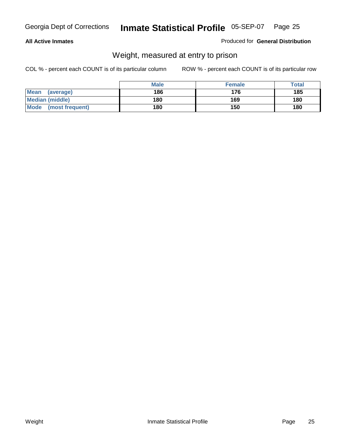#### **All Active Inmates**

#### Produced for **General Distribution**

### Weight, measured at entry to prison

|                         | <b>Male</b> | <b>Female</b> | Total |
|-------------------------|-------------|---------------|-------|
| Mean<br>(average)       | 186         | 176           | 185   |
| <b>Median (middle)</b>  | 180         | 169           | 180   |
| Mode<br>(most frequent) | 180         | 150           | 180   |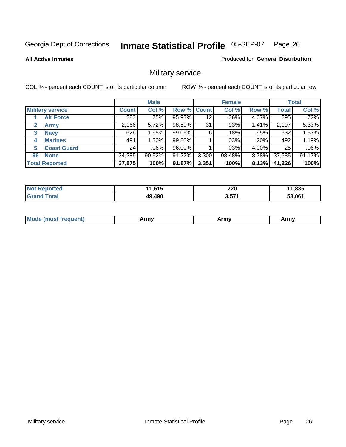**All Active Inmates**

#### Produced for **General Distribution**

# Military service

|                         |                  | <b>Male</b> |             |       | <b>Female</b> |          |              | <b>Total</b> |
|-------------------------|------------------|-------------|-------------|-------|---------------|----------|--------------|--------------|
| <b>Military service</b> | <b>Count</b>     | Col %       | Row % Count |       | Col %         | Row %    | <b>Total</b> | Col %        |
| <b>Air Force</b>        | $\overline{283}$ | .75%        | 95.93%      | 12    | $.36\%$       | 4.07%    | 295          | .72%         |
| <b>Army</b>             | 2,166            | 5.72%       | 98.59%      | 31    | .93%          | 1.41%    | 2,197        | 5.33%        |
| <b>Navy</b><br>3        | 626              | 1.65%       | 99.05%      | 6     | .18%          | .95%     | 632          | 1.53%        |
| <b>Marines</b><br>4     | 491              | 1.30%       | 99.80%      |       | $.03\%$       | .20%     | 492          | 1.19%        |
| <b>Coast Guard</b><br>5 | 24               | $.06\%$     | 96.00%      |       | $.03\%$       | 4.00%    | 25           | .06%         |
| <b>None</b><br>96       | 34,285           | 90.52%      | 91.22%      | 3,300 | 98.48%        | $8.78\%$ | 37,585       | 91.17%       |
| <b>Total Reported</b>   | 37,875           | 100%        | 91.87%      | 3,351 | 100%          | 8.13%    | 41,226       | 100%         |

| <b>Reported</b><br><b>NOT</b> | 11,615 | 220<br>__ | 11,835 |
|-------------------------------|--------|-----------|--------|
| Γotal<br><b>Grand</b>         | 49,490 | 3,571     | 53.061 |

|  | <b>Mode</b><br>reauent)<br>.ost if | Army | Army | Army |
|--|------------------------------------|------|------|------|
|--|------------------------------------|------|------|------|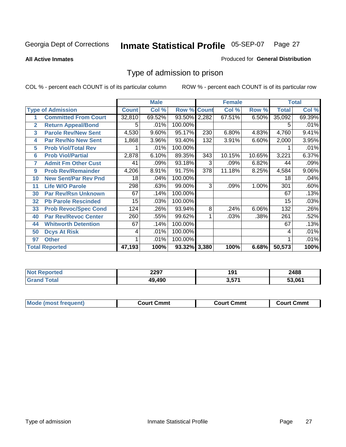**All Active Inmates**

#### Produced for **General Distribution**

### Type of admission to prison

|                |                             |              | <b>Male</b> |                    |     | <b>Female</b> |        |              | <b>Total</b> |
|----------------|-----------------------------|--------------|-------------|--------------------|-----|---------------|--------|--------------|--------------|
|                | <b>Type of Admission</b>    | <b>Count</b> | Col %       | <b>Row % Count</b> |     | Col %         | Row %  | <b>Total</b> | Col %        |
|                | <b>Committed From Court</b> | 32,810       | 69.52%      | 93.50% 2,282       |     | 67.51%        | 6.50%  | 35,092       | 69.39%       |
| $\overline{2}$ | <b>Return Appeal/Bond</b>   | 5            | .01%        | 100.00%            |     |               |        | 5            | .01%         |
| 3              | <b>Parole Rev/New Sent</b>  | 4,530        | 9.60%       | 95.17%             | 230 | 6.80%         | 4.83%  | 4,760        | 9.41%        |
| 4              | <b>Par Rev/No New Sent</b>  | 1,868        | 3.96%       | 93.40%             | 132 | 3.91%         | 6.60%  | 2,000        | 3.95%        |
| 5              | <b>Prob Viol/Total Rev</b>  |              | .01%        | 100.00%            |     |               |        |              | .01%         |
| 6              | <b>Prob Viol/Partial</b>    | 2,878        | 6.10%       | 89.35%             | 343 | 10.15%        | 10.65% | 3,221        | 6.37%        |
| 7              | <b>Admit Fm Other Cust</b>  | 41           | .09%        | 93.18%             | 3   | .09%          | 6.82%  | 44           | .09%         |
| 9              | <b>Prob Rev/Remainder</b>   | 4,206        | 8.91%       | 91.75%             | 378 | 11.18%        | 8.25%  | 4,584        | 9.06%        |
| 10             | <b>New Sent/Par Rev Pnd</b> | 18           | .04%        | 100.00%            |     |               |        | 18           | .04%         |
| 11             | <b>Life W/O Parole</b>      | 298          | .63%        | 99.00%             | 3   | .09%          | 1.00%  | 301          | .60%         |
| 30             | <b>Par Rev/Rsn Unknown</b>  | 67           | .14%        | 100.00%            |     |               |        | 67           | .13%         |
| 32             | <b>Pb Parole Rescinded</b>  | 15           | .03%        | 100.00%            |     |               |        | 15           | .03%         |
| 33             | <b>Prob Revoc/Spec Cond</b> | 124          | .26%        | 93.94%             | 8   | .24%          | 6.06%  | 132          | .26%         |
| 40             | Par Rev/Revoc Center        | 260          | .55%        | 99.62%             |     | .03%          | .38%   | 261          | .52%         |
| 44             | <b>Whitworth Detention</b>  | 67           | .14%        | 100.00%            |     |               |        | 67           | .13%         |
| 50             | <b>Dcys At Risk</b>         | 4            | .01%        | 100.00%            |     |               |        | 4            | .01%         |
| 97             | <b>Other</b>                |              | .01%        | 100.00%            |     |               |        |              | .01%         |
|                | <b>Total Reported</b>       | 47,193       | 100%        | 93.32% 3,380       |     | 100%          | 6.68%  | 50,573       | 100%         |

| <b>Not</b><br>oorted<br>NG, | 2297   | 191          | 2488   |
|-----------------------------|--------|--------------|--------|
| <b>Total</b>                | 49,490 | 2E74<br>3,57 | 53.061 |

| <b>Mode (most frequent)</b><br><b>Court Cmmt</b><br>Court Cmmt | <b>Court Cmmt</b> |
|----------------------------------------------------------------|-------------------|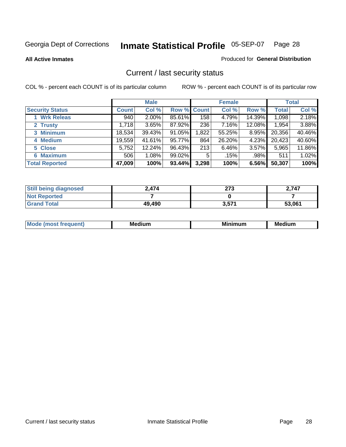**All Active Inmates**

Produced for **General Distribution**

### Current / last security status

|                        |              | <b>Male</b> |             |       | <b>Female</b> |          |              | <b>Total</b> |
|------------------------|--------------|-------------|-------------|-------|---------------|----------|--------------|--------------|
| <b>Security Status</b> | <b>Count</b> | Col %       | Row % Count |       | Col %         | Row %    | <b>Total</b> | Col %        |
| 1 Wrk Releas           | 940          | $2.00\%$    | 85.61%      | 158   | 4.79%         | 14.39%   | 1,098        | 2.18%        |
| 2 Trusty               | 1,718        | 3.65%       | 87.92%      | 236   | 7.16%         | 12.08%   | 1,954        | 3.88%        |
| 3 Minimum              | 18,534       | 39.43%      | 91.05%      | 1,822 | 55.25%        | $8.95\%$ | 20,356       | 40.46%       |
| 4 Medium               | 19,559       | 41.61%      | 95.77%      | 864   | 26.20%        | 4.23%    | 20,423       | 40.60%       |
| 5 Close                | 5,752        | 12.24%      | 96.43%      | 213   | 6.46%         | 3.57%    | 5,965        | 11.86%       |
| 6 Maximum              | 506          | 1.08%       | 99.02%      | 5     | .15%          | .98%     | 511          | 1.02%        |
| <b>Total Reported</b>  | 47,009       | 100%        | 93.44%      | 3,298 | 100%          | 6.56%    | 50,307       | 100%         |

| <b>Still being diagnosed</b> | 2.474  | クフク<br>د ا ع | 2,747  |
|------------------------------|--------|--------------|--------|
| <b>Not Reported</b>          |        |              |        |
| <b>Grand Total</b>           | 49.490 | 3,571        | 53,061 |

| M.<br>.<br>--<br>M.<br><b>ALL 1999</b><br>----<br>w. |  |  |
|------------------------------------------------------|--|--|
|                                                      |  |  |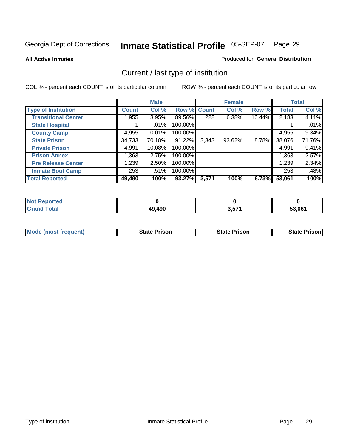**All Active Inmates**

#### Produced for **General Distribution**

# Current / last type of institution

|                            |              | <b>Male</b> |         |             | <b>Female</b> |        |              | <b>Total</b> |
|----------------------------|--------------|-------------|---------|-------------|---------------|--------|--------------|--------------|
| <b>Type of Institution</b> | <b>Count</b> | Col %       |         | Row % Count | Col %         | Row %  | <b>Total</b> | Col %        |
| <b>Transitional Center</b> | 1,955        | 3.95%       | 89.56%  | 228         | 6.38%         | 10.44% | 2,183        | 4.11%        |
| <b>State Hospital</b>      |              | $.01\%$     | 100.00% |             |               |        |              | .01%         |
| <b>County Camp</b>         | 4,955        | $10.01\%$   | 100.00% |             |               |        | 4,955        | 9.34%        |
| <b>State Prison</b>        | 34,733       | 70.18%      | 91.22%  | 3,343       | 93.62%        | 8.78%  | 38,076       | 71.76%       |
| <b>Private Prison</b>      | 4,991        | $10.08\%$   | 100.00% |             |               |        | 4,991        | 9.41%        |
| <b>Prison Annex</b>        | 1,363        | 2.75%       | 100.00% |             |               |        | 1,363        | 2.57%        |
| <b>Pre Release Center</b>  | 1,239        | 2.50%       | 100.00% |             |               |        | 1,239        | 2.34%        |
| <b>Inmate Boot Camp</b>    | 253          | $.51\%$     | 100.00% |             |               |        | 253          | .48%         |
| <b>Total Reported</b>      | 49,490       | 100%        | 93.27%  | 3,571       | 100%          | 6.73%  | 53,061       | 100%         |

| <b>Not</b><br>Reported |        |       |        |
|------------------------|--------|-------|--------|
| <b>Grand Total</b>     | 49,490 | 3,571 | 53.061 |

| <b>Mode (most frequent)</b> | State Prison | <b>State Prison</b> | <b>State Prison I</b> |
|-----------------------------|--------------|---------------------|-----------------------|
|                             |              |                     |                       |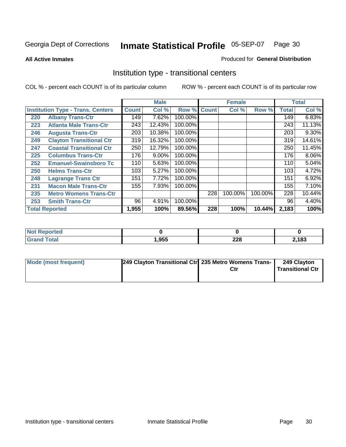**All Active Inmates**

#### Produced for **General Distribution**

### Institution type - transitional centers

|     |                                          |              | <b>Male</b> |                    |     | <b>Female</b> |         |              | <b>Total</b> |
|-----|------------------------------------------|--------------|-------------|--------------------|-----|---------------|---------|--------------|--------------|
|     | <b>Institution Type - Trans. Centers</b> | <b>Count</b> | Col %       | <b>Row % Count</b> |     | Col %         | Row %   | <b>Total</b> | Col %        |
| 220 | <b>Albany Trans-Ctr</b>                  | 149          | 7.62%       | 100.00%            |     |               |         | 149          | 6.83%        |
| 223 | <b>Atlanta Male Trans-Ctr</b>            | 243          | 12.43%      | 100.00%            |     |               |         | 243          | 11.13%       |
| 246 | <b>Augusta Trans-Ctr</b>                 | 203          | 10.38%      | 100.00%            |     |               |         | 203          | $9.30\%$     |
| 249 | <b>Clayton Transitional Ctr</b>          | 319          | 16.32%      | 100.00%            |     |               |         | 319          | 14.61%       |
| 247 | <b>Coastal Transitional Ctr</b>          | 250          | 12.79%      | 100.00%            |     |               |         | 250          | 11.45%       |
| 225 | <b>Columbus Trans-Ctr</b>                | 176          | 9.00%       | 100.00%            |     |               |         | 176          | 8.06%        |
| 252 | <b>Emanuel-Swainsboro Tc</b>             | 110          | 5.63%       | 100.00%            |     |               |         | 110          | 5.04%        |
| 250 | <b>Helms Trans-Ctr</b>                   | 103          | 5.27%       | 100.00%            |     |               |         | 103          | 4.72%        |
| 248 | <b>Lagrange Trans Ctr</b>                | 151          | 7.72%       | 100.00%            |     |               |         | 151          | 6.92%        |
| 231 | <b>Macon Male Trans-Ctr</b>              | 155          | 7.93%       | 100.00%            |     |               |         | 155          | 7.10%        |
| 235 | <b>Metro Womens Trans-Ctr</b>            |              |             |                    | 228 | 100.00%       | 100.00% | 228          | 10.44%       |
| 253 | <b>Smith Trans-Ctr</b>                   | 96           | 4.91%       | 100.00%            |     |               |         | 96           | 4.40%        |
|     | <b>Total Reported</b>                    | 1,955        | 100%        | 89.56%             | 228 | 100%          | 10.44%  | 2,183        | 100%         |

| <b>Reported</b> |      |            |      |
|-----------------|------|------------|------|
| <b>Total</b>    | ,955 | റററ<br>ZZO | ,183 |

| Mode (most frequent) | [249 Clayton Transitional Ctr] 235 Metro Womens Trans- |     | 249 Clayton      |
|----------------------|--------------------------------------------------------|-----|------------------|
|                      |                                                        | Ctr | Transitional Ctr |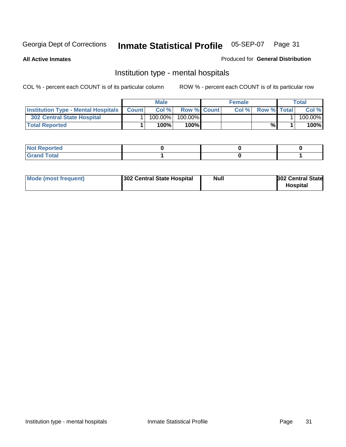**All Active Inmates**

#### Produced for **General Distribution**

### Institution type - mental hospitals

|                                                  | <b>Male</b> |                    | <b>Female</b> |                    | Total   |
|--------------------------------------------------|-------------|--------------------|---------------|--------------------|---------|
| <b>Institution Type - Mental Hospitals Count</b> | Col%        | <b>Row % Count</b> | Col%          | <b>Row % Total</b> | Col %   |
| 302 Central State Hospital                       | $100.00\%$  | 100.00%            |               |                    | 100.00% |
| <b>Total Reported</b>                            | 100%        | 100%               |               | %                  | 100%    |

| Not Reported |  |  |
|--------------|--|--|
| <b>otal</b>  |  |  |

| Mode (most frequent)<br>302 Central State Hospital | Null | <b>302 Central State</b><br><b>Hospital</b> |
|----------------------------------------------------|------|---------------------------------------------|
|----------------------------------------------------|------|---------------------------------------------|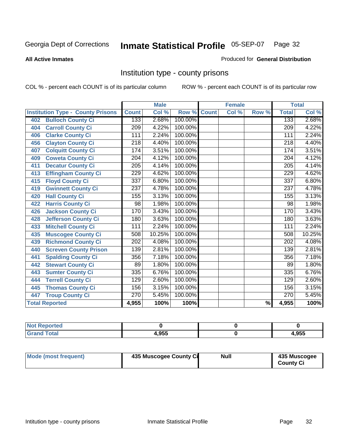#### **All Active Inmates**

#### Produced for **General Distribution**

### Institution type - county prisons

|                                          |                  | <b>Male</b> |         |              | <b>Female</b>      |                          |                  | <b>Total</b> |
|------------------------------------------|------------------|-------------|---------|--------------|--------------------|--------------------------|------------------|--------------|
| <b>Institution Type - County Prisons</b> | <b>Count</b>     | Col %       | Row %   | <b>Count</b> | $\overline{Col}$ % | Row %                    | <b>Total</b>     | Col %        |
| <b>Bulloch County Ci</b><br>402          | 133              | 2.68%       | 100.00% |              |                    |                          | 133              | 2.68%        |
| <b>Carroll County Ci</b><br>404          | $\overline{209}$ | 4.22%       | 100.00% |              |                    |                          | $\overline{209}$ | 4.22%        |
| <b>Clarke County Ci</b><br>406           | 111              | 2.24%       | 100.00% |              |                    |                          | 111              | 2.24%        |
| <b>Clayton County Ci</b><br>456          | 218              | 4.40%       | 100.00% |              |                    |                          | 218              | 4.40%        |
| <b>Colquitt County Ci</b><br>407         | 174              | 3.51%       | 100.00% |              |                    |                          | 174              | 3.51%        |
| <b>Coweta County Ci</b><br>409           | $\overline{204}$ | 4.12%       | 100.00% |              |                    |                          | $\overline{204}$ | 4.12%        |
| <b>Decatur County Ci</b><br>411          | $\overline{205}$ | 4.14%       | 100.00% |              |                    |                          | $\overline{205}$ | 4.14%        |
| <b>Effingham County Ci</b><br>413        | 229              | 4.62%       | 100.00% |              |                    |                          | 229              | 4.62%        |
| <b>Floyd County Ci</b><br>415            | 337              | 6.80%       | 100.00% |              |                    |                          | 337              | 6.80%        |
| <b>Gwinnett County Ci</b><br>419         | $\overline{237}$ | 4.78%       | 100.00% |              |                    |                          | $\overline{237}$ | 4.78%        |
| <b>Hall County Ci</b><br>420             | 155              | 3.13%       | 100.00% |              |                    |                          | 155              | 3.13%        |
| <b>Harris County Ci</b><br>422           | 98               | 1.98%       | 100.00% |              |                    |                          | 98               | 1.98%        |
| <b>Jackson County Ci</b><br>426          | 170              | 3.43%       | 100.00% |              |                    |                          | 170              | 3.43%        |
| <b>Jefferson County Ci</b><br>428        | 180              | 3.63%       | 100.00% |              |                    |                          | 180              | 3.63%        |
| <b>Mitchell County Ci</b><br>433         | 111              | 2.24%       | 100.00% |              |                    |                          | 111              | 2.24%        |
| <b>Muscogee County Ci</b><br>435         | 508              | 10.25%      | 100.00% |              |                    |                          | 508              | 10.25%       |
| <b>Richmond County Ci</b><br>439         | $\overline{202}$ | 4.08%       | 100.00% |              |                    |                          | 202              | 4.08%        |
| <b>Screven County Prison</b><br>440      | 139              | 2.81%       | 100.00% |              |                    |                          | 139              | 2.81%        |
| <b>Spalding County Ci</b><br>441         | 356              | 7.18%       | 100.00% |              |                    |                          | 356              | 7.18%        |
| <b>Stewart County Ci</b><br>442          | 89               | 1.80%       | 100.00% |              |                    |                          | 89               | 1.80%        |
| <b>Sumter County Ci</b><br>443           | 335              | 6.76%       | 100.00% |              |                    |                          | 335              | 6.76%        |
| <b>Terrell County Ci</b><br>444          | 129              | 2.60%       | 100.00% |              |                    |                          | 129              | 2.60%        |
| <b>Thomas County Ci</b><br>445           | 156              | 3.15%       | 100.00% |              |                    |                          | 156              | 3.15%        |
| <b>Troup County Ci</b><br>447            | $\overline{270}$ | 5.45%       | 100.00% |              |                    |                          | 270              | 5.45%        |
| <b>Total Reported</b>                    | 4,955            | 100%        | 100%    |              |                    | $\overline{\frac{9}{6}}$ | 4,955            | 100%         |

| τeα                                |       |       |
|------------------------------------|-------|-------|
| $\sim$ $\sim$ $\sim$ $\sim$ $\sim$ | 4.955 | 1,955 |

| Mode (most frequent) | 435 Muscogee County Ci | Null | 435 Muscogee |
|----------------------|------------------------|------|--------------|
|                      |                        |      | County Ci    |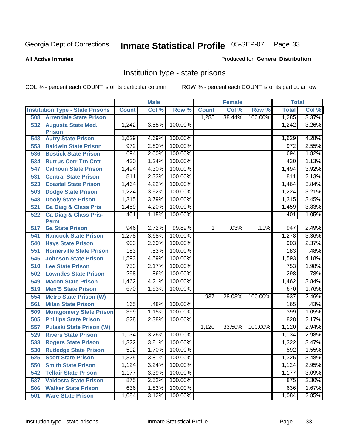#### **All Active Inmates**

#### Produced for **General Distribution**

### Institution type - state prisons

|     |                                            |              | <b>Male</b> |         |              | <b>Female</b> |         | <b>Total</b> |       |
|-----|--------------------------------------------|--------------|-------------|---------|--------------|---------------|---------|--------------|-------|
|     | <b>Institution Type - State Prisons</b>    | <b>Count</b> | Col %       | Row %   | <b>Count</b> | Col %         | Row %   | <b>Total</b> | Col % |
| 508 | <b>Arrendale State Prison</b>              |              |             |         | 1,285        | 38.44%        | 100.00% | 1,285        | 3.37% |
| 532 | <b>Augusta State Med.</b><br><b>Prison</b> | 1,242        | 3.58%       | 100.00% |              |               |         | 1,242        | 3.26% |
| 543 | <b>Autry State Prison</b>                  | 1,629        | 4.69%       | 100.00% |              |               |         | 1,629        | 4.28% |
| 553 | <b>Baldwin State Prison</b>                | 972          | 2.80%       | 100.00% |              |               |         | 972          | 2.55% |
| 536 | <b>Bostick State Prison</b>                | 694          | 2.00%       | 100.00% |              |               |         | 694          | 1.82% |
| 534 | <b>Burrus Corr Trn Cntr</b>                | 430          | 1.24%       | 100.00% |              |               |         | 430          | 1.13% |
| 547 | <b>Calhoun State Prison</b>                | 1,494        | 4.30%       | 100.00% |              |               |         | 1,494        | 3.92% |
| 531 | <b>Central State Prison</b>                | 811          | 2.33%       | 100.00% |              |               |         | 811          | 2.13% |
| 523 | <b>Coastal State Prison</b>                | 1,464        | 4.22%       | 100.00% |              |               |         | 1,464        | 3.84% |
| 503 | <b>Dodge State Prison</b>                  | 1,224        | 3.52%       | 100.00% |              |               |         | 1,224        | 3.21% |
| 548 | <b>Dooly State Prison</b>                  | 1,315        | 3.79%       | 100.00% |              |               |         | 1,315        | 3.45% |
| 521 | <b>Ga Diag &amp; Class Pris</b>            | 1,459        | 4.20%       | 100.00% |              |               |         | 1,459        | 3.83% |
| 522 | <b>Ga Diag &amp; Class Pris-</b>           | 401          | 1.15%       | 100.00% |              |               |         | 401          | 1.05% |
|     | <b>Perm</b>                                |              |             |         |              |               |         |              |       |
| 517 | <b>Ga State Prison</b>                     | 946          | 2.72%       | 99.89%  | 1.           | .03%          | .11%    | 947          | 2.49% |
| 541 | <b>Hancock State Prison</b>                | 1,278        | 3.68%       | 100.00% |              |               |         | 1,278        | 3.36% |
| 540 | <b>Hays State Prison</b>                   | 903          | 2.60%       | 100.00% |              |               |         | 903          | 2.37% |
| 551 | <b>Homerville State Prison</b>             | 183          | .53%        | 100.00% |              |               |         | 183          | .48%  |
| 545 | <b>Johnson State Prison</b>                | 1,593        | 4.59%       | 100.00% |              |               |         | 1,593        | 4.18% |
| 510 | <b>Lee State Prison</b>                    | 753          | 2.17%       | 100.00% |              |               |         | 753          | 1.98% |
| 502 | <b>Lowndes State Prison</b>                | 298          | .86%        | 100.00% |              |               |         | 298          | .78%  |
| 549 | <b>Macon State Prison</b>                  | 1,462        | 4.21%       | 100.00% |              |               |         | 1,462        | 3.84% |
| 519 | <b>Men'S State Prison</b>                  | 670          | 1.93%       | 100.00% |              |               |         | 670          | 1.76% |
| 554 | <b>Metro State Prison (W)</b>              |              |             |         | 937          | 28.03%        | 100.00% | 937          | 2.46% |
| 561 | <b>Milan State Prison</b>                  | 165          | .48%        | 100.00% |              |               |         | 165          | .43%  |
| 509 | <b>Montgomery State Prison</b>             | 399          | 1.15%       | 100.00% |              |               |         | 399          | 1.05% |
| 505 | <b>Phillips State Prison</b>               | 828          | 2.38%       | 100.00% |              |               |         | 828          | 2.17% |
| 557 | <b>Pulaski State Prison (W)</b>            |              |             |         | 1,120        | 33.50%        | 100.00% | 1,120        | 2.94% |
| 529 | <b>Rivers State Prison</b>                 | 1,134        | 3.26%       | 100.00% |              |               |         | 1,134        | 2.98% |
| 533 | <b>Rogers State Prison</b>                 | 1,322        | 3.81%       | 100.00% |              |               |         | 1,322        | 3.47% |
| 530 | <b>Rutledge State Prison</b>               | 592          | 1.70%       | 100.00% |              |               |         | 592          | 1.55% |
| 525 | <b>Scott State Prison</b>                  | 1,325        | 3.81%       | 100.00% |              |               |         | 1,325        | 3.48% |
| 550 | <b>Smith State Prison</b>                  | 1,124        | 3.24%       | 100.00% |              |               |         | 1,124        | 2.95% |
| 542 | <b>Telfair State Prison</b>                | 1,177        | 3.39%       | 100.00% |              |               |         | 1,177        | 3.09% |
| 537 | <b>Valdosta State Prison</b>               | 875          | 2.52%       | 100.00% |              |               |         | 875          | 2.30% |
| 506 | <b>Walker State Prison</b>                 | 636          | 1.83%       | 100.00% |              |               |         | 636          | 1.67% |
| 501 | <b>Ware State Prison</b>                   | 1,084        | 3.12%       | 100.00% |              |               |         | 1,084        | 2.85% |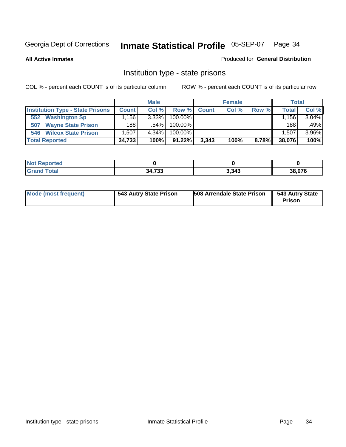**All Active Inmates**

#### Produced for **General Distribution**

### Institution type - state prisons

|                                         |                   | <b>Male</b> |            |       | <b>Female</b> |       | <b>Total</b> |       |
|-----------------------------------------|-------------------|-------------|------------|-------|---------------|-------|--------------|-------|
| <b>Institution Type - State Prisons</b> | <b>Count</b>      | Col %       | Row %      | Count | Col %         | Row % | Total        | Col % |
| <b>Washington Sp</b><br>552             | .156 <sup>1</sup> | $3.33\%$    | $100.00\%$ |       |               |       | ⊟156         | 3.04% |
| <b>Wayne State Prison</b><br>507        | 188               | .54%        | $100.00\%$ |       |               |       | 188          | .49%  |
| <b>Wilcox State Prison</b><br>546       | .507              | 4.34%       | $100.00\%$ |       |               |       | 1.507        | 3.96% |
| <b>Total Reported</b>                   | 34,733            | 100%        | $91.22\%$  | 3,343 | 100%          | 8.78% | 38,076       | 100%  |

| <b>Not</b><br><b>Reported</b> |                  |       |                |
|-------------------------------|------------------|-------|----------------|
| <b>Total</b>                  | 34.733<br>טט ו ד | 3,343 | 38.076<br>.076 |

| <b>Mode (most frequent)</b> | 543 Autry State Prison | 508 Arrendale State Prison | 543 Autry State<br><b>Prison</b> |
|-----------------------------|------------------------|----------------------------|----------------------------------|
|-----------------------------|------------------------|----------------------------|----------------------------------|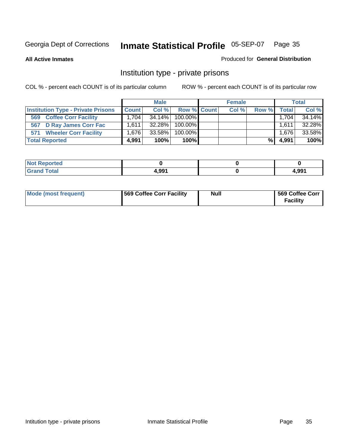**All Active Inmates**

#### Produced for **General Distribution**

### Institution type - private prisons

|                                           |              | <b>Male</b> |             | <b>Female</b> |       |       | <b>Total</b> |
|-------------------------------------------|--------------|-------------|-------------|---------------|-------|-------|--------------|
| <b>Institution Type - Private Prisons</b> | <b>Count</b> | Col %       | Row % Count | Col %         | Row % | Total | Col %        |
| <b>Coffee Corr Facility</b><br>569        | 1.704        | $34.14\%$   | $100.00\%$  |               |       | 1,704 | 34.14%       |
| 567 D Ray James Corr Fac                  | 1.6111       | $32.28\%$   | 100.00%     |               |       | 1.611 | 32.28%       |
| <b>Wheeler Corr Facility</b><br>571       | 1.676        | 33.58%      | 100.00%     |               |       | 1,676 | 33.58%       |
| <b>Total Reported</b>                     | 4,991        | 100%        | 100%        |               | %।    | 4,991 | 100%         |

| keported∡<br>Not                            |       |       |
|---------------------------------------------|-------|-------|
| <b>Total</b><br>$\mathbf{v}$ . $\mathbf{u}$ | 4,991 | 991,ا |

| <b>Mode (most frequent)</b> | 569 Coffee Corr Facility | <b>Null</b> | 569 Coffee Corr<br><b>Facility</b> |
|-----------------------------|--------------------------|-------------|------------------------------------|
|-----------------------------|--------------------------|-------------|------------------------------------|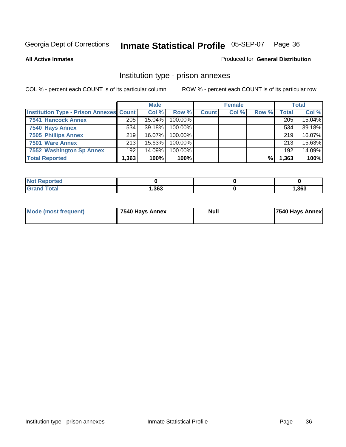#### **All Active Inmates**

#### Produced for **General Distribution**

### Institution type - prison annexes

|                                                |        | <b>Male</b> |            |              | <b>Female</b> |       |              | <b>Total</b> |
|------------------------------------------------|--------|-------------|------------|--------------|---------------|-------|--------------|--------------|
| <b>Institution Type - Prison Annexes Count</b> |        | Col %       | Row %      | <b>Count</b> | Col %         | Row % | <b>Total</b> | Col %        |
| <b>7541 Hancock Annex</b>                      | 205    | 15.04%      | 100.00%    |              |               |       | 205          | 15.04%       |
| 7540 Hays Annex                                | 534    | $39.18\%$   | $100.00\%$ |              |               |       | 534          | 39.18%       |
| <b>7505 Phillips Annex</b>                     | 219    | $16.07\%$   | 100.00%    |              |               |       | 219          | 16.07%       |
| 7501 Ware Annex                                | 213    | 15.63%      | $100.00\%$ |              |               |       | 213          | 15.63%       |
| 7552 Washington Sp Annex                       | 192    | $14.09\%$   | 100.00%    |              |               |       | 192          | 14.09%       |
| <b>Total Reported</b>                          | 363, ا | 100%        | 100%       |              |               | %     | 1,363        | 100%         |

| ported<br><b>NOT</b><br><b>NGI</b> |      |      |
|------------------------------------|------|------|
| <b>Total</b><br><b>Grar</b>        | ,363 | ,363 |

| Mode (most frequent) | 7540 Hays Annex | <b>Null</b> | <b>7540 Hays Annex</b> |
|----------------------|-----------------|-------------|------------------------|
|                      |                 |             |                        |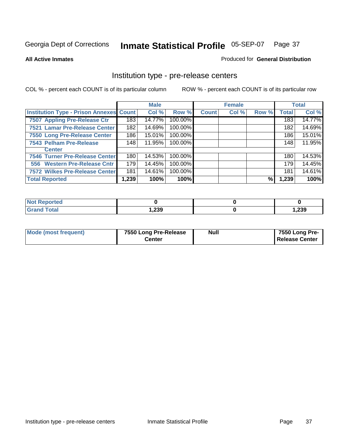### **All Active Inmates**

## Produced for **General Distribution**

# Institution type - pre-release centers

|                                         |       | <b>Male</b> |         |              | <b>Female</b> |       |              | <b>Total</b> |
|-----------------------------------------|-------|-------------|---------|--------------|---------------|-------|--------------|--------------|
| Institution Type - Prison Annexes Count |       | Col %       | Row %   | <b>Count</b> | Col %         | Row % | <b>Total</b> | Col %        |
| 7507 Appling Pre-Release Ctr            | 183   | 14.77%      | 100.00% |              |               |       | 183          | 14.77%       |
| 7521 Lamar Pre-Release Center           | 182   | 14.69%      | 100.00% |              |               |       | 182          | 14.69%       |
| 7550 Long Pre-Release Center            | 186   | 15.01%      | 100.00% |              |               |       | 186          | 15.01%       |
| 7543 Pelham Pre-Release                 | 148   | 11.95%      | 100.00% |              |               |       | 148          | 11.95%       |
| <b>Center</b>                           |       |             |         |              |               |       |              |              |
| 7546 Turner Pre-Release Center          | 180   | 14.53%      | 100.00% |              |               |       | 180          | 14.53%       |
| 556 Western Pre-Release Cntr            | 179   | 14.45%      | 100.00% |              |               |       | 179          | 14.45%       |
| 7572 Wilkes Pre-Release Center          | 181   | 14.61%      | 100.00% |              |               |       | 181          | 14.61%       |
| <b>Total Reported</b>                   | 1,239 | 100%        | 100%    |              |               | %     | 1,239        | 100%         |

| <b>Reported</b>              |       |       |
|------------------------------|-------|-------|
| <b>Total</b><br><b>Grand</b> | 1,239 | 1,239 |

| Mode (most frequent) | 7550 Long Pre-Release | <b>Null</b> | 7550 Long Pre-        |
|----------------------|-----------------------|-------------|-----------------------|
|                      | Center                |             | <b>Release Center</b> |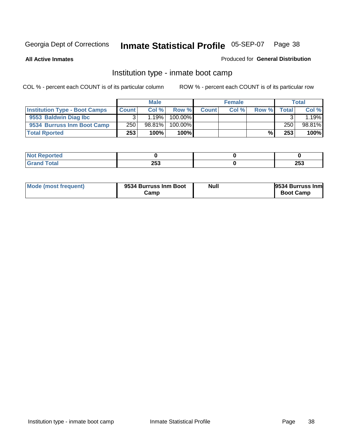**All Active Inmates**

## Produced for **General Distribution**

# Institution type - inmate boot camp

|                                      |              | <b>Male</b> |         |              | <b>Female</b> |       |       | <b>Total</b> |
|--------------------------------------|--------------|-------------|---------|--------------|---------------|-------|-------|--------------|
| <b>Institution Type - Boot Camps</b> | <b>Count</b> | Col %       | Row %   | <b>Count</b> | Col %         | Row % | Total | Col %        |
| 9553 Baldwin Diag Ibc                |              | $.19\%$     | 100.00% |              |               |       |       | l.19%l       |
| 9534 Burruss Inm Boot Camp           | 250          | 98.81%      | 100.00% |              |               |       | 250   | 98.81%       |
| <b>Total Rported</b>                 | 253          | 100%        | 100%    |              |               | %     | 253   | 100%         |

| τeα<br>.              |     |     |
|-----------------------|-----|-----|
| <b>otal</b><br>$\sim$ | 253 | 253 |

| Mode (most frequent) | 9534 Burruss Inm Boot<br>Camp | Null | 9534 Burruss Inm<br><b>Boot Camp</b> |
|----------------------|-------------------------------|------|--------------------------------------|
|----------------------|-------------------------------|------|--------------------------------------|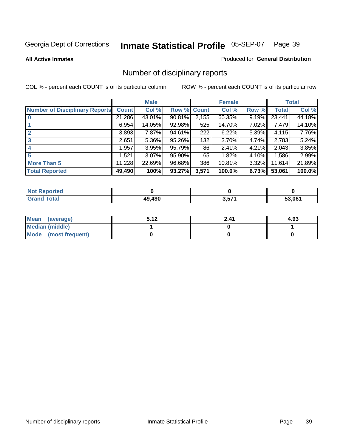**All Active Inmates**

### Produced for **General Distribution**

# Number of disciplinary reports

|                                       |              | <b>Male</b> |        |              | <b>Female</b> |       |              | <b>Total</b> |
|---------------------------------------|--------------|-------------|--------|--------------|---------------|-------|--------------|--------------|
| <b>Number of Disciplinary Reports</b> | <b>Count</b> | Col %       | Row %  | <b>Count</b> | Col %         | Row % | <b>Total</b> | Col %        |
|                                       | 21,286       | 43.01%      | 90.81% | 2,155        | 60.35%        | 9.19% | 23,441       | 44.18%       |
|                                       | 6,954        | 14.05%      | 92.98% | 525          | 14.70%        | 7.02% | 7,479        | 14.10%       |
| 2                                     | 3,893        | 7.87%       | 94.61% | 222          | 6.22%         | 5.39% | 4,115        | 7.76%        |
| 3                                     | 2,651        | 5.36%       | 95.26% | 132          | 3.70%         | 4.74% | 2,783        | 5.24%        |
|                                       | .957         | 3.95%       | 95.79% | 86           | 2.41%         | 4.21% | 2,043        | 3.85%        |
| 5                                     | .521         | $3.07\%$    | 95.90% | 65           | 1.82%         | 4.10% | 1,586        | 2.99%        |
| <b>More Than 5</b>                    | 11,228       | 22.69%      | 96.68% | 386          | 10.81%        | 3.32% | 11,614       | 21.89%       |
| <b>Total Reported</b>                 | 49,490       | 100%        | 93.27% | 3,571        | 100.0%        | 6.73% | 53,061       | 100.0%       |

| N      |        |                     |        |
|--------|--------|---------------------|--------|
| $\sim$ | 40.400 | 674<br>J.J <i>I</i> | 53.061 |

| Mean (average)       | E 19<br>. J. I ∠ | 2.41 | 4.93 |
|----------------------|------------------|------|------|
| Median (middle)      |                  |      |      |
| Mode (most frequent) |                  |      |      |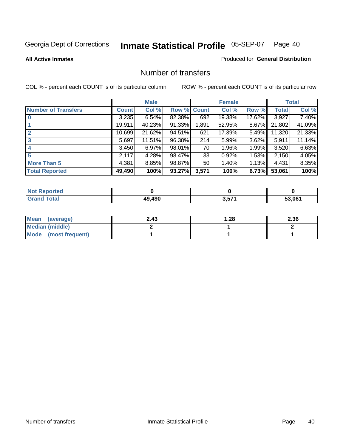#### **All Active Inmates**

### Produced for **General Distribution**

# Number of transfers

|                            |         | <b>Male</b> |        |              | <b>Female</b> |          |              | <b>Total</b> |
|----------------------------|---------|-------------|--------|--------------|---------------|----------|--------------|--------------|
| <b>Number of Transfers</b> | Count l | Col %       | Row %  | <b>Count</b> | Col %         | Row %    | <b>Total</b> | Col %        |
|                            | 3,235   | 6.54%       | 82.38% | 692          | 19.38%        | 17.62%   | 3,927        | 7.40%        |
|                            | 19,911  | 40.23%      | 91.33% | 1,891        | 52.95%        | $8.67\%$ | 21,802       | 41.09%       |
|                            | 10,699  | 21.62%      | 94.51% | 621          | 17.39%        | 5.49%    | 11,320       | 21.33%       |
| 3                          | 5,697   | 11.51%      | 96.38% | 214          | 5.99%         | $3.62\%$ | 5,911        | 11.14%       |
|                            | 3.450   | 6.97%       | 98.01% | 70           | 1.96%         | $1.99\%$ | 3,520        | 6.63%        |
| 5                          | 2,117   | 4.28%       | 98.47% | 33           | 0.92%         | 1.53%    | 2,150        | 4.05%        |
| <b>More Than 5</b>         | 4,381   | 8.85%       | 98.87% | 50           | 1.40%         | $1.13\%$ | 4,431        | 8.35%        |
| <b>Total Reported</b>      | 49,490  | 100%        | 93.27% | 3,571        | 100%          | 6.73%    | 53,061       | 100%         |

| Tec<br>NG |        |       |        |
|-----------|--------|-------|--------|
| ັດfal     | 40.400 | 3,57' | 53.061 |

| Mean (average)       | 2.43 | 1.28 | 2.36 |
|----------------------|------|------|------|
| Median (middle)      |      |      |      |
| Mode (most frequent) |      |      |      |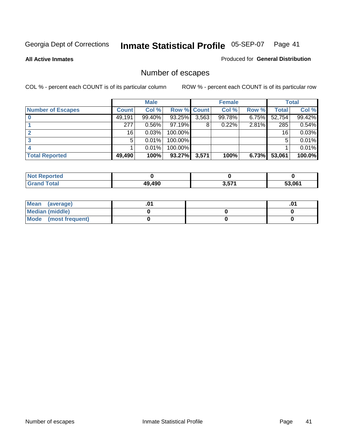**All Active Inmates**

### Produced for **General Distribution**

# Number of escapes

|                          |              | <b>Male</b> |                    |       | <b>Female</b> |          |              | <b>Total</b> |
|--------------------------|--------------|-------------|--------------------|-------|---------------|----------|--------------|--------------|
| <b>Number of Escapes</b> | <b>Count</b> | Col %       | <b>Row % Count</b> |       | Col %         | Row %    | <b>Total</b> | Col %        |
|                          | 49,191       | 99.40%      | 93.25%             | 3,563 | 99.78%        | $6.75\%$ | 52,754       | 99.42%       |
|                          | 277          | 0.56%       | $97.19\%$          | 8     | 0.22%         | 2.81%    | 285          | 0.54%        |
|                          | 16           | 0.03%       | 100.00%            |       |               |          | 16           | 0.03%        |
|                          | 5            | 0.01%       | 100.00%            |       |               |          |              | 0.01%        |
|                          |              | 0.01%       | $100.00\%$         |       |               |          |              | 0.01%        |
| <b>Total Reported</b>    | 49,490       | 100%        | 93.27%             | 3,571 | 100%          | 6.73%    | 53,061       | 100.0%       |

| <b>Not Reported</b> |        |              |        |
|---------------------|--------|--------------|--------|
| Total               | 49.490 | 2 574<br>J.J | 53.061 |

| Mean (average)       |  | .0 |
|----------------------|--|----|
| Median (middle)      |  |    |
| Mode (most frequent) |  |    |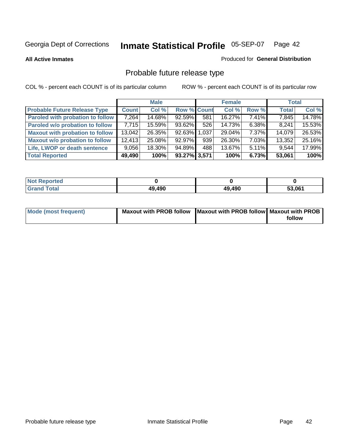**All Active Inmates**

### Produced for **General Distribution**

# Probable future release type

|                                         |        | <b>Male</b> |                    |     | <b>Female</b> |          | <b>Total</b> |        |
|-----------------------------------------|--------|-------------|--------------------|-----|---------------|----------|--------------|--------|
| <b>Probable Future Release Type</b>     | Count  | Col%        | <b>Row % Count</b> |     | Col %         | Row %    | <b>Total</b> | Col %  |
| <b>Paroled with probation to follow</b> | 7,264  | 14.68%      | 92.59%             | 581 | 16.27%        | $7.41\%$ | 7,845        | 14.78% |
| Paroled w/o probation to follow         | 7,715  | 15.59%      | 93.62%             | 526 | 14.73%        | $6.38\%$ | 8,241        | 15.53% |
| <b>Maxout with probation to follow</b>  | 13,042 | 26.35%      | 92.63% 1.037       |     | 29.04%        | $7.37\%$ | 14,079       | 26.53% |
| <b>Maxout w/o probation to follow</b>   | 12,413 | 25.08%      | $92.97\%$          | 939 | 26.30%        | $7.03\%$ | 13,352       | 25.16% |
| Life, LWOP or death sentence            | 9,056  | 18.30%      | 94.89%             | 488 | 13.67%        | $5.11\%$ | 9,544        | 17.99% |
| <b>Total Reported</b>                   | 49,490 | 100%        | 93.27% 3,571       |     | 100%          | 6.73%    | 53,061       | 100%   |

| $^{\dagger}$ Not $\ddagger$ .<br>Reported |        |        |        |
|-------------------------------------------|--------|--------|--------|
| <b>Grand Total</b>                        | 49,490 | 49,490 | 53.061 |

| Mode (most frequent) | Maxout with PROB follow   Maxout with PROB follow   Maxout with PROB |        |
|----------------------|----------------------------------------------------------------------|--------|
|                      |                                                                      | follow |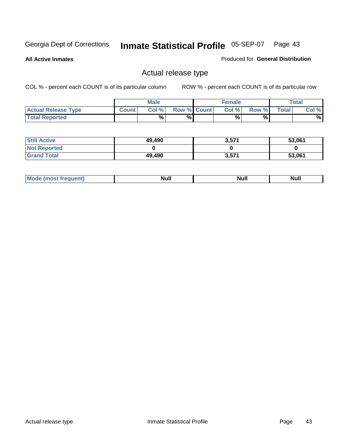**All Active Inmates**

Produced for **General Distribution**

# Actual release type

|                            |              | <b>Male</b> |                    | <b>Female</b> |        |       | Total |
|----------------------------|--------------|-------------|--------------------|---------------|--------|-------|-------|
| <b>Actual Release Type</b> | <b>Count</b> | Col %       | <b>Row % Count</b> | Col %         | Row %I | Total | Col % |
| <b>Total Reported</b>      |              | $\%$        | %                  | %             | %      |       | %     |

| <b>Still Active</b> | 49,490 | 3,571 | 53,061 |
|---------------------|--------|-------|--------|
| <b>Not Reported</b> |        |       |        |
| <b>Grand Total</b>  | 49,490 | 3,571 | 53,061 |

| M<br>____ | Ah d <sup>u</sup><br>,,,,, | <b>Null</b> | <b>IVAII</b> |
|-----------|----------------------------|-------------|--------------|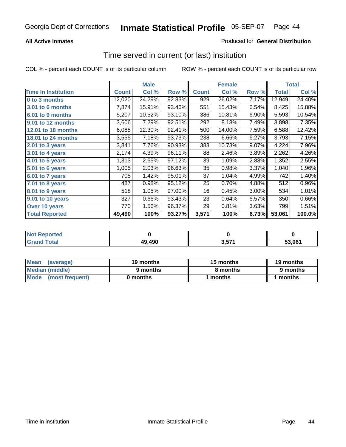## **All Active Inmates**

## Produced for **General Distribution**

# Time served in current (or last) institution

|                            |              | <b>Male</b> |        |              | <b>Female</b> |       |        | <b>Total</b> |
|----------------------------|--------------|-------------|--------|--------------|---------------|-------|--------|--------------|
| <b>Time In Institution</b> | <b>Count</b> | Col %       | Row %  | <b>Count</b> | Col %         | Row % | Total  | Col %        |
| 0 to 3 months              | 12,020       | 24.29%      | 92.83% | 929          | 26.02%        | 7.17% | 12,949 | 24.40%       |
| 3.01 to 6 months           | 7,874        | 15.91%      | 93.46% | 551          | 15.43%        | 6.54% | 8,425  | 15.88%       |
| 6.01 to 9 months           | 5,207        | 10.52%      | 93.10% | 386          | 10.81%        | 6.90% | 5,593  | 10.54%       |
| 9.01 to 12 months          | 3,606        | 7.29%       | 92.51% | 292          | 8.18%         | 7.49% | 3,898  | 7.35%        |
| 12.01 to 18 months         | 6,088        | 12.30%      | 92.41% | 500          | 14.00%        | 7.59% | 6,588  | 12.42%       |
| <b>18.01 to 24 months</b>  | 3,555        | 7.18%       | 93.73% | 238          | 6.66%         | 6.27% | 3,793  | 7.15%        |
| 2.01 to 3 years            | 3,841        | 7.76%       | 90.93% | 383          | 10.73%        | 9.07% | 4,224  | 7.96%        |
| 3.01 to 4 years            | 2,174        | 4.39%       | 96.11% | 88           | 2.46%         | 3.89% | 2,262  | 4.26%        |
| 4.01 to 5 years            | 1,313        | 2.65%       | 97.12% | 39           | 1.09%         | 2.88% | 1,352  | 2.55%        |
| 5.01 to 6 years            | 1,005        | 2.03%       | 96.63% | 35           | 0.98%         | 3.37% | 1,040  | 1.96%        |
| 6.01 to 7 years            | 705          | 1.42%       | 95.01% | 37           | 1.04%         | 4.99% | 742    | 1.40%        |
| 7.01 to 8 years            | 487          | 0.98%       | 95.12% | 25           | 0.70%         | 4.88% | 512    | 0.96%        |
| 8.01 to 9 years            | 518          | 1.05%       | 97.00% | 16           | 0.45%         | 3.00% | 534    | 1.01%        |
| 9.01 to 10 years           | 327          | 0.66%       | 93.43% | 23           | 0.64%         | 6.57% | 350    | 0.66%        |
| Over 10 years              | 770          | 1.56%       | 96.37% | 29           | 0.81%         | 3.63% | 799    | 1.51%        |
| <b>Total Reported</b>      | 49,490       | 100%        | 93.27% | 3,571        | 100%          | 6.73% | 53,061 | 100.0%       |

| orted<br>N |        |     |        |
|------------|--------|-----|--------|
| `ofai      | 49,490 | こフィ | 53.061 |

| <b>Mean</b><br>(average) | 19 months | 15 months | 19 months |
|--------------------------|-----------|-----------|-----------|
| Median (middle)          | 9 months  | 8 months  | 9 months  |
| Mode<br>(most frequent)  | 0 months  | months    | months    |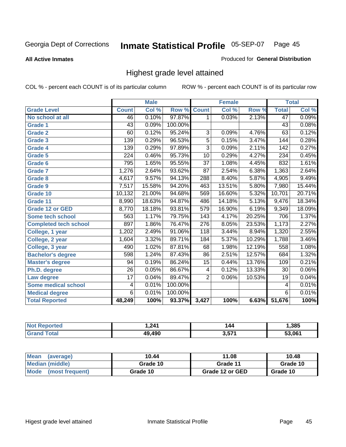**All Active Inmates**

## Produced for **General Distribution**

# Highest grade level attained

|                              |                 | <b>Male</b> |         |                  | <b>Female</b> |        |                  | <b>Total</b> |
|------------------------------|-----------------|-------------|---------|------------------|---------------|--------|------------------|--------------|
| <b>Grade Level</b>           | <b>Count</b>    | Col %       | Row %   | <b>Count</b>     | Col %         | Row %  | <b>Total</b>     | Col %        |
| No school at all             | 46              | 0.10%       | 97.87%  | 1                | 0.03%         | 2.13%  | 47               | 0.09%        |
| Grade 1                      | $\overline{43}$ | 0.09%       | 100.00% |                  |               |        | $\overline{43}$  | 0.08%        |
| <b>Grade 2</b>               | 60              | 0.12%       | 95.24%  | 3                | 0.09%         | 4.76%  | 63               | 0.12%        |
| <b>Grade 3</b>               | 139             | 0.29%       | 96.53%  | 5                | 0.15%         | 3.47%  | 144              | 0.28%        |
| Grade 4                      | 139             | 0.29%       | 97.89%  | $\overline{3}$   | 0.09%         | 2.11%  | $\overline{142}$ | 0.27%        |
| Grade 5                      | 224             | 0.46%       | 95.73%  | 10               | 0.29%         | 4.27%  | 234              | 0.45%        |
| Grade 6                      | 795             | 1.65%       | 95.55%  | $\overline{37}$  | 1.08%         | 4.45%  | 832              | 1.61%        |
| <b>Grade 7</b>               | 1,276           | 2.64%       | 93.62%  | 87               | 2.54%         | 6.38%  | 1,363            | 2.64%        |
| <b>Grade 8</b>               | 4,617           | 9.57%       | 94.13%  | 288              | 8.40%         | 5.87%  | 4,905            | 9.49%        |
| Grade 9                      | 7,517           | 15.58%      | 94.20%  | 463              | 13.51%        | 5.80%  | 7,980            | 15.44%       |
| Grade 10                     | 10,132          | 21.00%      | 94.68%  | 569              | 16.60%        | 5.32%  | 10,701           | 20.71%       |
| Grade 11                     | 8,990           | 18.63%      | 94.87%  | 486              | 14.18%        | 5.13%  | 9,476            | 18.34%       |
| <b>Grade 12 or GED</b>       | 8,770           | 18.18%      | 93.81%  | $\overline{579}$ | 16.90%        | 6.19%  | 9,349            | 18.09%       |
| <b>Some tech school</b>      | 563             | 1.17%       | 79.75%  | 143              | 4.17%         | 20.25% | 706              | 1.37%        |
| <b>Completed tech school</b> | 897             | 1.86%       | 76.47%  | $\overline{276}$ | 8.05%         | 23.53% | 1,173            | 2.27%        |
| College, 1 year              | 1,202           | 2.49%       | 91.06%  | $\overline{118}$ | 3.44%         | 8.94%  | 1,320            | 2.55%        |
| College, 2 year              | 1,604           | 3.32%       | 89.71%  | 184              | 5.37%         | 10.29% | 1,788            | 3.46%        |
| College, 3 year              | 490             | 1.02%       | 87.81%  | 68               | 1.98%         | 12.19% | 558              | 1.08%        |
| <b>Bachelor's degree</b>     | 598             | 1.24%       | 87.43%  | 86               | 2.51%         | 12.57% | 684              | 1.32%        |
| <b>Master's degree</b>       | 94              | 0.19%       | 86.24%  | 15               | 0.44%         | 13.76% | 109              | 0.21%        |
| Ph.D. degree                 | $\overline{26}$ | 0.05%       | 86.67%  | 4                | 0.12%         | 13.33% | 30               | $0.06\%$     |
| Law degree                   | $\overline{17}$ | 0.04%       | 89.47%  | $\overline{2}$   | 0.06%         | 10.53% | 19               | 0.04%        |
| <b>Some medical school</b>   | 4               | 0.01%       | 100.00% |                  |               |        | 4                | 0.01%        |
| <b>Medical degree</b>        | 6               | 0.01%       | 100.00% |                  |               |        | $\overline{6}$   | 0.01%        |
| <b>Total Reported</b>        | 48,249          | 100%        | 93.37%  | 3,427            | 100%          | 6.63%  | 51,676           | 100%         |

| 211       | $\overline{\phantom{a}}$<br>-- | ,385   |
|-----------|--------------------------------|--------|
| $\lambda$ | 2F74                           | 53.061 |

| <b>Mean</b><br>(average)       | 10.44    | 11.08           | 10.48    |
|--------------------------------|----------|-----------------|----------|
| Median (middle)                | Grade 10 | Grade 11        | Grade 10 |
| <b>Mode</b><br>(most frequent) | Grade 10 | Grade 12 or GED | Grade 10 |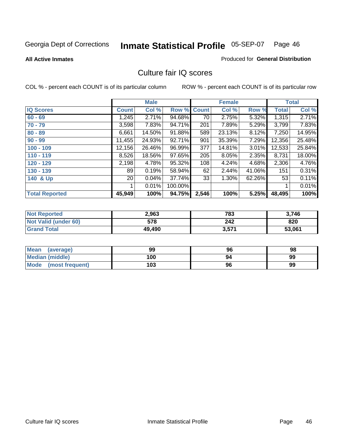### **All Active Inmates**

# Produced for **General Distribution**

# Culture fair IQ scores

|                       |              | <b>Male</b> |         |                 | <b>Female</b> |        |        | <b>Total</b> |
|-----------------------|--------------|-------------|---------|-----------------|---------------|--------|--------|--------------|
| <b>IQ Scores</b>      | <b>Count</b> | Col %       | Row %   | <b>Count</b>    | Col %         | Row %  | Total  | Col %        |
| $60 - 69$             | 1,245        | 2.71%       | 94.68%  | $\overline{70}$ | 2.75%         | 5.32%  | 1,315  | 2.71%        |
| $70 - 79$             | 3,598        | 7.83%       | 94.71%  | 201             | 7.89%         | 5.29%  | 3,799  | 7.83%        |
| $80 - 89$             | 6,661        | 14.50%      | 91.88%  | 589             | 23.13%        | 8.12%  | 7,250  | 14.95%       |
| $90 - 99$             | 11,455       | 24.93%      | 92.71%  | 901             | 35.39%        | 7.29%  | 12,356 | 25.48%       |
| $100 - 109$           | 12,156       | 26.46%      | 96.99%  | 377             | 14.81%        | 3.01%  | 12,533 | 25.84%       |
| $110 - 119$           | 8,526        | 18.56%      | 97.65%  | 205             | 8.05%         | 2.35%  | 8,731  | 18.00%       |
| 120 - 129             | 2,198        | 4.78%       | 95.32%  | 108             | 4.24%         | 4.68%  | 2,306  | 4.76%        |
| 130 - 139             | 89           | 0.19%       | 58.94%  | 62              | 2.44%         | 41.06% | 151    | 0.31%        |
| 140 & Up              | 20           | 0.04%       | 37.74%  | 33              | 1.30%         | 62.26% | 53     | 0.11%        |
|                       |              | 0.01%       | 100.00% |                 |               |        | 1      | 0.01%        |
| <b>Total Reported</b> | 45,949       | 100%        | 94.75%  | 2,546           | 100%          | 5.25%  | 48,495 | 100%         |

| <b>Not Reported</b>  | 2,963  | 783   | 3,746  |
|----------------------|--------|-------|--------|
| Not Valid (under 60) | 578    | 242   | 820    |
| <b>Grand Total</b>   | 49,490 | 3,571 | 53,061 |

| <b>Mean</b><br>(average) | 99  | 96 | 98 |
|--------------------------|-----|----|----|
| <b>Median (middle)</b>   | 100 | 94 | 99 |
| Mode (most frequent)     | 103 | 96 | 99 |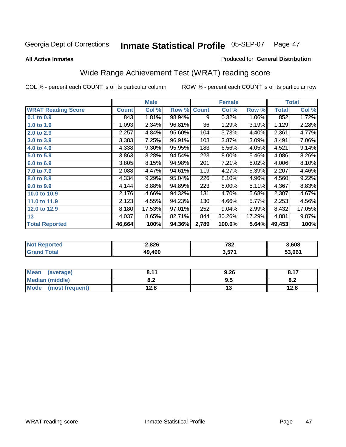### **All Active Inmates**

# Produced for **General Distribution**

# Wide Range Achievement Test (WRAT) reading score

|                           |              | <b>Male</b> |        |              | <b>Female</b> |        |              | <b>Total</b> |
|---------------------------|--------------|-------------|--------|--------------|---------------|--------|--------------|--------------|
| <b>WRAT Reading Score</b> | <b>Count</b> | Col %       | Row %  | <b>Count</b> | Col %         | Row %  | <b>Total</b> | Col %        |
| $0.1$ to $0.9$            | 843          | 1.81%       | 98.94% | 9            | 0.32%         | 1.06%  | 852          | 1.72%        |
| 1.0 to 1.9                | 1,093        | 2.34%       | 96.81% | 36           | 1.29%         | 3.19%  | 1,129        | 2.28%        |
| 2.0 to 2.9                | 2,257        | 4.84%       | 95.60% | 104          | 3.73%         | 4.40%  | 2,361        | 4.77%        |
| 3.0 to 3.9                | 3,383        | 7.25%       | 96.91% | 108          | 3.87%         | 3.09%  | 3,491        | 7.06%        |
| 4.0 to 4.9                | 4,338        | 9.30%       | 95.95% | 183          | 6.56%         | 4.05%  | 4,521        | 9.14%        |
| 5.0 to 5.9                | 3,863        | 8.28%       | 94.54% | 223          | 8.00%         | 5.46%  | 4,086        | 8.26%        |
| 6.0 to 6.9                | 3,805        | 8.15%       | 94.98% | 201          | 7.21%         | 5.02%  | 4,006        | 8.10%        |
| 7.0 to 7.9                | 2,088        | 4.47%       | 94.61% | 119          | 4.27%         | 5.39%  | 2,207        | 4.46%        |
| 8.0 to 8.9                | 4,334        | 9.29%       | 95.04% | 226          | 8.10%         | 4.96%  | 4,560        | 9.22%        |
| 9.0 to 9.9                | 4,144        | 8.88%       | 94.89% | 223          | 8.00%         | 5.11%  | 4,367        | 8.83%        |
| 10.0 to 10.9              | 2,176        | 4.66%       | 94.32% | 131          | 4.70%         | 5.68%  | 2,307        | 4.67%        |
| 11.0 to 11.9              | 2,123        | 4.55%       | 94.23% | 130          | 4.66%         | 5.77%  | 2,253        | 4.56%        |
| 12.0 to 12.9              | 8,180        | 17.53%      | 97.01% | 252          | 9.04%         | 2.99%  | 8,432        | 17.05%       |
| 13                        | 4,037        | 8.65%       | 82.71% | 844          | 30.26%        | 17.29% | 4,881        | 9.87%        |
| <b>Total Reported</b>     | 46,664       | 100%        | 94.36% | 2,789        | 100.0%        | 5.64%  | 49,453       | 100%         |

| <b>orted</b><br>NO. | 2,826  | 782         | 3.608  |
|---------------------|--------|-------------|--------|
| <b>ota</b><br>Gr.   | 49.490 | 571<br>וטוט | 53.061 |

| <b>Mean</b><br>(average) | , 44<br>.     | 9.26 | 0.47 |
|--------------------------|---------------|------|------|
| <b>Median (middle)</b>   | י ה<br>0.Z    | ຩ.   | o.z  |
| Mode<br>(most frequent)  | 19 Q<br>ه.۷ ا | . .  | 12.8 |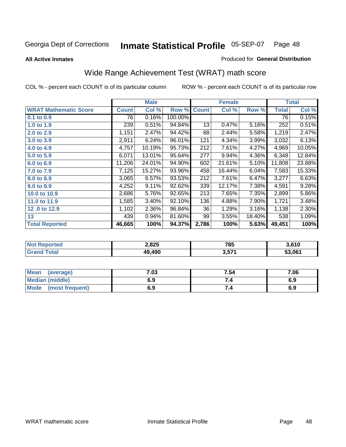**All Active Inmates**

## Produced for **General Distribution**

# Wide Range Achievement Test (WRAT) math score

|                              |              | <b>Male</b> |         |              | <b>Female</b> |        |              | <b>Total</b> |
|------------------------------|--------------|-------------|---------|--------------|---------------|--------|--------------|--------------|
| <b>WRAT Mathematic Score</b> | <b>Count</b> | Col %       | Row %   | <b>Count</b> | Col %         | Row %  | <b>Total</b> | Col %        |
| 0.1 to 0.9                   | 76           | 0.16%       | 100.00% |              |               |        | 76           | 0.15%        |
| 1.0 to 1.9                   | 239          | 0.51%       | 94.84%  | 13           | 0.47%         | 5.16%  | 252          | 0.51%        |
| 2.0 to 2.9                   | 1,151        | 2.47%       | 94.42%  | 68           | 2.44%         | 5.58%  | 1,219        | 2.47%        |
| 3.0 to 3.9                   | 2,911        | 6.24%       | 96.01%  | 121          | 4.34%         | 3.99%  | 3,032        | 6.13%        |
| 4.0 to 4.9                   | 4,757        | 10.19%      | 95.73%  | 212          | 7.61%         | 4.27%  | 4,969        | 10.05%       |
| 5.0 to 5.9                   | 6,071        | 13.01%      | 95.64%  | 277          | 9.94%         | 4.36%  | 6,348        | 12.84%       |
| 6.0 to 6.9                   | 11,206       | 24.01%      | 94.90%  | 602          | 21.61%        | 5.10%  | 11,808       | 23.88%       |
| 7.0 to 7.9                   | 7,125        | 15.27%      | 93.96%  | 458          | 16.44%        | 6.04%  | 7,583        | 15.33%       |
| 8.0 to 8.9                   | 3,065        | 6.57%       | 93.53%  | 212          | 7.61%         | 6.47%  | 3,277        | 6.63%        |
| 9.0 to 9.9                   | 4,252        | 9.11%       | 92.62%  | 339          | 12.17%        | 7.38%  | 4,591        | 9.28%        |
| 10.0 to 10.9                 | 2,686        | 5.76%       | 92.65%  | 213          | 7.65%         | 7.35%  | 2,899        | 5.86%        |
| 11.0 to 11.9                 | 1,585        | 3.40%       | 92.10%  | 136          | 4.88%         | 7.90%  | 1,721        | 3.48%        |
| 12.0 to 12.9                 | 1,102        | 2.36%       | 96.84%  | 36           | 1.29%         | 3.16%  | 1,138        | 2.30%        |
| 13                           | 439          | $0.94\%$    | 81.60%  | 99           | 3.55%         | 18.40% | 538          | 1.09%        |
| <b>Total Reported</b>        | 46,665       | 100%        | 94.37%  | 2,786        | 100%          | 5.63%  | 49,451       | 100%         |

| orted<br>NO       | 2,825  | 785         | 3.610  |
|-------------------|--------|-------------|--------|
| <b>ota</b><br>Gr. | 49.490 | 574<br>וטוט | 53.061 |

| <b>Mean</b><br>(average)       | 7.03 | 7.54 | 7.06 |
|--------------------------------|------|------|------|
| <b>Median (middle)</b>         | 6.9  |      | 6.9  |
| <b>Mode</b><br>(most frequent) | 6.9  | 7.4  | 6.9  |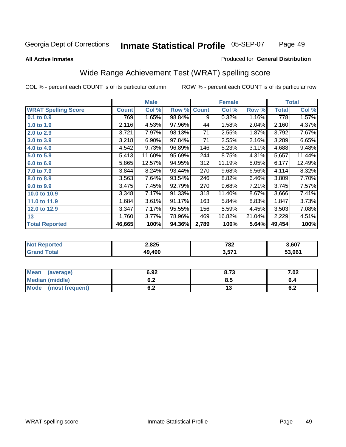### **All Active Inmates**

## Produced for **General Distribution**

# Wide Range Achievement Test (WRAT) spelling score

|                            |              | <b>Male</b> |        |              | <b>Female</b> |        |              | <b>Total</b> |
|----------------------------|--------------|-------------|--------|--------------|---------------|--------|--------------|--------------|
| <b>WRAT Spelling Score</b> | <b>Count</b> | Col %       | Row %  | <b>Count</b> | Col %         | Row %  | <b>Total</b> | Col %        |
| 0.1 to 0.9                 | 769          | 1.65%       | 98.84% | 9            | 0.32%         | 1.16%  | 778          | 1.57%        |
| 1.0 to 1.9                 | 2,116        | 4.53%       | 97.96% | 44           | 1.58%         | 2.04%  | 2,160        | 4.37%        |
| 2.0 to 2.9                 | 3,721        | 7.97%       | 98.13% | 71           | 2.55%         | 1.87%  | 3,792        | 7.67%        |
| 3.0 to 3.9                 | 3,218        | 6.90%       | 97.84% | 71           | 2.55%         | 2.16%  | 3,289        | 6.65%        |
| 4.0 to 4.9                 | 4,542        | 9.73%       | 96.89% | 146          | 5.23%         | 3.11%  | 4,688        | 9.48%        |
| 5.0 to 5.9                 | 5,413        | 11.60%      | 95.69% | 244          | 8.75%         | 4.31%  | 5,657        | 11.44%       |
| 6.0 to 6.9                 | 5,865        | 12.57%      | 94.95% | 312          | 11.19%        | 5.05%  | 6,177        | 12.49%       |
| 7.0 to 7.9                 | 3,844        | 8.24%       | 93.44% | 270          | 9.68%         | 6.56%  | 4,114        | 8.32%        |
| 8.0 to 8.9                 | 3,563        | 7.64%       | 93.54% | 246          | 8.82%         | 6.46%  | 3,809        | 7.70%        |
| 9.0 to 9.9                 | 3,475        | 7.45%       | 92.79% | 270          | 9.68%         | 7.21%  | 3,745        | 7.57%        |
| 10.0 to 10.9               | 3,348        | 7.17%       | 91.33% | 318          | 11.40%        | 8.67%  | 3,666        | 7.41%        |
| 11.0 to 11.9               | 1,684        | 3.61%       | 91.17% | 163          | 5.84%         | 8.83%  | 1,847        | 3.73%        |
| 12.0 to 12.9               | 3,347        | 7.17%       | 95.55% | 156          | 5.59%         | 4.45%  | 3,503        | 7.08%        |
| 13                         | 1,760        | 3.77%       | 78.96% | 469          | 16.82%        | 21.04% | 2,229        | 4.51%        |
| <b>Total Reported</b>      | 46,665       | 100%        | 94.36% | 2,789        | 100%          | 5.64%  | 49,454       | 100%         |

| orted<br>NO1 | 2,825 | 782    | 3,607  |
|--------------|-------|--------|--------|
| <b>ota</b>   | .490  | 3,57'' | 53.061 |

| <b>Mean</b><br>(average)       | 6.92       | 8.73 | 7.02       |
|--------------------------------|------------|------|------------|
| <b>Median (middle)</b>         | v.z        | Ծ. : | o.4        |
| <b>Mode</b><br>(most frequent) | . .<br>v.z | ں ،  | . .<br>0.Z |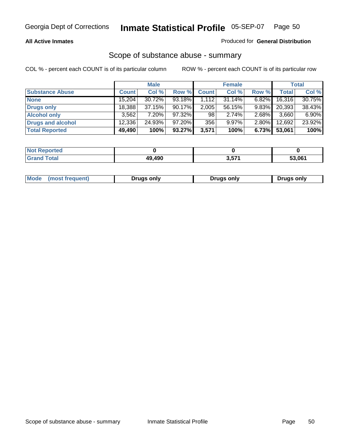## **All Active Inmates**

## Produced for **General Distribution**

## Scope of substance abuse - summary

|                        |        | <b>Male</b> |           |              | <b>Female</b> |          |        | <b>Total</b> |
|------------------------|--------|-------------|-----------|--------------|---------------|----------|--------|--------------|
| <b>Substance Abuse</b> | Count  | Col %       | Row %     | <b>Count</b> | Col %         | Row %    | Total  | Col %        |
| <b>None</b>            | 15,204 | $30.72\%$   | 93.18%    | 1.112        | 31.14%        | $6.82\%$ | 16,316 | 30.75%       |
| <b>Drugs only</b>      | 18,388 | 37.15%      | $90.17\%$ | 2,005        | 56.15%        | $9.83\%$ | 20,393 | 38.43%       |
| <b>Alcohol only</b>    | 3,562  | $7.20\%$    | 97.32%    | 98           | 2.74%         | $2.68\%$ | 3,660  | 6.90%        |
| Drugs and alcohol      | 12,336 | 24.93%      | $97.20\%$ | 356          | $9.97\%$      | $2.80\%$ | 12,692 | 23.92%       |
| <b>Total Reported</b>  | 49,490 | 100%        | 93.27%    | 3,571        | 100%          | 6.73%    | 53,061 | 100%         |

| <b>Not Reported</b>          |        |       |        |
|------------------------------|--------|-------|--------|
| <b>Total</b><br><b>Grand</b> | 40 400 | 3,571 | 53.061 |

|  | Mode<br>(most frequent) | Drugs only | <b>Drugs only</b> | <b>Drugs only</b> |
|--|-------------------------|------------|-------------------|-------------------|
|--|-------------------------|------------|-------------------|-------------------|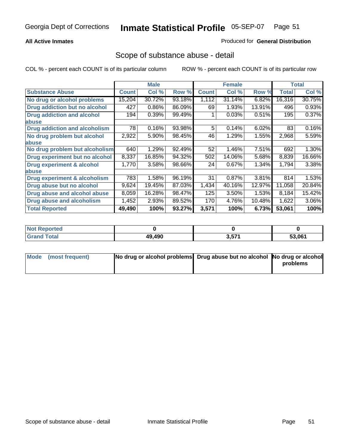## **All Active Inmates**

## Produced for **General Distribution**

# Scope of substance abuse - detail

|                                      |              | <b>Male</b> |        |              | <b>Female</b> |        |              | <b>Total</b> |
|--------------------------------------|--------------|-------------|--------|--------------|---------------|--------|--------------|--------------|
| <b>Substance Abuse</b>               | <b>Count</b> | Col %       | Row %  | <b>Count</b> | Col %         | Row %  | <b>Total</b> | Col %        |
| No drug or alcohol problems          | 15,204       | 30.72%      | 93.18% | 1,112        | 31.14%        | 6.82%  | 16,316       | 30.75%       |
| <b>Drug addiction but no alcohol</b> | 427          | 0.86%       | 86.09% | 69           | 1.93%         | 13.91% | 496          | 0.93%        |
| <b>Drug addiction and alcohol</b>    | 194          | 0.39%       | 99.49% |              | 0.03%         | 0.51%  | 195          | 0.37%        |
| abuse                                |              |             |        |              |               |        |              |              |
| <b>Drug addiction and alcoholism</b> | 78           | 0.16%       | 93.98% | 5            | 0.14%         | 6.02%  | 83           | 0.16%        |
| No drug problem but alcohol          | 2,922        | 5.90%       | 98.45% | 46           | 1.29%         | 1.55%  | 2,968        | 5.59%        |
| abuse                                |              |             |        |              |               |        |              |              |
| No drug problem but alcoholism       | 640          | 1.29%       | 92.49% | 52           | 1.46%         | 7.51%  | 692          | 1.30%        |
| Drug experiment but no alcohol       | 8,337        | 16.85%      | 94.32% | 502          | 14.06%        | 5.68%  | 8,839        | 16.66%       |
| <b>Drug experiment &amp; alcohol</b> | 1,770        | 3.58%       | 98.66% | 24           | 0.67%         | 1.34%  | 1,794        | 3.38%        |
| abuse                                |              |             |        |              |               |        |              |              |
| Drug experiment & alcoholism         | 783          | 1.58%       | 96.19% | 31           | 0.87%         | 3.81%  | 814          | 1.53%        |
| Drug abuse but no alcohol            | 9,624        | 19.45%      | 87.03% | 1,434        | 40.16%        | 12.97% | 11,058       | 20.84%       |
| Drug abuse and alcohol abuse         | 8,059        | 16.28%      | 98.47% | 125          | 3.50%         | 1.53%  | 8,184        | 15.42%       |
| Drug abuse and alcoholism            | 1,452        | 2.93%       | 89.52% | 170          | 4.76%         | 10.48% | 1,622        | 3.06%        |
| <b>Total Reported</b>                | 49,490       | 100%        | 93.27% | 3,571        | 100%          | 6.73%  | 53,061       | 100%         |

| <b>Not Reported</b> |        |       |        |
|---------------------|--------|-------|--------|
| <b>Total</b>        | 49.490 | 3,571 | 53.061 |

| Mode (most frequent) | No drug or alcohol problems Drug abuse but no alcohol No drug or alcohol |          |
|----------------------|--------------------------------------------------------------------------|----------|
|                      |                                                                          | problems |
|                      |                                                                          |          |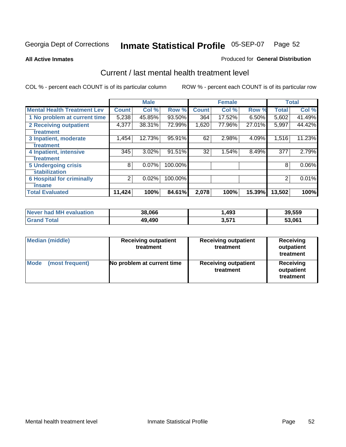**All Active Inmates**

### Produced for **General Distribution**

# Current / last mental health treatment level

|                                    |              | <b>Male</b> |         |              | <b>Female</b> |          |                | <b>Total</b> |
|------------------------------------|--------------|-------------|---------|--------------|---------------|----------|----------------|--------------|
| <b>Mental Health Treatment Lev</b> | <b>Count</b> | Col %       | Row %   | <b>Count</b> | Col%          | Row %    | <b>Total</b>   | Col %        |
| 1 No problem at current time       | 5,238        | 45.85%      | 93.50%  | 364          | 17.52%        | $6.50\%$ | 5,602          | 41.49%       |
| <b>2 Receiving outpatient</b>      | 4,377        | 38.31%      | 72.99%  | 1,620        | 77.96%        | 27.01%   | 5,997          | 44.42%       |
| treatment                          |              |             |         |              |               |          |                |              |
| 3 Inpatient, moderate              | 1,454        | 12.73%      | 95.91%  | 62           | 2.98%         | 4.09%    | 1,516          | 11.23%       |
| treatment                          |              |             |         |              |               |          |                |              |
| 4 Inpatient, intensive             | 345          | 3.02%       | 91.51%  | 32           | 1.54%         | 8.49%    | 377            | 2.79%        |
| treatment                          |              |             |         |              |               |          |                |              |
| <b>5 Undergoing crisis</b>         | 8            | $0.07\%$    | 100.00% |              |               |          | 8              | 0.06%        |
| stabilization                      |              |             |         |              |               |          |                |              |
| <b>6 Hospital for criminally</b>   | 2            | 0.02%       | 100.00% |              |               |          | $\overline{2}$ | 0.01%        |
| insane                             |              |             |         |              |               |          |                |              |
| <b>Total Evaluated</b>             | 11,424       | 100%        | 84.61%  | 2,078        | 100%          | 15.39%   | 13,502         | 100%         |

| Never had MH evaluation | 38,066 | ,493  | 39,559 |
|-------------------------|--------|-------|--------|
| <b>Grand Total</b>      | 49.490 | 3,571 | 53,061 |

| Median (middle)         | <b>Receiving outpatient</b><br>treatment | <b>Receiving outpatient</b><br>treatment | <b>Receiving</b><br>outpatient<br>treatment |
|-------------------------|------------------------------------------|------------------------------------------|---------------------------------------------|
| Mode<br>(most frequent) | No problem at current time               | <b>Receiving outpatient</b><br>treatment | Receiving<br>outpatient<br>treatment        |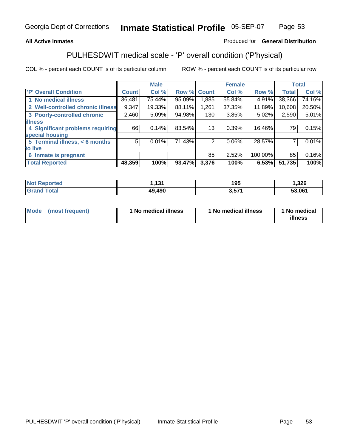## **All Active Inmates**

## Produced for **General Distribution**

# PULHESDWIT medical scale - 'P' overall condition ('P'hysical)

|                                   |              | <b>Male</b> |        |              | <b>Female</b> |         |              | <b>Total</b> |
|-----------------------------------|--------------|-------------|--------|--------------|---------------|---------|--------------|--------------|
| 'P' Overall Condition             | <b>Count</b> | Col %       | Row %  | <b>Count</b> | Col %         | Row %   | <b>Total</b> | Col %        |
| 1 No medical illness              | 36,481       | 75.44%      | 95.09% | ,885         | 55.84%        | 4.91%   | 38,366       | 74.16%       |
| 2 Well-controlled chronic illness | 9,347        | 19.33%      | 88.11% | 1,261        | 37.35%        | 11.89%  | 10,608       | 20.50%       |
| 3 Poorly-controlled chronic       | 2,460        | 5.09%       | 94.98% | 130          | 3.85%         | 5.02%   | 2,590        | 5.01%        |
| <b>illness</b>                    |              |             |        |              |               |         |              |              |
| 4 Significant problems requiring  | 66           | 0.14%       | 83.54% | 13           | 0.39%         | 16.46%  | 79           | 0.15%        |
| special housing                   |              |             |        |              |               |         |              |              |
| 5 Terminal illness, < 6 months    | 5            | 0.01%       | 71.43% | 2            | 0.06%         | 28.57%  |              | 0.01%        |
| to live                           |              |             |        |              |               |         |              |              |
| Inmate is pregnant<br>6           |              |             |        | 85           | 2.52%         | 100.00% | 85           | 0.16%        |
| <b>Total Reported</b>             | 48,359       | 100%        | 93.47% | 3,376        | 100%          | 6.53%   | 51,735       | 100%         |

| <b>Not Reported</b> | ,131   | 195               | 1,326  |
|---------------------|--------|-------------------|--------|
| <b>Grand Total</b>  | 49,490 | 3,57 <sup>4</sup> | 53,061 |

| Mode (most frequent) | 1 No medical illness | 1 No medical illness | 1 No medical |
|----------------------|----------------------|----------------------|--------------|
|                      |                      |                      | illness      |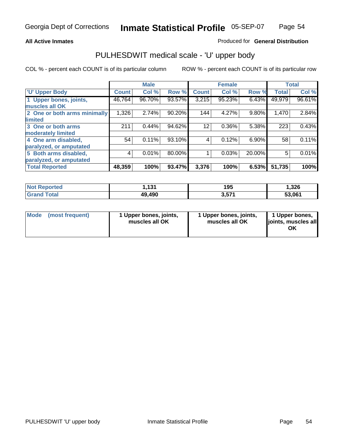## **All Active Inmates**

## Produced for **General Distribution**

# PULHESDWIT medical scale - 'U' upper body

|                              |              | <b>Male</b> |        |              | <b>Female</b> |        |              | <b>Total</b> |
|------------------------------|--------------|-------------|--------|--------------|---------------|--------|--------------|--------------|
| <b>U' Upper Body</b>         | <b>Count</b> | Col %       | Row %  | <b>Count</b> | Col %         | Row %  | <b>Total</b> | Col %        |
| 1 Upper bones, joints,       | 46,764       | 96.70%      | 93.57% | 3,215        | 95.23%        | 6.43%  | 49,979       | 96.61%       |
| muscles all OK               |              |             |        |              |               |        |              |              |
| 2 One or both arms minimally | 1,326        | 2.74%       | 90.20% | 144          | 4.27%         | 9.80%  | 1,470        | 2.84%        |
| limited                      |              |             |        |              |               |        |              |              |
| 3 One or both arms           | 211          | 0.44%       | 94.62% | 12           | 0.36%         | 5.38%  | 223          | 0.43%        |
| moderately limited           |              |             |        |              |               |        |              |              |
| 4 One arm disabled,          | 54           | 0.11%       | 93.10% | 4            | 0.12%         | 6.90%  | 58           | 0.11%        |
| paralyzed, or amputated      |              |             |        |              |               |        |              |              |
| 5 Both arms disabled,        | 4            | 0.01%       | 80.00% |              | 0.03%         | 20.00% | 5            | 0.01%        |
| paralyzed, or amputated      |              |             |        |              |               |        |              |              |
| <b>Total Reported</b>        | 48,359       | 100%        | 93.47% | 3,376        | 100%          | 6.53%  | 51,735       | 100%         |

| <b>Not Reported</b>     | 131.ا  | 195   | 326,،  |
|-------------------------|--------|-------|--------|
| $\tau$ otal<br>'Grand . | 49,490 | 3,571 | 53,061 |

| <b>Mode</b> | (most frequent) | 1 Upper bones, joints,<br>muscles all OK | 1 Upper bones, joints,<br>muscles all OK | 1 Upper bones,<br>joints, muscles all<br>ΟK |
|-------------|-----------------|------------------------------------------|------------------------------------------|---------------------------------------------|
|-------------|-----------------|------------------------------------------|------------------------------------------|---------------------------------------------|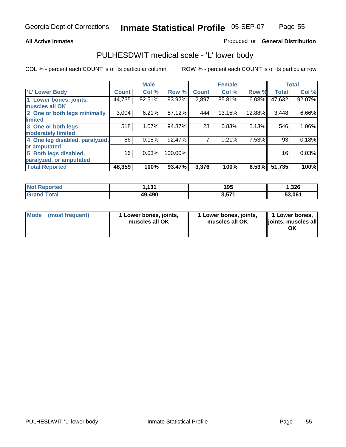## **All Active Inmates**

## Produced for **General Distribution**

# PULHESDWIT medical scale - 'L' lower body

|                                |        | <b>Male</b> |         |              | <b>Female</b> |        |              | <b>Total</b> |
|--------------------------------|--------|-------------|---------|--------------|---------------|--------|--------------|--------------|
| 'L' Lower Body                 | Count  | Col %       | Row %   | <b>Count</b> | Col %         | Row %  | <b>Total</b> | Col %        |
| 1 Lower bones, joints,         | 44,735 | 92.51%      | 93.92%  | 2,897        | 85.81%        | 6.08%  | 47,632       | 92.07%       |
| muscles all OK                 |        |             |         |              |               |        |              |              |
| 2 One or both legs minimally   | 3,004  | 6.21%       | 87.12%  | 444          | 13.15%        | 12.88% | 3,448        | 6.66%        |
| limited                        |        |             |         |              |               |        |              |              |
| 3 One or both legs             | 518    | 1.07%       | 94.87%  | 28           | 0.83%         | 5.13%  | 546          | 1.06%        |
| moderately limited             |        |             |         |              |               |        |              |              |
| 4 One leg disabled, paralyzed, | 86     | 0.18%       | 92.47%  |              | 0.21%         | 7.53%  | 93           | 0.18%        |
| or amputated                   |        |             |         |              |               |        |              |              |
| 5 Both legs disabled,          | 16     | 0.03%       | 100.00% |              |               |        | 16           | 0.03%        |
| paralyzed, or amputated        |        |             |         |              |               |        |              |              |
| <b>Total Reported</b>          | 48,359 | 100%        | 93.47%  | 3,376        | 100%          | 6.53%  | 51,735       | 100%         |

| <b>Not Reported</b> | 1.131  | 195   | 1,326  |
|---------------------|--------|-------|--------|
| Total<br>l Grand    | 49,490 | 3,571 | 53,061 |

|  | Mode (most frequent) | 1 Lower bones, joints,<br>muscles all OK | 1 Lower bones, joints,<br>muscles all OK | 1 Lower bones,<br>joints, muscles all<br>OK |
|--|----------------------|------------------------------------------|------------------------------------------|---------------------------------------------|
|--|----------------------|------------------------------------------|------------------------------------------|---------------------------------------------|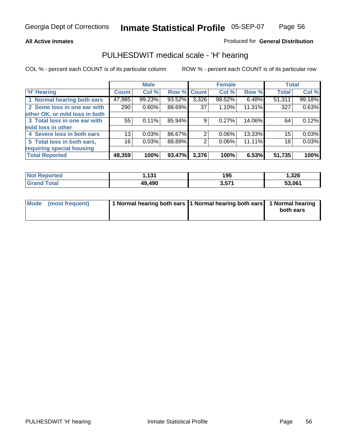## **All Active Inmates**

## Produced for **General Distribution**

# PULHESDWIT medical scale - 'H' hearing

|                                |                 | <b>Male</b> |             |       | <b>Female</b> |        | <b>Total</b>    |        |
|--------------------------------|-----------------|-------------|-------------|-------|---------------|--------|-----------------|--------|
| <b>H'</b> Hearing              | Count           | Col %       | Row % Count |       | Col %         | Row %  | <b>Total</b>    | Col %  |
| 1 Normal hearing both ears     | 47,985          | 99.23%      | 93.52%      | 3,326 | 98.52%        | 6.48%  | 51,311          | 99.18% |
| 2 Some loss in one ear with    | 290             | 0.60%       | 88.69%      | 37    | 1.10%         | 11.31% | 327             | 0.63%  |
| other OK, or mild loss in both |                 |             |             |       |               |        |                 |        |
| 3 Total loss in one ear with   | 55              | 0.11%       | 85.94%      | 9     | $0.27\%$      | 14.06% | 64              | 0.12%  |
| mild loss in other             |                 |             |             |       |               |        |                 |        |
| 4 Severe loss in both ears     | 13              | 0.03%       | 86.67%      | 2     | $0.06\%$      | 13.33% | 15 <sub>1</sub> | 0.03%  |
| 5 Total loss in both ears,     | 16 <sub>1</sub> | 0.03%       | 88.89%      | 2     | $0.06\%$      | 11.11% | 18              | 0.03%  |
| requiring special housing      |                 |             |             |       |               |        |                 |        |
| <b>Total Reported</b>          | 48,359          | 100%        | 93.47%      | 3,376 | 100%          | 6.53%  | 51,735          | 100%   |

| orted | 494<br>       | 195   | .326   |
|-------|---------------|-------|--------|
| ſotal | 49,490<br>10. | 3,571 | 53.061 |

| Mode (most frequent) | 1 Normal hearing both ears 11 Normal hearing both ears | 1 Normal hearing |
|----------------------|--------------------------------------------------------|------------------|
|                      |                                                        | both ears        |
|                      |                                                        |                  |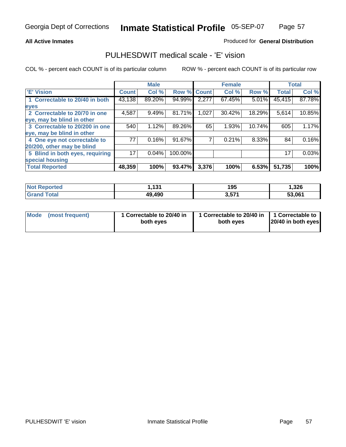## **All Active Inmates**

## Produced for **General Distribution**

# PULHESDWIT medical scale - 'E' vision

|                                 |              | <b>Male</b> |             |       | <b>Female</b> |        |              | <b>Total</b> |
|---------------------------------|--------------|-------------|-------------|-------|---------------|--------|--------------|--------------|
| 'E' Vision                      | <b>Count</b> | Col %       | Row % Count |       | Col%          | Row %  | <b>Total</b> | Col %        |
| 1 Correctable to 20/40 in both  | 43,138       | 89.20%      | 94.99%      | 2,277 | 67.45%        | 5.01%  | 45,415       | 87.78%       |
| eyes                            |              |             |             |       |               |        |              |              |
| 2 Correctable to 20/70 in one   | 4,587        | 9.49%       | 81.71%      | 1,027 | 30.42%        | 18.29% | 5,614        | 10.85%       |
| eye, may be blind in other      |              |             |             |       |               |        |              |              |
| 3 Correctable to 20/200 in one  | 540          | 1.12%       | 89.26%      | 65    | 1.93%         | 10.74% | 605          | 1.17%        |
| eye, may be blind in other      |              |             |             |       |               |        |              |              |
| 4 One eye not correctable to    | 77           | 0.16%       | 91.67%      |       | 0.21%         | 8.33%  | 84           | 0.16%        |
| 20/200, other may be blind      |              |             |             |       |               |        |              |              |
| 5 Blind in both eyes, requiring | 17           | 0.04%       | 100.00%     |       |               |        | 17           | 0.03%        |
| special housing                 |              |             |             |       |               |        |              |              |
| <b>Total Reported</b>           | 48,359       | 100%        | 93.47%      | 3,376 | 100%          | 6.53%  | 51,735       | 100%         |

| <b>Not Reported</b>    | ,131   | 195   | 1,326  |
|------------------------|--------|-------|--------|
| <b>Total</b><br>⊪Grand | 49,490 | 3,571 | 53,061 |

|  | Mode (most frequent) | 1 Correctable to 20/40 in<br>both eves | 1 Correctable to 20/40 in   1 Correctable to<br>both eves | 20/40 in both eyes |
|--|----------------------|----------------------------------------|-----------------------------------------------------------|--------------------|
|--|----------------------|----------------------------------------|-----------------------------------------------------------|--------------------|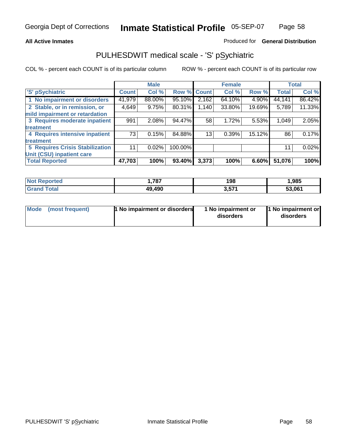## **All Active Inmates**

## Produced for **General Distribution**

# PULHESDWIT medical scale - 'S' pSychiatric

|                                        |              | <b>Male</b> |             |       | <b>Female</b> |        |              | <b>Total</b> |
|----------------------------------------|--------------|-------------|-------------|-------|---------------|--------|--------------|--------------|
| 'S' pSychiatric                        | <b>Count</b> | Col %       | Row % Count |       | Col %         | Row %  | <b>Total</b> | Col %        |
| 1 No impairment or disorders           | 41,979       | 88.00%      | 95.10%      | 2,162 | 64.10%        | 4.90%  | 44,141       | 86.42%       |
| 2 Stable, or in remission, or          | 4,649        | 9.75%       | 80.31%      | 1,140 | 33.80%        | 19.69% | 5,789        | 11.33%       |
| mild impairment or retardation         |              |             |             |       |               |        |              |              |
| 3 Requires moderate inpatient          | 991          | $2.08\%$    | 94.47%      | 58    | 1.72%         | 5.53%  | 1,049        | 2.05%        |
| treatment                              |              |             |             |       |               |        |              |              |
| 4 Requires intensive inpatient         | 73           | 0.15%       | 84.88%      | 13    | 0.39%         | 15.12% | 86           | 0.17%        |
| treatment                              |              |             |             |       |               |        |              |              |
| <b>5 Requires Crisis Stabilization</b> | 11           | 0.02%       | 100.00%     |       |               |        | 11           | 0.02%        |
| Unit (CSU) inpatient care              |              |             |             |       |               |        |              |              |
| <b>Total Reported</b>                  | 47,703       | 100%        | 93.40%      | 3,373 | 100%          | 6.60%  | 51,076       | 100%         |

| <b>Not Reported</b>          | 1,787  | 198   | l.985  |
|------------------------------|--------|-------|--------|
| <b>Total</b><br><b>Grand</b> | 49,490 | 3,571 | 53,061 |

| Mode (most frequent) | <b>1 No impairment or disorders</b> | 1 No impairment or<br>disorders | 1 No impairment or<br>disorders |
|----------------------|-------------------------------------|---------------------------------|---------------------------------|
|----------------------|-------------------------------------|---------------------------------|---------------------------------|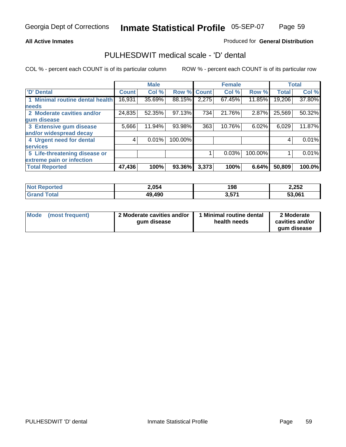## **All Active Inmates**

## Produced for **General Distribution**

# PULHESDWIT medical scale - 'D' dental

|                                 |              | <b>Male</b> |             |       | <b>Female</b> |         |              | <b>Total</b> |
|---------------------------------|--------------|-------------|-------------|-------|---------------|---------|--------------|--------------|
| 'D' Dental                      | <b>Count</b> | Col %       | Row % Count |       | Col %         | Row %   | <b>Total</b> | Col %        |
| 1 Minimal routine dental health | 16,931       | 35.69%      | 88.15%      | 2,275 | 67.45%        | 11.85%  | 19,206       | 37.80%       |
| <b>needs</b>                    |              |             |             |       |               |         |              |              |
| 2 Moderate cavities and/or      | 24,835       | 52.35%      | 97.13%      | 734   | 21.76%        | 2.87%   | 25,569       | 50.32%       |
| gum disease                     |              |             |             |       |               |         |              |              |
| 3 Extensive gum disease         | 5,666        | 11.94%      | 93.98%      | 363   | 10.76%        | 6.02%   | 6,029        | 11.87%       |
| and/or widespread decay         |              |             |             |       |               |         |              |              |
| 4 Urgent need for dental        | 4            | 0.01%       | 100.00%     |       |               |         | 4            | 0.01%        |
| <b>services</b>                 |              |             |             |       |               |         |              |              |
| 5 Life-threatening disease or   |              |             |             |       | 0.03%         | 100.00% |              | 0.01%        |
| extreme pain or infection       |              |             |             |       |               |         |              |              |
| <b>Total Reported</b>           | 47,436       | 100%        | 93.36%      | 3,373 | 100%          | 6.64%   | 50,809       | 100.0%       |

| <b>Not Reported</b> | 2,054  | 198   | 2,252  |
|---------------------|--------|-------|--------|
| Tota<br><b>Gran</b> | 49,490 | 3,571 | 53,061 |

| <b>Mode</b> | (most frequent) | 2 Moderate cavities and/or<br>qum disease | 1 Minimal routine dental<br>health needs | 2 Moderate<br>cavities and/or |
|-------------|-----------------|-------------------------------------------|------------------------------------------|-------------------------------|
|             |                 |                                           |                                          | qum disease                   |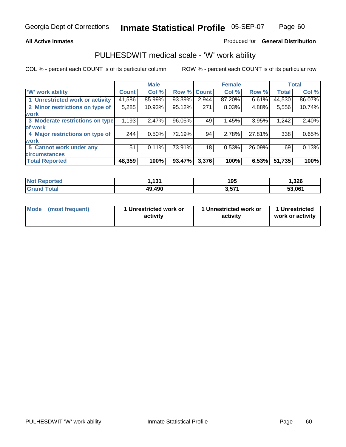## **All Active Inmates**

## Produced for **General Distribution**

# PULHESDWIT medical scale - 'W' work ability

|                                 |              | <b>Male</b> |        |             | <b>Female</b> |        |              | <b>Total</b> |
|---------------------------------|--------------|-------------|--------|-------------|---------------|--------|--------------|--------------|
| W' work ability                 | <b>Count</b> | Col %       |        | Row % Count | Col %         | Row %  | <b>Total</b> | Col %        |
| 1 Unrestricted work or activity | 41,586       | 85.99%      | 93.39% | 2,944       | 87.20%        | 6.61%  | 44,530       | 86.07%       |
| 2 Minor restrictions on type of | 5,285        | 10.93%      | 95.12% | 271         | 8.03%         | 4.88%  | 5,556        | 10.74%       |
| <b>work</b>                     |              |             |        |             |               |        |              |              |
| 3 Moderate restrictions on type | 1,193        | 2.47%       | 96.05% | 49          | 1.45%         | 3.95%  | 1,242        | 2.40%        |
| of work                         |              |             |        |             |               |        |              |              |
| 4 Major restrictions on type of | 244          | 0.50%       | 72.19% | 94          | 2.78%         | 27.81% | 338          | 0.65%        |
| <b>work</b>                     |              |             |        |             |               |        |              |              |
| 5 Cannot work under any         | 51           | $0.11\%$    | 73.91% | 18          | 0.53%         | 26.09% | 69           | 0.13%        |
| <b>circumstances</b>            |              |             |        |             |               |        |              |              |
| <b>Total Reported</b>           | 48,359       | 100%        | 93.47% | 3,376       | 100%          | 6.53%  | 51,735       | 100%         |

| <b>Not Reported</b> | 1،131  | 195   | .326   |
|---------------------|--------|-------|--------|
| <b>Grand Total</b>  | 49,490 | 3,571 | 53,061 |

| Mode (most frequent) | 1 Unrestricted work or | 1 Unrestricted work or | 1 Unrestricted   |
|----------------------|------------------------|------------------------|------------------|
|                      | activity               | activity               | work or activity |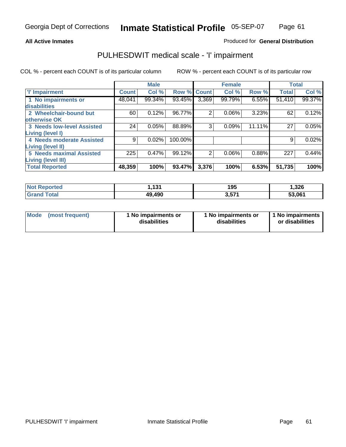## **All Active Inmates**

## Produced for **General Distribution**

# PULHESDWIT medical scale - 'I' impairment

|                                   |              | <b>Male</b> |             |                | <b>Female</b> |        | <b>Total</b> |        |
|-----------------------------------|--------------|-------------|-------------|----------------|---------------|--------|--------------|--------|
| <b>T' Impairment</b>              | <b>Count</b> | Col %       | Row % Count |                | Col %         | Row %  | <b>Total</b> | Col %  |
| 1 No impairments or               | 48,041       | 99.34%      | 93.45%      | 3,369          | 99.79%        | 6.55%  | 51,410       | 99.37% |
| disabilities                      |              |             |             |                |               |        |              |        |
| 2 Wheelchair-bound but            | 60           | 0.12%       | 96.77%      | $\overline{2}$ | 0.06%         | 3.23%  | 62           | 0.12%  |
| otherwise OK                      |              |             |             |                |               |        |              |        |
| <b>3 Needs low-level Assisted</b> | 24           | 0.05%       | 88.89%      | 3              | 0.09%         | 11.11% | 27           | 0.05%  |
| <b>Living (level I)</b>           |              |             |             |                |               |        |              |        |
| 4 Needs moderate Assisted         | 9            | 0.02%       | 100.00%     |                |               |        | 9            | 0.02%  |
| <b>Living (level II)</b>          |              |             |             |                |               |        |              |        |
| <b>5 Needs maximal Assisted</b>   | 225          | 0.47%       | 99.12%      | 2              | 0.06%         | 0.88%  | 227          | 0.44%  |
| <b>Living (level III)</b>         |              |             |             |                |               |        |              |        |
| <b>Total Reported</b>             | 48,359       | 100%        | 93.47%      | 3,376          | 100%          | 6.53%  | 51,735       | 100%   |

| <b>Exercise</b><br>'NO. | 121<br>. I J L | 195        | 1,326  |
|-------------------------|----------------|------------|--------|
| 'otal                   | 49,490         | <b>E74</b> | 53,061 |

| Mode | (most frequent) | 1 No impairments or<br>disabilities | 1 No impairments or<br>disabilities | 1 1 No impairments<br>or disabilities |
|------|-----------------|-------------------------------------|-------------------------------------|---------------------------------------|
|------|-----------------|-------------------------------------|-------------------------------------|---------------------------------------|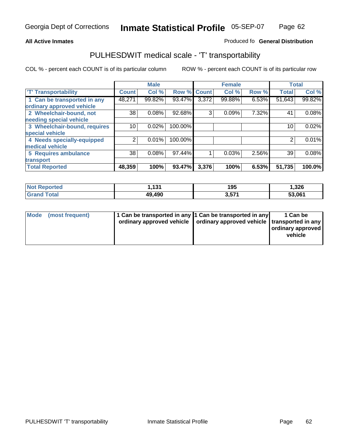#### **Inmate Statistical Profile** 05-SEP-07 Page Page 62

## **All Active Inmates Allowski** Produced fo **General Distribution**

# PULHESDWIT medical scale - 'T' transportability

|                              |              | <b>Male</b> |         |              | <b>Female</b> |       | <b>Total</b> |        |
|------------------------------|--------------|-------------|---------|--------------|---------------|-------|--------------|--------|
| <b>T' Transportability</b>   | <b>Count</b> | Col %       | Row %   | <b>Count</b> | Col %         | Row % | <b>Total</b> | Col %  |
| 1 Can be transported in any  | 48,271       | 99.82%      | 93.47%  | 3,372        | 99.88%        | 6.53% | 51,643       | 99.82% |
| ordinary approved vehicle    |              |             |         |              |               |       |              |        |
| 2 Wheelchair-bound, not      | 38           | 0.08%       | 92.68%  | 3            | 0.09%         | 7.32% | 41           | 0.08%  |
| needing special vehicle      |              |             |         |              |               |       |              |        |
| 3 Wheelchair-bound, requires | 10           | 0.02%       | 100.00% |              |               |       | 10           | 0.02%  |
| special vehicle              |              |             |         |              |               |       |              |        |
| 4 Needs specially-equipped   | 2            | 0.01%       | 100.00% |              |               |       |              | 0.01%  |
| medical vehicle              |              |             |         |              |               |       |              |        |
| 5 Requires ambulance         | 38           | 0.08%       | 97.44%  |              | 0.03%         | 2.56% | 39           | 0.08%  |
| transport                    |              |             |         |              |               |       |              |        |
| <b>Total Reported</b>        | 48,359       | 100%        | 93.47%  | 3,376        | 100%          | 6.53% | 51,735       | 100.0% |

| <b>Not Reported</b> | 4.24<br>. | 195   | 1,326  |
|---------------------|-----------|-------|--------|
| <b>Grand Total</b>  | 49,490    | 3,571 | 53,061 |

| Mode (most frequent) | 1 Can be transported in any 1 Can be transported in any | ordinary approved vehicle   ordinary approved vehicle   transported in any | 1 Can be<br>  ordinary approved  <br>vehicle |
|----------------------|---------------------------------------------------------|----------------------------------------------------------------------------|----------------------------------------------|
|                      |                                                         |                                                                            |                                              |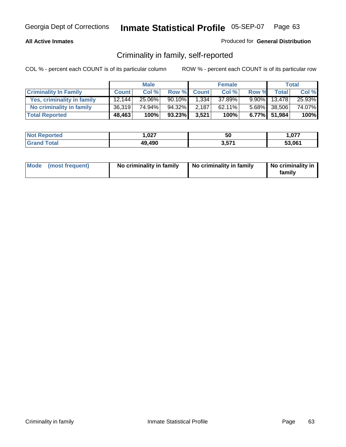## **All Active Inmates**

## Produced for **General Distribution**

# Criminality in family, self-reported

|                              |              | <b>Male</b> |        |              | <b>Female</b> |       |                 | <b>Total</b> |
|------------------------------|--------------|-------------|--------|--------------|---------------|-------|-----------------|--------------|
| <b>Criminality In Family</b> | <b>Count</b> | Col %       | Row %  | <b>Count</b> | Col %         | Row % | <b>Total</b>    | Col %        |
| Yes, criminality in family   | 12.144       | 25.06%      | 90.10% | 1,334        | 37.89%        |       | $9.90\%$ 13,478 | 25.93%       |
| No criminality in family     | 36,319       | 74.94%      | 94.32% | 2,187        | $62.11\%$     |       | 5.68% 38,506    | 74.07%       |
| <b>Total Reported</b>        | 48,463       | 100%        | 93.23% | 3,521        | 100%          |       | 6.77% 51,984    | 100%         |

| <b>Not Reported</b>   | <b>007</b><br>1.VZ7 | 50           | ,077   |
|-----------------------|---------------------|--------------|--------|
| Total<br><b>Grand</b> | 49,490              | ドフィ<br>ו ט.ט | 53,061 |

|  | Mode (most frequent) | No criminality in family | No criminality in family | No criminality in<br>familv |
|--|----------------------|--------------------------|--------------------------|-----------------------------|
|--|----------------------|--------------------------|--------------------------|-----------------------------|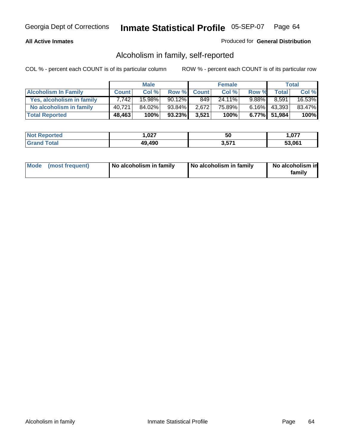## **All Active Inmates**

## Produced for **General Distribution**

# Alcoholism in family, self-reported

|                             |              | <b>Male</b> |           |              | <b>Female</b> |          |                 | <b>Total</b> |
|-----------------------------|--------------|-------------|-----------|--------------|---------------|----------|-----------------|--------------|
| <b>Alcoholism In Family</b> | <b>Count</b> | Col %       | Row %     | <b>Count</b> | Col %         | Row %    | <b>Total</b>    | Col %        |
| Yes, alcoholism in family   | 7.742        | 15.98%      | $90.12\%$ | 849          | 24.11%        | $9.88\%$ | 8,591           | 16.53%       |
| No alcoholism in family     | 40,721       | 84.02%      | 93.84%    | 2,672        | 75.89%        |          | $6.16\%$ 43,393 | 83.47%       |
| <b>Total Reported</b>       | 48,463       | 100%        | 93.23%    | 3,521        | 100%          |          | 6.77% 51,984    | 100%         |

| <b>Not Reported</b>   | <b>007</b><br>1.VZ7 | 50           | ,077   |
|-----------------------|---------------------|--------------|--------|
| Total<br><b>Grand</b> | 49,490              | ドフィ<br>ו ט.ט | 53,061 |

|  | Mode (most frequent) | No alcoholism in family | No alcoholism in family | No alcoholism in<br>family |
|--|----------------------|-------------------------|-------------------------|----------------------------|
|--|----------------------|-------------------------|-------------------------|----------------------------|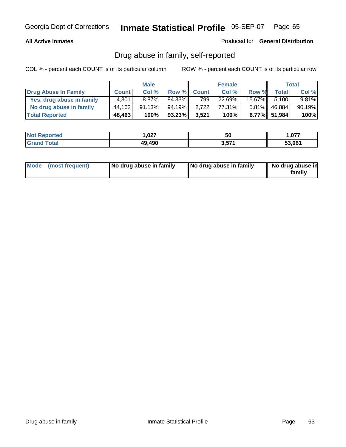## **All Active Inmates**

Produced for **General Distribution**

# Drug abuse in family, self-reported

|                           |              | <b>Male</b> |        |              | <b>Female</b> |          |              | <b>Total</b> |
|---------------------------|--------------|-------------|--------|--------------|---------------|----------|--------------|--------------|
| Drug Abuse In Family      | <b>Count</b> | Col %       | Row %  | <b>Count</b> | Col %         | Row %    | <b>Total</b> | Col %        |
| Yes, drug abuse in family | 4.301        | $8.87\%$    | 84.33% | 7991         | 22.69%        | 15.67%   | 5.100        | $9.81\%$     |
| No drug abuse in family   | 44.162       | 91.13%      | 94.19% | 2.722        | 77.31%        | $5.81\%$ | 46,884       | 90.19%       |
| <b>Total Reported</b>     | 48,463       | 100%        | 93.23% | 3,521        | 100%          |          | 6.77% 51,984 | 100%         |

| <b>Not Reported</b>   | <b>007</b><br>1.VZ7 | 50           | ,077   |
|-----------------------|---------------------|--------------|--------|
| Total<br><b>Grand</b> | 49,490              | ドフィ<br>ו ט.ט | 53,061 |

|  | Mode (most frequent) | No drug abuse in family | No drug abuse in family | No drug abuse in<br>family |
|--|----------------------|-------------------------|-------------------------|----------------------------|
|--|----------------------|-------------------------|-------------------------|----------------------------|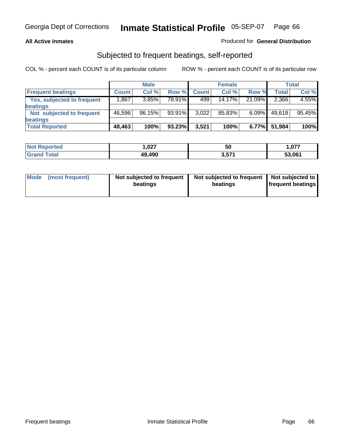## **All Active Inmates**

## Produced for **General Distribution**

# Subjected to frequent beatings, self-reported

|                                   |              | <b>Male</b> |        |              | <b>Female</b> |          |        | Total  |
|-----------------------------------|--------------|-------------|--------|--------------|---------------|----------|--------|--------|
| <b>Frequent beatings</b>          | <b>Count</b> | Col %       | Row %  | <b>Count</b> | Col %         | Row %    | Total  | Col %  |
| <b>Yes, subjected to frequent</b> | .867         | 3.85%       | 78.91% | 499          | 14.17%        | 21.09%   | 2,366  | 4.55%  |
| <b>beatings</b>                   |              |             |        |              |               |          |        |        |
| Not subjected to frequent         | 46,596       | 96.15%      | 93.91% | 3,022        | 85.83%        | $6.09\%$ | 49,618 | 95.45% |
| <b>beatings</b>                   |              |             |        |              |               |          |        |        |
| <b>Total Reported</b>             | 48,463       | 100%        | 93.23% | 3,521        | 100%          | 6.77%    | 51,984 | 100%   |

| rted\<br>NO:    | 1,027  | 50     | 1,077  |
|-----------------|--------|--------|--------|
| $int^{\bullet}$ | 49,490 | 3.57'' | 53,061 |

| <b>Mode</b> | (most frequent) | Not subjected to frequent<br>beatings | Not subjected to frequent<br>beatings | Not subjected to<br>frequent beatings |
|-------------|-----------------|---------------------------------------|---------------------------------------|---------------------------------------|
|             |                 |                                       |                                       |                                       |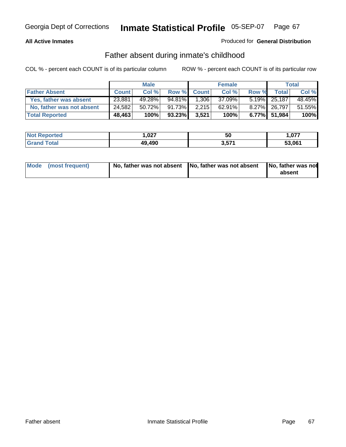## **All Active Inmates**

## Produced for **General Distribution**

# Father absent during inmate's childhood

|                           |              | <b>Male</b> |        |              | <b>Female</b> |       |              | <b>Total</b> |
|---------------------------|--------------|-------------|--------|--------------|---------------|-------|--------------|--------------|
| <b>Father Absent</b>      | <b>Count</b> | Col %       | Row %  | <b>Count</b> | Col %         | Row % | Total        | Col %        |
| Yes, father was absent    | 23,881       | 49.28%      | 94.81% | 1,306        | 37.09%        |       | 5.19% 25,187 | 48.45%       |
| No, father was not absent | 24,582       | 50.72%      | 91.73% | 2,215        | $62.91\%$     |       | 8.27% 26,797 | 51.55%       |
| <b>Total Reported</b>     | 48,463       | 100%        | 93.23% | 3,521        | 100%          |       | 6.77% 51,984 | 100%         |

| <b>Not Reported</b> | 027. ا | .,<br>ას | . 077  |
|---------------------|--------|----------|--------|
| <b>Grand Total</b>  | 49,490 | 3,571    | 53.061 |

| Mode (most frequent) |  | 「No, father was not absent ┃No, father was not absent ┃No, father was not | absent |
|----------------------|--|---------------------------------------------------------------------------|--------|
|----------------------|--|---------------------------------------------------------------------------|--------|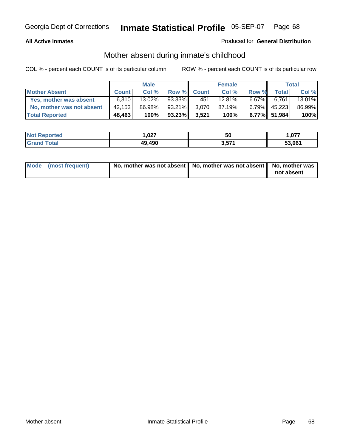## **All Active Inmates**

## Produced for **General Distribution**

# Mother absent during inmate's childhood

|                           |              | <b>Male</b> |        |              | <b>Female</b> |          |              | Total  |
|---------------------------|--------------|-------------|--------|--------------|---------------|----------|--------------|--------|
| <b>Mother Absent</b>      | <b>Count</b> | Col %       | Row %  | <b>Count</b> | Col %         | Row %    | Total        | Col %  |
| Yes, mother was absent    | 6.310        | $13.02\%$   | 93.33% | 451          | 12.81%        | $6.67\%$ | 6.761        | 13.01% |
| No, mother was not absent | 42,153       | 86.98%      | 93.21% | 3.070        | 87.19%        | $6.79\%$ | 45,223       | 86.99% |
| <b>Total Reported</b>     | 48,463       | 100%        | 93.23% | 3,521        | 100%          |          | 6.77% 51,984 | 100%   |

| <b>Not Reported</b>   | <b>007</b><br>1.VZ7 | 50           | ,077   |
|-----------------------|---------------------|--------------|--------|
| Total<br><b>Grand</b> | 49,490              | ドフィ<br>ו ט.ט | 53,061 |

| Mode (most frequent) | No, mother was not absent $\vert$ No, mother was not absent $\vert$ No, mother was | not absent |
|----------------------|------------------------------------------------------------------------------------|------------|
|                      |                                                                                    |            |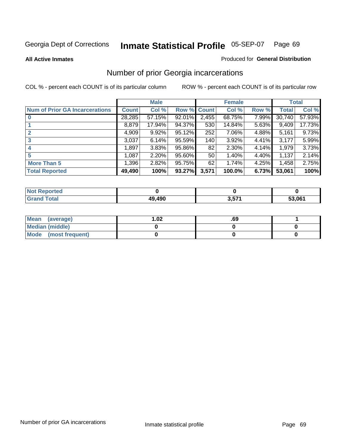**All Active Inmates**

### Produced for **General Distribution**

# Number of prior Georgia incarcerations

|                                       |              | <b>Male</b> |                    |                 | <b>Female</b> |       |        | <b>Total</b> |
|---------------------------------------|--------------|-------------|--------------------|-----------------|---------------|-------|--------|--------------|
| <b>Num of Prior GA Incarcerations</b> | <b>Count</b> | Col %       | <b>Row % Count</b> |                 | Col %         | Row % | Total  | Col %        |
| $\bf{0}$                              | 28,285       | 57.15%      | 92.01%             | 2,455           | 68.75%        | 7.99% | 30,740 | 57.93%       |
|                                       | 8,879        | 17.94%      | 94.37%             | 530             | 14.84%        | 5.63% | 9,409  | 17.73%       |
|                                       | 4,909        | 9.92%       | 95.12%             | 252             | 7.06%         | 4.88% | 5,161  | 9.73%        |
| 3                                     | 3,037        | 6.14%       | 95.59%             | 140             | 3.92%         | 4.41% | 3,177  | 5.99%        |
|                                       | 1,897        | 3.83%       | 95.86%             | 82              | 2.30%         | 4.14% | 1,979  | 3.73%        |
| 5                                     | 1,087        | 2.20%       | 95.60%             | 50 <sub>1</sub> | 1.40%         | 4.40% | 1,137  | 2.14%        |
| <b>More Than 5</b>                    | 1,396        | 2.82%       | 95.75%             | 62              | 1.74%         | 4.25% | 1,458  | 2.75%        |
| <b>Total Reported</b>                 | 49,490       | 100%        | 93.27%             | 3,571           | 100.0%        | 6.73% | 53,061 | 100%         |

| <b><i>College Allen</i></b><br>N<br>rer |             |     |        |
|-----------------------------------------|-------------|-----|--------|
| <b>ota</b><br>- 65<br>______            | .490<br>4Ω. | --- | 53.061 |

| Mean (average)       | l.O2 | .69 |  |
|----------------------|------|-----|--|
| Median (middle)      |      |     |  |
| Mode (most frequent) |      |     |  |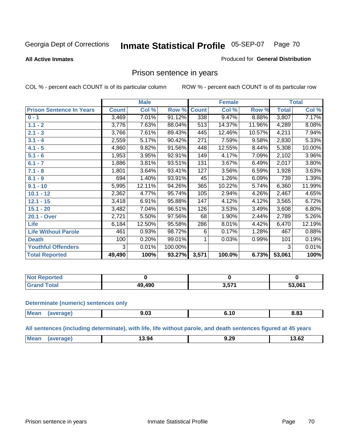## **All Active Inmates**

### Produced for **General Distribution**

## Prison sentence in years

COL % - percent each COUNT is of its particular column ROW % - percent each COUNT is of its particular row

|                                 |              | <b>Male</b> |         |              | <b>Female</b> |        |              | <b>Total</b> |
|---------------------------------|--------------|-------------|---------|--------------|---------------|--------|--------------|--------------|
| <b>Prison Sentence In Years</b> | <b>Count</b> | Col %       | Row %   | <b>Count</b> | Col %         | Row %  | <b>Total</b> | Col %        |
| $0 - 1$                         | 3,469        | 7.01%       | 91.12%  | 338          | 9.47%         | 8.88%  | 3,807        | 7.17%        |
| $1.1 - 2$                       | 3,776        | 7.63%       | 88.04%  | 513          | 14.37%        | 11.96% | 4,289        | 8.08%        |
| $2.1 - 3$                       | 3,766        | 7.61%       | 89.43%  | 445          | 12.46%        | 10.57% | 4,211        | 7.94%        |
| $3.1 - 4$                       | 2,559        | 5.17%       | 90.42%  | 271          | 7.59%         | 9.58%  | 2,830        | 5.33%        |
| $4.1 - 5$                       | 4,860        | 9.82%       | 91.56%  | 448          | 12.55%        | 8.44%  | 5,308        | 10.00%       |
| $5.1 - 6$                       | 1,953        | 3.95%       | 92.91%  | 149          | 4.17%         | 7.09%  | 2,102        | 3.96%        |
| $6.1 - 7$                       | 1,886        | 3.81%       | 93.51%  | 131          | 3.67%         | 6.49%  | 2,017        | 3.80%        |
| $7.1 - 8$                       | 1,801        | 3.64%       | 93.41%  | 127          | 3.56%         | 6.59%  | 1,928        | 3.63%        |
| $8.1 - 9$                       | 694          | 1.40%       | 93.91%  | 45           | 1.26%         | 6.09%  | 739          | 1.39%        |
| $9.1 - 10$                      | 5,995        | 12.11%      | 94.26%  | 365          | 10.22%        | 5.74%  | 6,360        | 11.99%       |
| $10.1 - 12$                     | 2,362        | 4.77%       | 95.74%  | 105          | 2.94%         | 4.26%  | 2,467        | 4.65%        |
| $12.1 - 15$                     | 3,418        | 6.91%       | 95.88%  | 147          | 4.12%         | 4.12%  | 3,565        | 6.72%        |
| $15.1 - 20$                     | 3,482        | 7.04%       | 96.51%  | 126          | 3.53%         | 3.49%  | 3,608        | 6.80%        |
| 20.1 - Over                     | 2,721        | 5.50%       | 97.56%  | 68           | 1.90%         | 2.44%  | 2,789        | 5.26%        |
| <b>Life</b>                     | 6,184        | 12.50%      | 95.58%  | 286          | 8.01%         | 4.42%  | 6,470        | 12.19%       |
| <b>Life Without Parole</b>      | 461          | 0.93%       | 98.72%  | 6            | 0.17%         | 1.28%  | 467          | 0.88%        |
| <b>Death</b>                    | 100          | 0.20%       | 99.01%  |              | 0.03%         | 0.99%  | 101          | 0.19%        |
| <b>Youthful Offenders</b>       | 3            | 0.01%       | 100.00% |              |               |        | 3            | 0.01%        |
| <b>Total Reported</b>           | 49,490       | 100%        | 93.27%  | 3,571        | 100.0%        | 6.73%  | 53,061       | 100%         |

| <b>Not Reported</b>  |      |        |        |
|----------------------|------|--------|--------|
| `otal<br><b>Grot</b> | .490 | 3.57'' | 53,061 |

### **Determinate (numeric) sentences only**

| Mean | апе<br>evc | $\sim$<br>こいし<br>- - - | ιu<br> | 8.83 |
|------|------------|------------------------|--------|------|
|      |            |                        |        |      |

**All sentences (including determinate), with life, life without parole, and death sentences figured at 45 years**

| .<br>ാറ                  |            |       |      |       |
|--------------------------|------------|-------|------|-------|
| -------<br>$\sim$ $\sim$ | <b>Mea</b> | 13.94 | J.ZJ | 13.62 |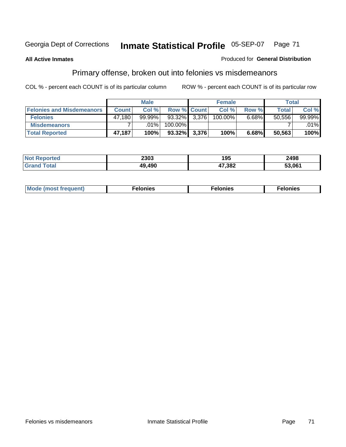## **All Active Inmates**

## Produced for **General Distribution**

# Primary offense, broken out into felonies vs misdemeanors

|                                  |              | <b>Male</b> |                    | <b>Female</b> |          | Total  |           |
|----------------------------------|--------------|-------------|--------------------|---------------|----------|--------|-----------|
| <b>Felonies and Misdemeanors</b> | <b>Count</b> | Col%        | <b>Row % Count</b> | Col%          | Row %    | Total  | Col%      |
| <b>Felonies</b>                  | 47.180       | $99.99\%$   | $93.32\%$ 3,376    | 100.00%       | $6.68\%$ | 50,556 | $99.99\%$ |
| <b>Misdemeanors</b>              |              | $.01\%$     | 100.00%            |               |          |        | $.01\%$   |
| <b>Total Reported</b>            | 47,187       | 100%        | $93.32\%$ 3,376    | 100%          | 6.68%    | 50,563 | 100%      |

| <b>Not</b><br>'ted | 2303 | א ו<br>טט ו | 2498   |
|--------------------|------|-------------|--------|
|                    | 490  | 7,382       | 53.06' |

| Mode (most frequent) | elonies | elonies | onies<br>-е к |
|----------------------|---------|---------|---------------|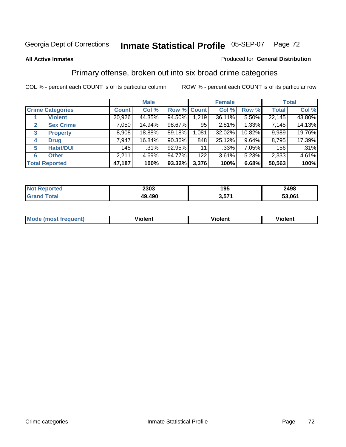## **All Active Inmates**

## Produced for **General Distribution**

# Primary offense, broken out into six broad crime categories

|                         |                       |              | <b>Male</b> |             |       | <b>Female</b> |          |              | <b>Total</b> |
|-------------------------|-----------------------|--------------|-------------|-------------|-------|---------------|----------|--------------|--------------|
| <b>Crime Categories</b> |                       | <b>Count</b> | Col %       | Row % Count |       | Col %         | Row %    | <b>Total</b> | Col %        |
|                         | <b>Violent</b>        | 20,926       | 44.35%      | 94.50%      | 1,219 | 36.11%        | $5.50\%$ | 22,145       | 43.80%       |
| 2                       | <b>Sex Crime</b>      | 7,050        | 14.94%      | 98.67%      | 95    | 2.81%         | 1.33%    | 7,145        | 14.13%       |
| 3                       | <b>Property</b>       | 8,908        | 18.88%      | 89.18%      | 1,081 | 32.02%        | 10.82%   | 9,989        | 19.76%       |
| 4                       | <b>Drug</b>           | 7,947        | 16.84%      | 90.36%      | 848   | 25.12%        | 9.64%    | 8,795        | 17.39%       |
| 5                       | <b>Habit/DUI</b>      | 145          | .31%        | 92.95%      | 11    | $.33\%$       | 7.05%    | 156          | $.31\%$      |
| 6                       | <b>Other</b>          | 2,211        | 4.69%       | 94.77%      | 122   | $3.61\%$      | 5.23%    | 2,333        | 4.61%        |
|                         | <b>Total Reported</b> | 47,187       | 100%        | 93.32%      | 3,376 | 100%          | 6.68%    | 50,563       | 100%         |

| 2303       | 195        | 2498   |
|------------|------------|--------|
| .490<br>49 | <b>E74</b> | 53.061 |

| IМ      | .        | $-$      | -------- |
|---------|----------|----------|----------|
| 1119000 | -------- | -------- |          |
|         |          |          |          |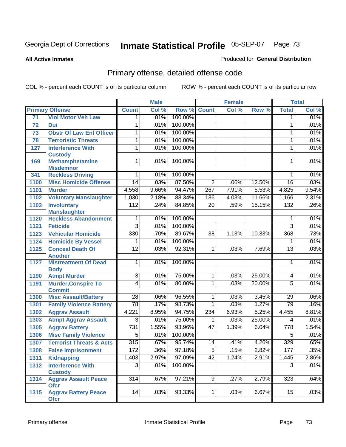**All Active Inmates**

#### Produced for **General Distribution**

# Primary offense, detailed offense code

|      |                                               | <b>Male</b>     |       | <b>Female</b> |                  |       | <b>Total</b> |                 |       |
|------|-----------------------------------------------|-----------------|-------|---------------|------------------|-------|--------------|-----------------|-------|
|      | <b>Primary Offense</b>                        | <b>Count</b>    | Col % | Row %         | <b>Count</b>     | Col % | Row %        | <b>Total</b>    | Col % |
| 71   | <b>Viol Motor Veh Law</b>                     | 1.              | .01%  | 100.00%       |                  |       |              | 1               | .01%  |
| 72   | Dui                                           | 1               | .01%  | 100.00%       |                  |       |              | 1               | .01%  |
| 73   | <b>Obstr Of Law Enf Officer</b>               | 1               | .01%  | 100.00%       |                  |       |              | 1               | .01%  |
| 78   | <b>Terroristic Threats</b>                    | 1               | .01%  | 100.00%       |                  |       |              | 1               | .01%  |
| 127  | <b>Interference With</b>                      | 1               | .01%  | 100.00%       |                  |       |              | 1               | .01%  |
|      | <b>Custody</b>                                |                 |       |               |                  |       |              |                 |       |
| 169  | <b>Methamphetamine</b>                        | $\mathbf{1}$    | .01%  | 100.00%       |                  |       |              | $\mathbf 1$     | .01%  |
|      | <b>Misdemnor</b>                              |                 |       | 100.00%       |                  |       |              |                 | .01%  |
| 341  | <b>Reckless Driving</b>                       | 1               | .01%  |               |                  |       |              | 1               |       |
| 1100 | <b>Misc Homicide Offense</b>                  | $\overline{14}$ | .03%  | 87.50%        | $\overline{2}$   | .06%  | 12.50%       | $\overline{16}$ | .03%  |
| 1101 | <b>Murder</b>                                 | 4,558           | 9.66% | 94.47%        | $\overline{267}$ | 7.91% | 5.53%        | 4,825           | 9.54% |
| 1102 | <b>Voluntary Manslaughter</b>                 | 1,030           | 2.18% | 88.34%        | 136              | 4.03% | 11.66%       | 1,166           | 2.31% |
| 1103 | <b>Involuntary</b>                            | 112             | .24%  | 84.85%        | $\overline{20}$  | .59%  | 15.15%       | 132             | .26%  |
|      | <b>Manslaughter</b>                           |                 |       |               |                  |       |              |                 |       |
| 1120 | <b>Reckless Abandonment</b>                   | 1               | .01%  | 100.00%       |                  |       |              | 1               | .01%  |
| 1121 | <b>Feticide</b>                               | $\overline{3}$  | .01%  | 100.00%       |                  |       |              | $\overline{3}$  | .01%  |
| 1123 | <b>Vehicular Homicide</b>                     | 330             | .70%  | 89.67%        | $\overline{38}$  | 1.13% | 10.33%       | 368             | .73%  |
| 1124 | <b>Homicide By Vessel</b>                     | 1               | .01%  | 100.00%       |                  |       |              | 1               | .01%  |
| 1125 | <b>Conceal Death Of</b>                       | $\overline{12}$ | .03%  | 92.31%        | 1                | .03%  | 7.69%        | $\overline{13}$ | .03%  |
|      | <b>Another</b>                                |                 |       |               |                  |       |              |                 |       |
| 1127 | <b>Mistreatment Of Dead</b>                   | 1               | .01%  | 100.00%       |                  |       |              | 1               | .01%  |
| 1190 | <b>Body</b><br><b>Atmpt Murder</b>            | $\overline{3}$  | .01%  | 75.00%        | $\overline{1}$   | .03%  | 25.00%       | 4               | .01%  |
| 1191 | <b>Murder, Conspire To</b>                    | 4               | .01%  | 80.00%        | $\mathbf{1}$     | .03%  | 20.00%       | $\overline{5}$  | .01%  |
|      | <b>Commit</b>                                 |                 |       |               |                  |       |              |                 |       |
| 1300 | <b>Misc Assault/Battery</b>                   | $\overline{28}$ | .06%  | 96.55%        | 1                | .03%  | 3.45%        | $\overline{29}$ | .06%  |
| 1301 | <b>Family Violence Battery</b>                | $\overline{78}$ | .17%  | 98.73%        | $\mathbf 1$      | .03%  | 1.27%        | 79              | .16%  |
| 1302 | <b>Aggrav Assault</b>                         | 4,221           | 8.95% | 94.75%        | 234              | 6.93% | 5.25%        | 4,455           | 8.81% |
| 1303 | <b>Atmpt Aggrav Assault</b>                   | $\overline{3}$  | .01%  | 75.00%        | 1                | .03%  | 25.00%       | 4               | .01%  |
| 1305 | <b>Aggrav Battery</b>                         | 731             | 1.55% | 93.96%        | 47               | 1.39% | 6.04%        | 778             | 1.54% |
| 1306 | <b>Misc Family Violence</b>                   | $\overline{5}$  | .01%  | 100.00%       |                  |       |              | $\overline{5}$  | .01%  |
| 1307 | <b>Terrorist Threats &amp; Acts</b>           | 315             | .67%  | 95.74%        | 14               | .41%  | 4.26%        | 329             | .65%  |
|      | 1308 False Imprisonment                       | 172             | .36%  | 97.18%        | $\overline{5}$   | .15%  | 2.82%        | 177             | .35%  |
|      |                                               |                 |       | 97.09%        | 42               |       | 2.91%        | $\sqrt{1,445}$  | 2.86% |
| 1311 | Kidnapping                                    | 1,403           | 2.97% |               |                  | 1.24% |              |                 |       |
| 1312 | <b>Interference With</b>                      | $\overline{3}$  | .01%  | 100.00%       |                  |       |              | $\overline{3}$  | .01%  |
| 1314 | <b>Custody</b><br><b>Aggrav Assault Peace</b> | 314             | .67%  | 97.21%        | 9                | .27%  | 2.79%        | 323             | .64%  |
|      | <b>Ofcr</b>                                   |                 |       |               |                  |       |              |                 |       |
| 1315 | <b>Aggrav Battery Peace</b>                   | 14              | .03%  | 93.33%        | 1 <sup>1</sup>   | .03%  | 6.67%        | $\overline{15}$ | .03%  |
|      | <b>Ofcr</b>                                   |                 |       |               |                  |       |              |                 |       |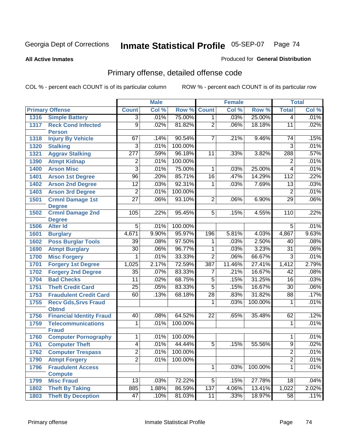**All Active Inmates**

#### Produced for **General Distribution**

# Primary offense, detailed offense code

|      |                                             |                  | <b>Male</b> |         |                 | <b>Female</b> |         |                 | <b>Total</b> |
|------|---------------------------------------------|------------------|-------------|---------|-----------------|---------------|---------|-----------------|--------------|
|      | <b>Primary Offense</b>                      | <b>Count</b>     | Col %       | Row %   | <b>Count</b>    | Col %         | Row %   | <b>Total</b>    | Col %        |
| 1316 | <b>Simple Battery</b>                       | $\overline{3}$   | .01%        | 75.00%  | $\overline{1}$  | .03%          | 25.00%  | $\overline{4}$  | .01%         |
| 1317 | <b>Reck Cond Infected</b><br><b>Person</b>  | $\overline{9}$   | .02%        | 81.82%  | $\overline{2}$  | .06%          | 18.18%  | $\overline{11}$ | .02%         |
| 1318 | <b>Injury By Vehicle</b>                    | 67               | .14%        | 90.54%  | $\overline{7}$  | .21%          | 9.46%   | 74              | .15%         |
| 1320 | <b>Stalking</b>                             | $\overline{3}$   | .01%        | 100.00% |                 |               |         | $\overline{3}$  | .01%         |
| 1321 | <b>Aggrav Stalking</b>                      | $\overline{277}$ | .59%        | 96.18%  | 11              | .33%          | 3.82%   | 288             | .57%         |
| 1390 | <b>Atmpt Kidnap</b>                         | $\overline{2}$   | .01%        | 100.00% |                 |               |         | $\overline{2}$  | .01%         |
| 1400 | <b>Arson Misc</b>                           | $\overline{3}$   | .01%        | 75.00%  | 1               | .03%          | 25.00%  | 4               | .01%         |
| 1401 | <b>Arson 1st Degree</b>                     | $\overline{96}$  | .20%        | 85.71%  | $\overline{16}$ | .47%          | 14.29%  | 112             | .22%         |
| 1402 | <b>Arson 2nd Degree</b>                     | $\overline{12}$  | .03%        | 92.31%  | 1               | .03%          | 7.69%   | $\overline{13}$ | .03%         |
| 1403 | <b>Arson 3rd Degree</b>                     | $\overline{2}$   | .01%        | 100.00% |                 |               |         | $\overline{2}$  | .01%         |
| 1501 | <b>Crmnl Damage 1st</b><br><b>Degree</b>    | $\overline{27}$  | .06%        | 93.10%  | $\overline{2}$  | .06%          | 6.90%   | 29              | .06%         |
| 1502 | <b>Crmnl Damage 2nd</b>                     | 105              | .22%        | 95.45%  | $\overline{5}$  | .15%          | 4.55%   | 110             | .22%         |
|      | <b>Degree</b>                               |                  |             |         |                 |               |         |                 |              |
| 1506 | <b>Alter Id</b>                             | $\overline{5}$   | .01%        | 100.00% |                 |               |         | $\overline{5}$  | .01%         |
| 1601 | <b>Burglary</b>                             | 4,671            | 9.90%       | 95.97%  | 196             | 5.81%         | 4.03%   | 4,867           | 9.63%        |
| 1602 | <b>Poss Burglar Tools</b>                   | $\overline{39}$  | .08%        | 97.50%  | 1               | .03%          | 2.50%   | 40              | .08%         |
| 1690 | <b>Atmpt Burglary</b>                       | $\overline{30}$  | .06%        | 96.77%  | $\overline{1}$  | .03%          | 3.23%   | $\overline{31}$ | .06%         |
| 1700 | <b>Misc Forgery</b>                         | 1                | .01%        | 33.33%  | $\overline{2}$  | .06%          | 66.67%  | $\overline{3}$  | .01%         |
| 1701 | <b>Forgery 1st Degree</b>                   | 1,025            | 2.17%       | 72.59%  | 387             | 11.46%        | 27.41%  | 1,412           | 2.79%        |
| 1702 | <b>Forgery 2nd Degree</b>                   | $\overline{35}$  | .07%        | 83.33%  | 7               | .21%          | 16.67%  | 42              | .08%         |
| 1704 | <b>Bad Checks</b>                           | 11               | .02%        | 68.75%  | $\overline{5}$  | .15%          | 31.25%  | 16              | .03%         |
| 1751 | <b>Theft Credit Card</b>                    | $\overline{25}$  | .05%        | 83.33%  | $\overline{5}$  | .15%          | 16.67%  | $\overline{30}$ | .06%         |
| 1753 | <b>Fraudulent Credit Card</b>               | 60               | .13%        | 68.18%  | $\overline{28}$ | .83%          | 31.82%  | 88              | .17%         |
| 1755 | <b>Recv Gds, Srvs Fraud</b><br><b>Obtnd</b> |                  |             |         | 1               | .03%          | 100.00% | $\mathbf 1$     | .01%         |
| 1756 | <b>Financial Identity Fraud</b>             | 40               | .08%        | 64.52%  | 22              | .65%          | 35.48%  | 62              | .12%         |
| 1759 | <b>Telecommunications</b><br><b>Fraud</b>   | 1                | .01%        | 100.00% |                 |               |         | $\mathbf 1$     | .01%         |
| 1760 | <b>Computer Pornography</b>                 | $\overline{1}$   | .01%        | 100.00% |                 |               |         | 1               | .01%         |
| 1761 | <b>Computer Theft</b>                       | $\overline{4}$   | .01%        | 44.44%  | $\overline{5}$  | .15%          | 55.56%  | $\overline{9}$  | .02%         |
| 1762 | <b>Computer Trespass</b>                    | $\overline{2}$   | .01%        | 100.00% |                 |               |         | $\overline{2}$  | .01%         |
| 1790 | <b>Atmpt Forgery</b>                        | $\overline{2}$   | .01%        | 100.00% |                 |               |         | $\overline{2}$  | .01%         |
| 1796 | <b>Fraudulent Access</b>                    |                  |             |         | $\overline{1}$  | .03%          | 100.00% | $\overline{1}$  | .01%         |
|      | <b>Compute</b>                              |                  |             |         |                 |               |         |                 |              |
| 1799 | <b>Misc Fraud</b>                           | $\overline{13}$  | .03%        | 72.22%  | $\overline{5}$  | .15%          | 27.78%  | 18              | .04%         |
| 1802 | <b>Theft By Taking</b>                      | 885              | 1.88%       | 86.59%  | 137             | 4.06%         | 13.41%  | 1,022           | 2.02%        |
| 1803 | <b>Theft By Deception</b>                   | 47               | .10%        | 81.03%  | 11              | .33%          | 18.97%  | 58              | .11%         |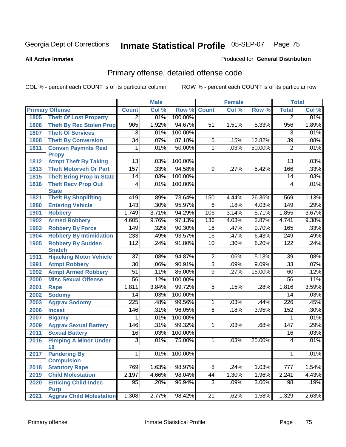**All Active Inmates**

#### Produced for **General Distribution**

# Primary offense, detailed offense code

|      |                                          |                  | <b>Male</b> |         |                 | <b>Female</b>              |        |                  | <b>Total</b> |
|------|------------------------------------------|------------------|-------------|---------|-----------------|----------------------------|--------|------------------|--------------|
|      | <b>Primary Offense</b>                   | <b>Count</b>     | Col %       | Row %   | <b>Count</b>    | $\overline{\text{Col }^9}$ | Row %  | <b>Total</b>     | Col %        |
| 1805 | <b>Theft Of Lost Property</b>            | $\overline{2}$   | .01%        | 100.00% |                 |                            |        | $\overline{2}$   | .01%         |
| 1806 | <b>Theft By Rec Stolen Prop</b>          | $\overline{905}$ | 1.92%       | 94.67%  | 51              | 1.51%                      | 5.33%  | 956              | 1.89%        |
| 1807 | <b>Theft Of Services</b>                 | $\overline{3}$   | .01%        | 100.00% |                 |                            |        | $\overline{3}$   | .01%         |
| 1808 | <b>Theft By Conversion</b>               | $\overline{34}$  | .07%        | 87.18%  | $\overline{5}$  | .15%                       | 12.82% | 39               | .08%         |
| 1811 | <b>Convsn Paymnts Real</b>               | 1                | .01%        | 50.00%  | $\overline{1}$  | .03%                       | 50.00% | $\overline{2}$   | .01%         |
|      | <b>Propy</b>                             |                  |             |         |                 |                            |        |                  |              |
| 1812 | <b>Atmpt Theft By Taking</b>             | $\overline{13}$  | .03%        | 100.00% |                 |                            |        | $\overline{13}$  | .03%         |
| 1813 | <b>Theft Motorveh Or Part</b>            | 157              | .33%        | 94.58%  | $\overline{9}$  | .27%                       | 5.42%  | 166              | .33%         |
| 1815 | <b>Theft Bring Prop In State</b>         | 14               | .03%        | 100.00% |                 |                            |        | $\overline{14}$  | .03%         |
| 1816 | <b>Theft Recv Prop Out</b>               | 4                | .01%        | 100.00% |                 |                            |        | 4                | .01%         |
|      | <b>State</b>                             |                  |             |         |                 |                            |        |                  |              |
| 1821 | <b>Theft By Shoplifting</b>              | 419              | .89%        | 73.64%  | 150             | 4.44%                      | 26.36% | 569              | 1.13%        |
| 1880 | <b>Entering Vehicle</b>                  | 143              | .30%        | 95.97%  | $\overline{6}$  | .18%                       | 4.03%  | 149              | .29%         |
| 1901 | <b>Robbery</b>                           | 1,749            | 3.71%       | 94.29%  | 106             | 3.14%                      | 5.71%  | 1,855            | 3.67%        |
| 1902 | <b>Armed Robbery</b>                     | 4,605            | 9.76%       | 97.13%  | 136             | 4.03%                      | 2.87%  | 4,741            | 9.38%        |
| 1903 | <b>Robbery By Force</b>                  | 149              | .32%        | 90.30%  | 16              | .47%                       | 9.70%  | 165              | .33%         |
| 1904 | <b>Robbery By Intimidation</b>           | 233              | .49%        | 93.57%  | $\overline{16}$ | .47%                       | 6.43%  | 249              | .49%         |
| 1905 | <b>Robbery By Sudden</b>                 | 112              | .24%        | 91.80%  | 10              | .30%                       | 8.20%  | 122              | .24%         |
|      | <b>Snatch</b>                            |                  |             |         |                 |                            |        |                  |              |
| 1911 | <b>Hijacking Motor Vehicle</b>           | $\overline{37}$  | .08%        | 94.87%  | $\overline{2}$  | .06%                       | 5.13%  | $\overline{39}$  | .08%         |
| 1991 | <b>Atmpt Robbery</b>                     | $\overline{30}$  | .06%        | 90.91%  | $\overline{3}$  | .09%                       | 9.09%  | $\overline{33}$  | .07%         |
| 1992 | <b>Atmpt Armed Robbery</b>               | $\overline{51}$  | .11%        | 85.00%  | $\overline{9}$  | .27%                       | 15.00% | 60               | .12%         |
| 2000 | <b>Misc Sexual Offense</b>               | $\overline{56}$  | .12%        | 100.00% |                 |                            |        | $\overline{56}$  | .11%         |
| 2001 | Rape                                     | 1,811            | 3.84%       | 99.72%  | $\overline{5}$  | .15%                       | .28%   | 1,816            | 3.59%        |
| 2002 | <b>Sodomy</b>                            | 14               | .03%        | 100.00% |                 |                            |        | $\overline{14}$  | .03%         |
| 2003 | <b>Aggrav Sodomy</b>                     | $\overline{225}$ | .48%        | 99.56%  | 1               | .03%                       | .44%   | $\overline{226}$ | .45%         |
| 2006 | <b>Incest</b>                            | 146              | .31%        | 96.05%  | $\overline{6}$  | .18%                       | 3.95%  | 152              | .30%         |
| 2007 | <b>Bigamy</b>                            | 1                | .01%        | 100.00% |                 |                            |        | 1                | .01%         |
| 2009 | <b>Aggrav Sexual Battery</b>             | 146              | .31%        | 99.32%  | 1               | .03%                       | .68%   | 147              | .29%         |
| 2011 | <b>Sexual Battery</b>                    | 16               | .03%        | 100.00% |                 |                            |        | 16               | .03%         |
| 2016 | <b>Pimping A Minor Under</b><br>18       | $\overline{3}$   | .01%        | 75.00%  | 1               | .03%                       | 25.00% | $\overline{4}$   | .01%         |
| 2017 | <b>Pandering By</b><br><b>Compulsion</b> | $\overline{1}$   | .01%        | 100.00% |                 |                            |        | 1                | .01%         |
| 2018 | <b>Statutory Rape</b>                    | 769              | 1.63%       | 98.97%  | $\infty$        | .24%                       | 1.03%  | 777              | 1.54%        |
| 2019 | <b>Child Molestation</b>                 | 2,197            | 4.66%       | 98.04%  | 44              | 1.30%                      | 1.96%  | 2,241            | 4.43%        |
| 2020 | <b>Enticing Child-Indec</b>              | $\overline{95}$  | .20%        | 96.94%  | $\overline{3}$  | .09%                       | 3.06%  | 98               | .19%         |
|      | <b>Purp</b>                              |                  |             |         |                 |                            |        |                  |              |
| 2021 | <b>Aggrav Child Molestation</b>          | 1,308            | 2.77%       | 98.42%  | 21              | .62%                       | 1.58%  | 1,329            | 2.63%        |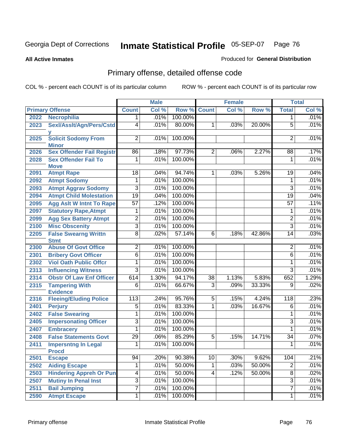**All Active Inmates**

#### Produced for **General Distribution**

# Primary offense, detailed offense code

|      |                                            |                 | <b>Male</b> |         |                 | <b>Female</b> |        |                  | <b>Total</b> |
|------|--------------------------------------------|-----------------|-------------|---------|-----------------|---------------|--------|------------------|--------------|
|      | <b>Primary Offense</b>                     | <b>Count</b>    | Col %       | Row %   | <b>Count</b>    | Col %         | Row %  | <b>Total</b>     | Col %        |
| 2022 | <b>Necrophilia</b>                         | 1               | .01%        | 100.00% |                 |               |        | 1                | .01%         |
| 2023 | Sexl/Asslt/Agn/Pers/Cstd                   | 4               | .01%        | 80.00%  | $\mathbf{1}$    | .03%          | 20.00% | $\overline{5}$   | .01%         |
| 2025 | <b>Solicit Sodomy From</b><br><b>Minor</b> | $\overline{2}$  | .01%        | 100.00% |                 |               |        | 2                | .01%         |
| 2026 | <b>Sex Offender Fail Registr</b>           | 86              | .18%        | 97.73%  | $\overline{2}$  | .06%          | 2.27%  | 88               | .17%         |
| 2028 | <b>Sex Offender Fail To</b>                | 1               | .01%        | 100.00% |                 |               |        | 1                | .01%         |
|      | <b>Move</b>                                |                 |             |         |                 |               |        |                  |              |
| 2091 | <b>Atmpt Rape</b>                          | $\overline{18}$ | .04%        | 94.74%  | $\mathbf 1$     | .03%          | 5.26%  | 19               | .04%         |
| 2092 | <b>Atmpt Sodomy</b>                        | 1               | .01%        | 100.00% |                 |               |        | 1                | .01%         |
| 2093 | <b>Atmpt Aggrav Sodomy</b>                 | $\overline{3}$  | .01%        | 100.00% |                 |               |        | $\overline{3}$   | .01%         |
| 2094 | <b>Atmpt Child Molestation</b>             | 19              | .04%        | 100.00% |                 |               |        | $\overline{19}$  | .04%         |
| 2095 | <b>Agg Aslt W Intnt To Rape</b>            | $\overline{57}$ | .12%        | 100.00% |                 |               |        | $\overline{57}$  | .11%         |
| 2097 | <b>Statutory Rape, Atmpt</b>               | 1               | .01%        | 100.00% |                 |               |        | 1                | .01%         |
| 2099 | <b>Agg Sex Battery Atmpt</b>               | $\overline{2}$  | .01%        | 100.00% |                 |               |        | $\overline{2}$   | .01%         |
| 2100 | <b>Misc Obscenity</b>                      | $\overline{3}$  | .01%        | 100.00% |                 |               |        | $\overline{3}$   | .01%         |
| 2205 | <b>False Swearng Writtn</b>                | $\overline{8}$  | .02%        | 57.14%  | $\overline{6}$  | .18%          | 42.86% | $\overline{14}$  | .03%         |
|      | <b>Stmt</b>                                |                 |             |         |                 |               |        |                  |              |
| 2300 | <b>Abuse Of Govt Office</b>                | $\overline{2}$  | .01%        | 100.00% |                 |               |        | $\overline{2}$   | .01%         |
| 2301 | <b>Bribery Govt Officer</b>                | $\overline{6}$  | .01%        | 100.00% |                 |               |        | $\overline{6}$   | .01%         |
| 2302 | <b>Viol Oath Public Offcr</b>              | 1               | .01%        | 100.00% |                 |               |        | $\mathbf{1}$     | .01%         |
| 2313 | <b>Influencing Witness</b>                 | $\overline{3}$  | .01%        | 100.00% |                 |               |        | $\overline{3}$   | .01%         |
| 2314 | <b>Obstr Of Law Enf Officer</b>            | 614             | 1.30%       | 94.17%  | $\overline{38}$ | 1.13%         | 5.83%  | 652              | 1.29%        |
| 2315 | <b>Tampering With</b><br><b>Evidence</b>   | $\overline{6}$  | .01%        | 66.67%  | $\overline{3}$  | .09%          | 33.33% | $\overline{9}$   | .02%         |
| 2316 | <b>Fleeing/Eluding Police</b>              | 113             | .24%        | 95.76%  | $\overline{5}$  | .15%          | 4.24%  | $\overline{118}$ | .23%         |
| 2401 | <b>Perjury</b>                             | $\overline{5}$  | .01%        | 83.33%  | $\overline{1}$  | .03%          | 16.67% | $\overline{6}$   | .01%         |
| 2402 | <b>False Swearing</b>                      | 1               | .01%        | 100.00% |                 |               |        | 1                | .01%         |
| 2405 | <b>Impersonating Officer</b>               | $\overline{3}$  | .01%        | 100.00% |                 |               |        | $\overline{3}$   | .01%         |
| 2407 | <b>Embracery</b>                           | 1               | .01%        | 100.00% |                 |               |        | 1                | .01%         |
| 2408 | <b>False Statements Govt</b>               | $\overline{29}$ | .06%        | 85.29%  | $\overline{5}$  | .15%          | 14.71% | $\overline{34}$  | .07%         |
| 2411 | <b>Impersntng In Legal</b>                 | 1               | .01%        | 100.00% |                 |               |        | 1                | .01%         |
|      | <b>Procd</b>                               |                 |             |         |                 |               |        |                  |              |
| 2501 | <b>Escape</b>                              | $\overline{94}$ | .20%        | 90.38%  | 10              | $.30\%$       | 9.62%  | 104              | .21%         |
| 2502 | <b>Aiding Escape</b>                       | 1               | .01%        | 50.00%  | $\mathbf{1}$    | .03%          | 50.00% | $\overline{2}$   | .01%         |
| 2503 | <b>Hindering Appreh Or Pun</b>             | 4               | .01%        | 50.00%  | 4               | .12%          | 50.00% | $\overline{8}$   | .02%         |
| 2507 | <b>Mutiny In Penal Inst</b>                | $\overline{3}$  | .01%        | 100.00% |                 |               |        | $\overline{3}$   | .01%         |
| 2511 | <b>Bail Jumping</b>                        | $\overline{7}$  | .01%        | 100.00% |                 |               |        | $\overline{7}$   | .01%         |
| 2590 | <b>Atmpt Escape</b>                        | 1               | .01%        | 100.00% |                 |               |        | 1                | .01%         |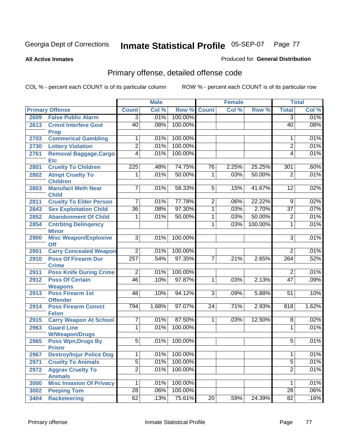**All Active Inmates**

#### Produced for **General Distribution**

# Primary offense, detailed offense code

|      |                                            |                  | <b>Male</b> |         |                 | <b>Female</b> |         |                 | <b>Total</b> |
|------|--------------------------------------------|------------------|-------------|---------|-----------------|---------------|---------|-----------------|--------------|
|      | <b>Primary Offense</b>                     | <b>Count</b>     | Col %       | Row %   | <b>Count</b>    | Col %         | Row %   | <b>Total</b>    | Col %        |
| 2609 | <b>False Public Alarm</b>                  | $\overline{3}$   | .01%        | 100.00% |                 |               |         | $\overline{3}$  | .01%         |
| 2613 | <b>Crmnl Interfere Govt</b><br><b>Prop</b> | 40               | .08%        | 100.00% |                 |               |         | $\overline{40}$ | .08%         |
| 2703 | <b>Commerical Gambling</b>                 | 1                | .01%        | 100.00% |                 |               |         | 1               | .01%         |
| 2730 | <b>Lottery Violation</b>                   | $\overline{2}$   | .01%        | 100.00% |                 |               |         | $\overline{2}$  | .01%         |
| 2761 | Removal Baggage, Cargo<br><b>Etc</b>       | $\overline{4}$   | .01%        | 100.00% |                 |               |         | 4               | .01%         |
| 2801 | <b>Cruelty To Children</b>                 | $\overline{225}$ | .48%        | 74.75%  | 76              | 2.25%         | 25.25%  | 301             | .60%         |
| 2802 | <b>Atmpt Cruelty To</b><br><b>Children</b> | $\overline{1}$   | .01%        | 50.00%  | $\overline{1}$  | .03%          | 50.00%  | $\overline{2}$  | .01%         |
| 2803 | <b>Manufact Meth Near</b><br><b>Child</b>  | $\overline{7}$   | .01%        | 58.33%  | $\overline{5}$  | .15%          | 41.67%  | $\overline{12}$ | .02%         |
| 2811 | <b>Cruelty To Elder Person</b>             | $\overline{7}$   | .01%        | 77.78%  | $\overline{2}$  | .06%          | 22.22%  | $\overline{9}$  | .02%         |
| 2843 | <b>Sex Exploitation Child</b>              | $\overline{36}$  | .08%        | 97.30%  | 1               | .03%          | 2.70%   | $\overline{37}$ | .07%         |
| 2852 | <b>Abandonment Of Child</b>                | 1                | .01%        | 50.00%  | 1               | .03%          | 50.00%  | $\overline{2}$  | .01%         |
| 2854 | <b>Cntrbtng Delingency</b>                 |                  |             |         | 1               | .03%          | 100.00% | 1               | .01%         |
|      | <b>Minor</b>                               |                  |             |         |                 |               |         |                 |              |
| 2900 | <b>Misc Weapon/Explosive</b><br><b>Off</b> | 3                | .01%        | 100.00% |                 |               |         | $\overline{3}$  | .01%         |
| 2901 | <b>Carry Concealed Weapon</b>              | $\overline{2}$   | .01%        | 100.00% |                 |               |         | $\overline{2}$  | .01%         |
| 2910 | <b>Poss Of Firearm Dur</b><br><b>Crime</b> | 257              | .54%        | 97.35%  | $\overline{7}$  | .21%          | 2.65%   | 264             | .52%         |
| 2911 | <b>Poss Knife During Crime</b>             | $\overline{2}$   | .01%        | 100.00% |                 |               |         | $\overline{2}$  | .01%         |
| 2912 | <b>Poss Of Certain</b><br><b>Weapons</b>   | 46               | .10%        | 97.87%  | $\overline{1}$  | .03%          | 2.13%   | $\overline{47}$ | .09%         |
| 2913 | <b>Poss Firearm 1st</b><br><b>Offender</b> | $\overline{48}$  | .10%        | 94.12%  | $\overline{3}$  | .09%          | 5.88%   | $\overline{51}$ | .10%         |
| 2914 | <b>Poss Firearm Convct</b><br><b>Felon</b> | 794              | 1.68%       | 97.07%  | 24              | .71%          | 2.93%   | 818             | 1.62%        |
| 2915 | <b>Carry Weapon At School</b>              | $\overline{7}$   | .01%        | 87.50%  | $\mathbf{1}$    | .03%          | 12.50%  | 8               | .02%         |
| 2963 | <b>Guard Line</b><br><b>W/Weapon/Drugs</b> | $\overline{1}$   | .01%        | 100.00% |                 |               |         | 1               | .01%         |
| 2965 | <b>Poss Wpn, Drugs By</b><br><b>Prisnr</b> | $\overline{5}$   | .01%        | 100.00% |                 |               |         | 5               | .01%         |
| 2967 | <b>Destroy/Injur Police Dog</b>            | $\mathbf{1}$     | .01%        | 100.00% |                 |               |         | 1               | .01%         |
| 2971 | <b>Cruelty To Animals</b>                  | $\overline{5}$   | .01%        | 100.00% |                 |               |         | $\overline{5}$  | .01%         |
| 2972 | <b>Aggrav Cruelty To</b><br><b>Animals</b> | $\overline{2}$   | .01%        | 100.00% |                 |               |         | $\overline{2}$  | .01%         |
| 3000 | <b>Misc Invasion Of Privacy</b>            | $\overline{1}$   | .01%        | 100.00% |                 |               |         | 1               | .01%         |
| 3002 | <b>Peeping Tom</b>                         | $\overline{28}$  | .06%        | 100.00% |                 |               |         | $\overline{28}$ | $.06\%$      |
| 3404 | <b>Racketeering</b>                        | 62               | .13%        | 75.61%  | $\overline{20}$ | .59%          | 24.39%  | $\overline{82}$ | .16%         |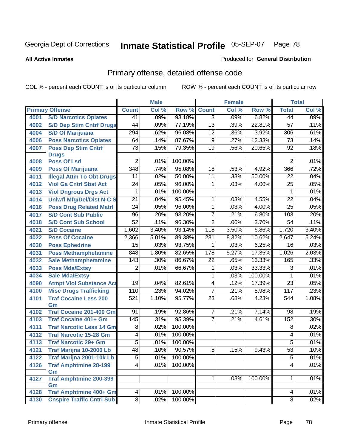**All Active Inmates**

#### Produced for **General Distribution**

# Primary offense, detailed offense code

|      |                                  |                  | <b>Male</b> |         |                 | <b>Female</b> |         |                 | <b>Total</b> |
|------|----------------------------------|------------------|-------------|---------|-----------------|---------------|---------|-----------------|--------------|
|      | <b>Primary Offense</b>           | <b>Count</b>     | Col %       | Row %   | <b>Count</b>    | Col %         | Row %   | <b>Total</b>    | Col %        |
| 4001 | <b>S/D Narcotics Opiates</b>     | 41               | .09%        | 93.18%  | $\overline{3}$  | .09%          | 6.82%   | 44              | .09%         |
| 4002 | <b>S/D Dep Stim Cntrf Drugs</b>  | 44               | .09%        | 77.19%  | $\overline{13}$ | .39%          | 22.81%  | 57              | .11%         |
| 4004 | <b>S/D Of Marijuana</b>          | 294              | .62%        | 96.08%  | $\overline{12}$ | .36%          | 3.92%   | 306             | .61%         |
| 4006 | <b>Poss Narcotics Opiates</b>    | 64               | .14%        | 87.67%  | $\overline{9}$  | .27%          | 12.33%  | $\overline{73}$ | .14%         |
| 4007 | <b>Poss Dep Stim Cntrf</b>       | $\overline{73}$  | .15%        | 79.35%  | $\overline{19}$ | .56%          | 20.65%  | $\overline{92}$ | .18%         |
|      | <b>Drugs</b>                     |                  |             |         |                 |               |         |                 |              |
| 4008 | <b>Poss Of Lsd</b>               | $\overline{2}$   | .01%        | 100.00% |                 |               |         | $\overline{2}$  | .01%         |
| 4009 | <b>Poss Of Marijuana</b>         | $\overline{348}$ | .74%        | 95.08%  | $\overline{18}$ | .53%          | 4.92%   | 366             | .72%         |
| 4011 | <b>Illegal Attm To Obt Drugs</b> | $\overline{11}$  | .02%        | 50.00%  | $\overline{11}$ | .33%          | 50.00%  | 22              | .04%         |
| 4012 | <b>Viol Ga Cntrl Sbst Act</b>    | $\overline{24}$  | .05%        | 96.00%  | $\mathbf{1}$    | .03%          | 4.00%   | 25              | .05%         |
| 4013 | <b>Viol Dngrous Drgs Act</b>     | 1                | .01%        | 100.00% |                 |               |         | 1               | .01%         |
| 4014 | <b>Uniwfl Mfg/Del/Dist N-C S</b> | $\overline{21}$  | .04%        | 95.45%  | $\mathbf{1}$    | .03%          | 4.55%   | $\overline{22}$ | .04%         |
| 4016 | <b>Poss Drug Related Matri</b>   | $\overline{24}$  | .05%        | 96.00%  | $\overline{1}$  | .03%          | 4.00%   | 25              | .05%         |
| 4017 | <b>S/D Cont Sub Public</b>       | 96               | .20%        | 93.20%  | $\overline{7}$  | .21%          | 6.80%   | 103             | .20%         |
| 4018 | <b>S/D Cont Sub School</b>       | $\overline{52}$  | .11%        | 96.30%  | $\overline{2}$  | .06%          | 3.70%   | $\overline{54}$ | .11%         |
| 4021 | <b>S/D Cocaine</b>               | 1,602            | 3.40%       | 93.14%  | 118             | 3.50%         | 6.86%   | 1,720           | 3.40%        |
| 4022 | <b>Poss Of Cocaine</b>           | 2,366            | 5.01%       | 89.38%  | 281             | 8.32%         | 10.62%  | 2,647           | 5.24%        |
| 4030 | <b>Poss Ephedrine</b>            | $\overline{15}$  | .03%        | 93.75%  | 1               | .03%          | 6.25%   | $\overline{16}$ | .03%         |
| 4031 | <b>Poss Methamphetamine</b>      | 848              | 1.80%       | 82.65%  | 178             | 5.27%         | 17.35%  | 1,026           | 2.03%        |
| 4032 | <b>Sale Methamphetamine</b>      | 143              | .30%        | 86.67%  | 22              | .65%          | 13.33%  | 165             | .33%         |
| 4033 | <b>Poss Mda/Extsy</b>            | 2                | .01%        | 66.67%  | 1               | .03%          | 33.33%  | 3               | .01%         |
| 4034 | <b>Sale Mda/Extsy</b>            |                  |             |         | 1               | .03%          | 100.00% | 1               | .01%         |
| 4090 | <b>Atmpt Viol Substance Act</b>  | $\overline{19}$  | .04%        | 82.61%  | $\overline{4}$  | .12%          | 17.39%  | $\overline{23}$ | .05%         |
| 4100 | <b>Misc Drugs Trafficking</b>    | 110              | .23%        | 94.02%  | $\overline{7}$  | .21%          | 5.98%   | 117             | .23%         |
| 4101 | <b>Traf Cocaine Less 200</b>     | $\overline{521}$ | 1.10%       | 95.77%  | $\overline{23}$ | .68%          | 4.23%   | 544             | 1.08%        |
|      | Gm                               |                  |             |         |                 |               |         |                 |              |
| 4102 | <b>Traf Cocaine 201-400 Gm</b>   | 91               | .19%        | 92.86%  | 7               | .21%          | 7.14%   | 98              | .19%         |
| 4103 | <b>Traf Cocaine 401+ Gm</b>      | 145              | .31%        | 95.39%  | $\overline{7}$  | .21%          | 4.61%   | 152             | .30%         |
| 4111 | <b>Traf Narcotic Less 14 Gm</b>  | $\overline{8}$   | .02%        | 100.00% |                 |               |         | $\overline{8}$  | .02%         |
| 4112 | <b>Traf Narcotic 15-28 Gm</b>    | 4                | .01%        | 100.00% |                 |               |         | 4               | .01%         |
| 4113 | <b>Traf Narcotic 29+ Gm</b>      | 5                | .01%        | 100.00% |                 |               |         | 5               | .01%         |
| 4121 | Traf Marijna 10-2000 Lb          | 48               | .10%        | 90.57%  | $\overline{5}$  | 15%           | 9.43%   | $\overline{53}$ | .10%         |
| 4122 | Traf Marijna 2001-10k Lb         | $\overline{5}$   | .01%        | 100.00% |                 |               |         | $\overline{5}$  | .01%         |
| 4126 | <b>Traf Amphtmine 28-199</b>     | $\overline{4}$   | .01%        | 100.00% |                 |               |         | $\overline{4}$  | .01%         |
|      | Gm                               |                  |             |         |                 |               |         |                 |              |
| 4127 | <b>Traf Amphtmine 200-399</b>    |                  |             |         | 1               | .03%          | 100.00% | 1               | .01%         |
|      | Gm                               |                  |             |         |                 |               |         |                 |              |
| 4128 | <b>Traf Amphtmine 400+ Gm</b>    | 4                | .01%        | 100.00% |                 |               |         | 4               | .01%         |
| 4130 | <b>Cnspire Traffic Cntrl Sub</b> | $\infty$         | .02%        | 100.00% |                 |               |         | $\overline{8}$  | .02%         |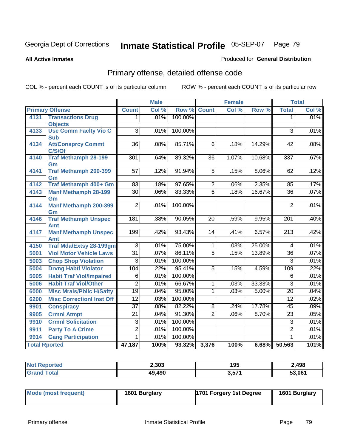**All Active Inmates**

#### Produced for **General Distribution**

# Primary offense, detailed offense code

|                      |                                     |                 | <b>Male</b> |         | <b>Female</b>   |       |        | <b>Total</b>     |       |
|----------------------|-------------------------------------|-----------------|-------------|---------|-----------------|-------|--------|------------------|-------|
|                      | <b>Primary Offense</b>              | <b>Count</b>    | Col %       | Row %   | <b>Count</b>    | Col % | Row %  | <b>Total</b>     | Col % |
| 4131                 | <b>Transactions Drug</b>            | 1               | .01%        | 100.00% |                 |       |        | 1                | .01%  |
|                      | <b>Objects</b>                      |                 |             |         |                 |       |        |                  |       |
| 4133                 | <b>Use Comm Facity Vio C</b>        | 3               | .01%        | 100.00% |                 |       |        | 3                | .01%  |
|                      | <b>Sub</b>                          | $\overline{36}$ |             | 85.71%  | $\overline{6}$  |       |        |                  | .08%  |
| 4134                 | <b>Att/Consprcy Commt</b><br>C/S/Of |                 | .08%        |         |                 | .18%  | 14.29% | 42               |       |
| 4140                 | <b>Traf Methamph 28-199</b>         | 301             | .64%        | 89.32%  | $\overline{36}$ | 1.07% | 10.68% | $\overline{337}$ | .67%  |
|                      | Gm                                  |                 |             |         |                 |       |        |                  |       |
| 4141                 | <b>Traf Methamph 200-399</b>        | $\overline{57}$ | .12%        | 91.94%  | $\overline{5}$  | .15%  | 8.06%  | 62               | .12%  |
|                      | Gm                                  |                 |             |         |                 |       |        |                  |       |
| 4142                 | Traf Methamph 400+ Gm               | 83              | .18%        | 97.65%  | $\overline{2}$  | .06%  | 2.35%  | 85               | .17%  |
| 4143                 | <b>Manf Methamph 28-199</b>         | $\overline{30}$ | .06%        | 83.33%  | $\overline{6}$  | .18%  | 16.67% | $\overline{36}$  | .07%  |
|                      | Gm                                  |                 |             |         |                 |       |        |                  |       |
| 4144                 | <b>Manf Methamph 200-399</b>        | $\overline{2}$  | .01%        | 100.00% |                 |       |        | 2                | .01%  |
|                      | Gm                                  |                 |             |         |                 |       |        |                  |       |
| 4146                 | <b>Traf Methamph Unspec</b><br>Amt  | 181             | .38%        | 90.05%  | $\overline{20}$ | .59%  | 9.95%  | 201              | .40%  |
| 4147                 | <b>Manf Methamph Unspec</b>         | 199             | .42%        | 93.43%  | 14              | .41%  | 6.57%  | $\overline{213}$ | .42%  |
|                      | Amt                                 |                 |             |         |                 |       |        |                  |       |
| 4150                 | <b>Traf Mda/Extsy 28-199gm</b>      | 3               | .01%        | 75.00%  | $\mathbf{1}$    | .03%  | 25.00% | 4                | .01%  |
| 5001                 | <b>Viol Motor Vehicle Laws</b>      | $\overline{31}$ | .07%        | 86.11%  | $\overline{5}$  | .15%  | 13.89% | $\overline{36}$  | .07%  |
| 5003                 | <b>Chop Shop Violation</b>          | $\overline{3}$  | .01%        | 100.00% |                 |       |        | $\overline{3}$   | .01%  |
| 5004                 | <b>Drvng Habtl Violator</b>         | 104             | .22%        | 95.41%  | $\overline{5}$  | .15%  | 4.59%  | 109              | .22%  |
| 5005                 | <b>Habit Traf Viol/Impaired</b>     | 6               | .01%        | 100.00% |                 |       |        | $\overline{6}$   | .01%  |
| 5006                 | <b>Habit Traf Viol/Other</b>        | $\overline{2}$  | .01%        | 66.67%  | 1               | .03%  | 33.33% | $\overline{3}$   | .01%  |
| 6000                 | <b>Misc Mrals/Pblic H/Safty</b>     | $\overline{19}$ | .04%        | 95.00%  | $\mathbf 1$     | .03%  | 5.00%  | $\overline{20}$  | .04%  |
| 6200                 | <b>Misc CorrectionI Inst Off</b>    | $\overline{12}$ | .03%        | 100.00% |                 |       |        | $\overline{12}$  | .02%  |
| 9901                 | <b>Conspiracy</b>                   | $\overline{37}$ | .08%        | 82.22%  | $\overline{8}$  | .24%  | 17.78% | 45               | .09%  |
| 9905                 | <b>Crmnl Atmpt</b>                  | $\overline{21}$ | .04%        | 91.30%  | $\overline{2}$  | .06%  | 8.70%  | $\overline{23}$  | .05%  |
| 9910                 | <b>Crmnl Solicitation</b>           | $\overline{3}$  | .01%        | 100.00% |                 |       |        | $\overline{3}$   | .01%  |
| 9911                 | <b>Party To A Crime</b>             | $\overline{2}$  | .01%        | 100.00% |                 |       |        | $\overline{2}$   | .01%  |
| 9914                 | <b>Gang Participation</b>           | 1               | .01%        | 100.00% |                 |       |        | $\mathbf 1$      | .01%  |
| <b>Total Rported</b> |                                     | 47,187          | 100%        | 93.32%  | 3,376           | 100%  | 6.68%  | 50,563           | 101%  |

| <b>Not Reported</b> | 2,303  | 195   | 2,498  |
|---------------------|--------|-------|--------|
| <b>Cotal</b>        | 49,490 | 3,571 | 53,061 |

| Mode (most frequent) | 1601 Burglary | 1701 Forgery 1st Degree | 1601 Burglary |
|----------------------|---------------|-------------------------|---------------|
|----------------------|---------------|-------------------------|---------------|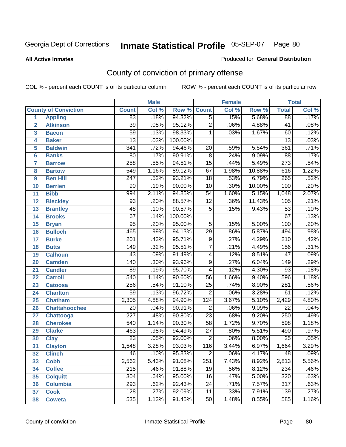**All Active Inmates**

#### Produced for **General Distribution**

# County of conviction of primary offense

|                         |                             |                  | <b>Male</b> |         |                 | <b>Female</b> |        |                  | <b>Total</b> |
|-------------------------|-----------------------------|------------------|-------------|---------|-----------------|---------------|--------|------------------|--------------|
|                         | <b>County of Conviction</b> | <b>Count</b>     | Col %       | Row %   | <b>Count</b>    | Col %         | Row %  | <b>Total</b>     | Col %        |
| 1                       | <b>Appling</b>              | $\overline{83}$  | .18%        | 94.32%  | $\overline{5}$  | .15%          | 5.68%  | 88               | .17%         |
| $\overline{2}$          | <b>Atkinson</b>             | $\overline{39}$  | .08%        | 95.12%  | $\overline{2}$  | .06%          | 4.88%  | 41               | .08%         |
| $\overline{\mathbf{3}}$ | <b>Bacon</b>                | $\overline{59}$  | .13%        | 98.33%  | 1               | .03%          | 1.67%  | 60               | .12%         |
| 4                       | <b>Baker</b>                | $\overline{13}$  | .03%        | 100.00% |                 |               |        | $\overline{13}$  | .03%         |
| 5                       | <b>Baldwin</b>              | $\overline{341}$ | .72%        | 94.46%  | $\overline{20}$ | .59%          | 5.54%  | 361              | .71%         |
| 6                       | <b>Banks</b>                | 80               | .17%        | 90.91%  | $\overline{8}$  | .24%          | 9.09%  | $\overline{88}$  | .17%         |
| 7                       | <b>Barrow</b>               | 258              | .55%        | 94.51%  | $\overline{15}$ | .44%          | 5.49%  | $\overline{273}$ | .54%         |
| 8                       | <b>Bartow</b>               | $\overline{549}$ | 1.16%       | 89.12%  | 67              | 1.98%         | 10.88% | 616              | 1.22%        |
| 9                       | <b>Ben Hill</b>             | $\overline{247}$ | .52%        | 93.21%  | $\overline{18}$ | .53%          | 6.79%  | 265              | .52%         |
| 10                      | <b>Berrien</b>              | 90               | .19%        | 90.00%  | 10              | .30%          | 10.00% | 100              | .20%         |
| 11                      | <b>Bibb</b>                 | 994              | 2.11%       | 94.85%  | $\overline{54}$ | 1.60%         | 5.15%  | 1,048            | 2.07%        |
| 12                      | <b>Bleckley</b>             | $\overline{93}$  | .20%        | 88.57%  | $\overline{12}$ | .36%          | 11.43% | 105              | .21%         |
| $\overline{13}$         | <b>Brantley</b>             | $\overline{48}$  | .10%        | 90.57%  | $\overline{5}$  | .15%          | 9.43%  | $\overline{53}$  | .10%         |
| 14                      | <b>Brooks</b>               | $\overline{67}$  | .14%        | 100.00% |                 |               |        | 67               | .13%         |
| 15                      | <b>Bryan</b>                | $\overline{95}$  | .20%        | 95.00%  | $\overline{5}$  | .15%          | 5.00%  | 100              | .20%         |
| 16                      | <b>Bulloch</b>              | 465              | .99%        | 94.13%  | 29              | .86%          | 5.87%  | 494              | .98%         |
| 17                      | <b>Burke</b>                | $\overline{201}$ | .43%        | 95.71%  | $\overline{9}$  | .27%          | 4.29%  | $\overline{210}$ | .42%         |
| 18                      | <b>Butts</b>                | 149              | .32%        | 95.51%  | $\overline{7}$  | .21%          | 4.49%  | 156              | .31%         |
| 19                      | <b>Calhoun</b>              | $\overline{43}$  | .09%        | 91.49%  | 4               | .12%          | 8.51%  | $\overline{47}$  | .09%         |
| 20                      | <b>Camden</b>               | 140              | .30%        | 93.96%  | $\overline{9}$  | .27%          | 6.04%  | $\overline{149}$ | .29%         |
| 21                      | <b>Candler</b>              | 89               | .19%        | 95.70%  | $\overline{4}$  | .12%          | 4.30%  | $\overline{93}$  | .18%         |
| 22                      | <b>Carroll</b>              | 540              | 1.14%       | 90.60%  | $\overline{56}$ | 1.66%         | 9.40%  | 596              | 1.18%        |
| 23                      | <b>Catoosa</b>              | 256              | .54%        | 91.10%  | $\overline{25}$ | .74%          | 8.90%  | 281              | .56%         |
| 24                      | <b>Charlton</b>             | $\overline{59}$  | .13%        | 96.72%  | $\overline{2}$  | .06%          | 3.28%  | 61               | .12%         |
| 25                      | <b>Chatham</b>              | 2,305            | 4.88%       | 94.90%  | 124             | 3.67%         | 5.10%  | 2,429            | 4.80%        |
| 26                      | <b>Chattahoochee</b>        | 20               | .04%        | 90.91%  | $\overline{2}$  | .06%          | 9.09%  | $\overline{22}$  | .04%         |
| 27                      | <b>Chattooga</b>            | $\overline{227}$ | .48%        | 90.80%  | $\overline{23}$ | .68%          | 9.20%  | 250              | .49%         |
| 28                      | <b>Cherokee</b>             | 540              | 1.14%       | 90.30%  | $\overline{58}$ | 1.72%         | 9.70%  | 598              | 1.18%        |
| 29                      | <b>Clarke</b>               | 463              | .98%        | 94.49%  | $\overline{27}$ | .80%          | 5.51%  | 490              | .97%         |
| 30                      | <b>Clay</b>                 | $\overline{23}$  | .05%        | 92.00%  | $\overline{2}$  | .06%          | 8.00%  | $\overline{25}$  | .05%         |
| 31                      | <b>Clayton</b>              | 1,548            | 3.28%       | 93.03%  | 116             | 3.44%         | 6.97%  | 1,664            | 3.29%        |
| 32                      | <b>Clinch</b>               | 46               | .10%        | 95.83%  | 2               | .06%          | 4.17%  | 48               | $.09\%$      |
| 33                      | <b>Cobb</b>                 | 2,562            | 5.43%       | 91.08%  | 251             | 7.43%         | 8.92%  | 2,813            | 5.56%        |
| 34                      | <b>Coffee</b>               | $\overline{2}15$ | .46%        | 91.88%  | 19              | .56%          | 8.12%  | 234              | .46%         |
| 35                      | <b>Colquitt</b>             | 304              | .64%        | 95.00%  | 16              | .47%          | 5.00%  | 320              | .63%         |
| 36                      | <b>Columbia</b>             | 293              | .62%        | 92.43%  | 24              | .71%          | 7.57%  | 317              | .63%         |
| 37                      | <b>Cook</b>                 | 128              | .27%        | 92.09%  | 11              | .33%          | 7.91%  | 139              | .27%         |
| 38                      | <b>Coweta</b>               | 535              | 1.13%       | 91.45%  | 50              | 1.48%         | 8.55%  | 585              | 1.16%        |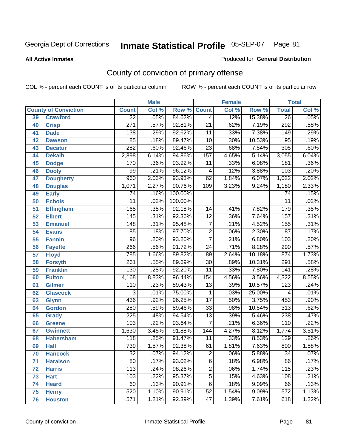Produced for **General Distribution**

#### **All Active Inmates**

# County of conviction of primary offense

|    |                             |                  | <b>Male</b> |         |                 | <b>Female</b> |        |                  | <b>Total</b> |
|----|-----------------------------|------------------|-------------|---------|-----------------|---------------|--------|------------------|--------------|
|    | <b>County of Conviction</b> | <b>Count</b>     | Col %       | Row %   | <b>Count</b>    | Col %         | Row %  | <b>Total</b>     | Col %        |
| 39 | <b>Crawford</b>             | $\overline{22}$  | .05%        | 84.62%  | $\overline{4}$  | .12%          | 15.38% | $\overline{26}$  | .05%         |
| 40 | <b>Crisp</b>                | $\overline{271}$ | .57%        | 92.81%  | $\overline{21}$ | .62%          | 7.19%  | 292              | .58%         |
| 41 | <b>Dade</b>                 | 138              | .29%        | 92.62%  | 11              | .33%          | 7.38%  | $\overline{149}$ | .29%         |
| 42 | <b>Dawson</b>               | 85               | .18%        | 89.47%  | 10              | .30%          | 10.53% | 95               | .19%         |
| 43 | <b>Decatur</b>              | 282              | .60%        | 92.46%  | $\overline{23}$ | .68%          | 7.54%  | $\overline{305}$ | .60%         |
| 44 | <b>Dekalb</b>               | 2,898            | 6.14%       | 94.86%  | 157             | 4.65%         | 5.14%  | 3,055            | 6.04%        |
| 45 | <b>Dodge</b>                | 170              | .36%        | 93.92%  | 11              | .33%          | 6.08%  | 181              | .36%         |
| 46 | <b>Dooly</b>                | 99               | .21%        | 96.12%  | 4               | .12%          | 3.88%  | 103              | .20%         |
| 47 | <b>Dougherty</b>            | 960              | 2.03%       | 93.93%  | 62              | 1.84%         | 6.07%  | 1,022            | 2.02%        |
| 48 | <b>Douglas</b>              | 1,071            | 2.27%       | 90.76%  | 109             | 3.23%         | 9.24%  | 1,180            | 2.33%        |
| 49 | <b>Early</b>                | $\overline{74}$  | .16%        | 100.00% |                 |               |        | $\overline{74}$  | .15%         |
| 50 | <b>Echols</b>               | 11               | .02%        | 100.00% |                 |               |        | 11               | .02%         |
| 51 | <b>Effingham</b>            | 165              | .35%        | 92.18%  | 14              | .41%          | 7.82%  | $\overline{179}$ | .35%         |
| 52 | <b>Elbert</b>               | 145              | .31%        | 92.36%  | $\overline{12}$ | .36%          | 7.64%  | 157              | .31%         |
| 53 | <b>Emanuel</b>              | 148              | .31%        | 95.48%  | $\overline{7}$  | .21%          | 4.52%  | 155              | .31%         |
| 54 | <b>Evans</b>                | 85               | .18%        | 97.70%  | $\overline{2}$  | .06%          | 2.30%  | $\overline{87}$  | .17%         |
| 55 | <b>Fannin</b>               | $\overline{96}$  | .20%        | 93.20%  | $\overline{7}$  | .21%          | 6.80%  | 103              | .20%         |
| 56 | <b>Fayette</b>              | 266              | .56%        | 91.72%  | $\overline{24}$ | .71%          | 8.28%  | 290              | .57%         |
| 57 | <b>Floyd</b>                | 785              | 1.66%       | 89.82%  | 89              | 2.64%         | 10.18% | 874              | 1.73%        |
| 58 | <b>Forsyth</b>              | $\overline{261}$ | .55%        | 89.69%  | 30              | .89%          | 10.31% | 291              | .58%         |
| 59 | <b>Franklin</b>             | 130              | .28%        | 92.20%  | $\overline{11}$ | .33%          | 7.80%  | 141              | .28%         |
| 60 | <b>Fulton</b>               | 4,168            | 8.83%       | 96.44%  | 154             | 4.56%         | 3.56%  | 4,322            | 8.55%        |
| 61 | Gilmer                      | 110              | .23%        | 89.43%  | $\overline{13}$ | .39%          | 10.57% | 123              | .24%         |
| 62 | <b>Glascock</b>             | $\overline{3}$   | .01%        | 75.00%  | 1               | .03%          | 25.00% | 4                | .01%         |
| 63 | <b>Glynn</b>                | 436              | .92%        | 96.25%  | $\overline{17}$ | .50%          | 3.75%  | 453              | .90%         |
| 64 | <b>Gordon</b>               | 280              | .59%        | 89.46%  | $\overline{33}$ | .98%          | 10.54% | $\overline{313}$ | .62%         |
| 65 | <b>Grady</b>                | $\overline{225}$ | .48%        | 94.54%  | $\overline{13}$ | .39%          | 5.46%  | 238              | .47%         |
| 66 | <b>Greene</b>               | 103              | .22%        | 93.64%  | 7               | .21%          | 6.36%  | 110              | .22%         |
| 67 | <b>Gwinnett</b>             | 1,630            | 3.45%       | 91.88%  | 144             | 4.27%         | 8.12%  | 1,774            | 3.51%        |
| 68 | <b>Habersham</b>            | 118              | .25%        | 91.47%  | 11              | .33%          | 8.53%  | 129              | .26%         |
| 69 | <b>Hall</b>                 | 739              | 1.57%       | 92.38%  | 61              | 1.81%         | 7.63%  | 800              | 1.58%        |
| 70 | <b>Hancock</b>              | 32               | .07%        | 94.12%  | 2               | .06%          | 5.88%  | 34               | $.07\%$      |
| 71 | <b>Haralson</b>             | $\overline{80}$  | .17%        | 93.02%  | $\overline{6}$  | .18%          | 6.98%  | 86               | .17%         |
| 72 | <b>Harris</b>               | $\overline{113}$ | .24%        | 98.26%  | $\overline{2}$  | .06%          | 1.74%  | 115              | .23%         |
| 73 | <b>Hart</b>                 | 103              | .22%        | 95.37%  | $\overline{5}$  | .15%          | 4.63%  | 108              | .21%         |
| 74 | <b>Heard</b>                | 60               | .13%        | 90.91%  | 6               | .18%          | 9.09%  | 66               | .13%         |
| 75 | <b>Henry</b>                | 520              | 1.10%       | 90.91%  | 52              | 1.54%         | 9.09%  | $\overline{572}$ | 1.13%        |
| 76 | <b>Houston</b>              | 571              | 1.21%       | 92.39%  | 47              | 1.39%         | 7.61%  | 618              | 1.22%        |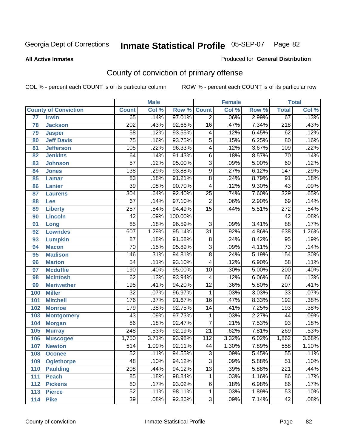#### **All Active Inmates**

#### Produced for **General Distribution**

# County of conviction of primary offense

|                 |                             |                  | <b>Male</b> |         |                  | <b>Female</b> |       |                  | <b>Total</b> |
|-----------------|-----------------------------|------------------|-------------|---------|------------------|---------------|-------|------------------|--------------|
|                 | <b>County of Conviction</b> | <b>Count</b>     | Col %       | Row %   | <b>Count</b>     | Col %         | Row % | <b>Total</b>     | Col %        |
| $\overline{77}$ | <b>Irwin</b>                | 65               | .14%        | 97.01%  | $\overline{2}$   | .06%          | 2.99% | 67               | .13%         |
| 78              | <b>Jackson</b>              | $\overline{202}$ | .43%        | 92.66%  | $\overline{16}$  | .47%          | 7.34% | $\overline{218}$ | .43%         |
| 79              | <b>Jasper</b>               | $\overline{58}$  | .12%        | 93.55%  | 4                | .12%          | 6.45% | 62               | .12%         |
| 80              | <b>Jeff Davis</b>           | $\overline{75}$  | .16%        | 93.75%  | $\overline{5}$   | .15%          | 6.25% | 80               | .16%         |
| 81              | <b>Jefferson</b>            | $\overline{105}$ | .22%        | 96.33%  | $\overline{4}$   | .12%          | 3.67% | 109              | .22%         |
| 82              | <b>Jenkins</b>              | 64               | .14%        | 91.43%  | $\overline{6}$   | .18%          | 8.57% | $\overline{70}$  | .14%         |
| 83              | <b>Johnson</b>              | $\overline{57}$  | .12%        | 95.00%  | $\overline{3}$   | .09%          | 5.00% | 60               | .12%         |
| 84              | <b>Jones</b>                | 138              | .29%        | 93.88%  | $\overline{9}$   | .27%          | 6.12% | $\overline{147}$ | .29%         |
| 85              | <b>Lamar</b>                | 83               | .18%        | 91.21%  | 8                | .24%          | 8.79% | $\overline{91}$  | .18%         |
| 86              | <b>Lanier</b>               | $\overline{39}$  | .08%        | 90.70%  | 4                | .12%          | 9.30% | $\overline{43}$  | .09%         |
| 87              | <b>Laurens</b>              | 304              | .64%        | 92.40%  | $\overline{25}$  | .74%          | 7.60% | 329              | .65%         |
| 88              | Lee                         | 67               | .14%        | 97.10%  | $\overline{2}$   | .06%          | 2.90% | 69               | .14%         |
| 89              | <b>Liberty</b>              | 257              | .54%        | 94.49%  | $\overline{15}$  | .44%          | 5.51% | $\overline{272}$ | .54%         |
| 90              | <b>Lincoln</b>              | $\overline{42}$  | .09%        | 100.00% |                  |               |       | 42               | .08%         |
| 91              | Long                        | $\overline{85}$  | .18%        | 96.59%  | $\overline{3}$   | .09%          | 3.41% | $\overline{88}$  | .17%         |
| 92              | <b>Lowndes</b>              | 607              | 1.29%       | 95.14%  | $\overline{31}$  | .92%          | 4.86% | 638              | 1.26%        |
| 93              | <b>Lumpkin</b>              | $\overline{87}$  | .18%        | 91.58%  | $\overline{8}$   | .24%          | 8.42% | $\overline{95}$  | .19%         |
| 94              | <b>Macon</b>                | $\overline{70}$  | .15%        | 95.89%  | $\overline{3}$   | .09%          | 4.11% | $\overline{73}$  | .14%         |
| 95              | <b>Madison</b>              | 146              | .31%        | 94.81%  | $\overline{8}$   | .24%          | 5.19% | 154              | .30%         |
| 96              | <b>Marion</b>               | $\overline{54}$  | .11%        | 93.10%  | 4                | .12%          | 6.90% | $\overline{58}$  | .11%         |
| 97              | <b>Mcduffie</b>             | 190              | .40%        | 95.00%  | $\overline{10}$  | .30%          | 5.00% | $\overline{200}$ | .40%         |
| 98              | <b>Mcintosh</b>             | 62               | .13%        | 93.94%  | 4                | .12%          | 6.06% | 66               | .13%         |
| 99              | <b>Meriwether</b>           | 195              | .41%        | 94.20%  | $\overline{12}$  | .36%          | 5.80% | $\overline{207}$ | .41%         |
| 100             | <b>Miller</b>               | $\overline{32}$  | .07%        | 96.97%  | $\mathbf{1}$     | .03%          | 3.03% | $\overline{33}$  | .07%         |
| 101             | <b>Mitchell</b>             | 176              | .37%        | 91.67%  | $\overline{16}$  | .47%          | 8.33% | $\overline{192}$ | .38%         |
| 102             | <b>Monroe</b>               | 179              | .38%        | 92.75%  | 14               | .41%          | 7.25% | 193              | .38%         |
| 103             | <b>Montgomery</b>           | $\overline{43}$  | .09%        | 97.73%  | 1                | .03%          | 2.27% | 44               | .09%         |
| 104             | <b>Morgan</b>               | $\overline{86}$  | .18%        | 92.47%  | $\overline{7}$   | .21%          | 7.53% | $\overline{93}$  | .18%         |
| 105             | <b>Murray</b>               | $\overline{248}$ | .53%        | 92.19%  | $\overline{21}$  | .62%          | 7.81% | 269              | .53%         |
| 106             | <b>Muscogee</b>             | 1,750            | 3.71%       | 93.98%  | $\overline{112}$ | 3.32%         | 6.02% | 1,862            | 3.68%        |
| 107             | <b>Newton</b>               | $\overline{514}$ | 1.09%       | 92.11%  | 44               | 1.30%         | 7.89% | 558              | 1.10%        |
| 108             | <b>Oconee</b>               | 52               | .11%        | 94.55%  | 3                | .09%          | 5.45% | 55               | .11%         |
| 109             | <b>Oglethorpe</b>           | $\overline{48}$  | .10%        | 94.12%  | $\overline{3}$   | .09%          | 5.88% | $\overline{51}$  | .10%         |
| 110             | <b>Paulding</b>             | 208              | .44%        | 94.12%  | $\overline{13}$  | .39%          | 5.88% | $\overline{221}$ | .44%         |
| 111             | <b>Peach</b>                | 85               | .18%        | 98.84%  | 1                | .03%          | 1.16% | 86               | .17%         |
| 112             | <b>Pickens</b>              | 80               | .17%        | 93.02%  | 6                | .18%          | 6.98% | 86               | .17%         |
| 113             | <b>Pierce</b>               | $\overline{52}$  | .11%        | 98.11%  | 1                | .03%          | 1.89% | $\overline{53}$  | .10%         |
| 114             | <b>Pike</b>                 | 39               | .08%        | 92.86%  | $\overline{3}$   | .09%          | 7.14% | 42               | .08%         |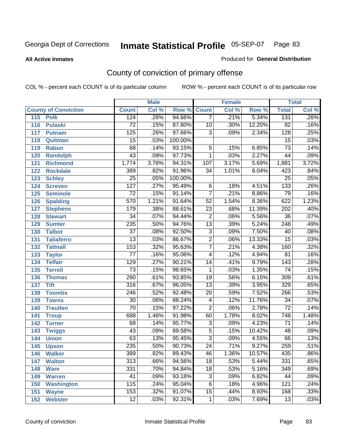**All Active Inmates**

### Produced for **General Distribution**

# County of conviction of primary offense

|                             |                  | <b>Male</b> |                    |                 | <b>Female</b> |        |                  | <b>Total</b> |
|-----------------------------|------------------|-------------|--------------------|-----------------|---------------|--------|------------------|--------------|
| <b>County of Conviction</b> | <b>Count</b>     | Col %       | <b>Row % Count</b> |                 | Col %         | Row %  | <b>Total</b>     | Col %        |
| 115<br><b>Polk</b>          | 124              | .26%        | 94.66%             | $\overline{7}$  | .21%          | 5.34%  | 131              | .26%         |
| 116<br><b>Pulaski</b>       | $\overline{72}$  | .15%        | 87.80%             | 10              | .30%          | 12.20% | $\overline{82}$  | .16%         |
| 117<br><b>Putnam</b>        | 125              | .26%        | 97.66%             | $\overline{3}$  | .09%          | 2.34%  | $\overline{128}$ | .25%         |
| 118<br>Quitman              | $\overline{15}$  | .03%        | 100.00%            |                 |               |        | $\overline{15}$  | .03%         |
| 119<br><b>Rabun</b>         | 68               | .14%        | 93.15%             | $\overline{5}$  | .15%          | 6.85%  | $\overline{73}$  | .14%         |
| 120<br><b>Randolph</b>      | $\overline{43}$  | .09%        | 97.73%             | 1               | .03%          | 2.27%  | 44               | .09%         |
| <b>Richmond</b><br>121      | 1,774            | 3.76%       | 94.31%             | 107             | 3.17%         | 5.69%  | 1,881            | 3.72%        |
| 122<br><b>Rockdale</b>      | 389              | .82%        | 91.96%             | 34              | 1.01%         | 8.04%  | 423              | .84%         |
| 123<br><b>Schley</b>        | $\overline{25}$  | .05%        | 100.00%            |                 |               |        | $\overline{25}$  | .05%         |
| 124<br><b>Screven</b>       | $\overline{127}$ | .27%        | 95.49%             | $\overline{6}$  | .18%          | 4.51%  | 133              | .26%         |
| 125<br><b>Seminole</b>      | $\overline{72}$  | .15%        | 91.14%             | $\overline{7}$  | .21%          | 8.86%  | 79               | .16%         |
| 126<br><b>Spalding</b>      | 570              | 1.21%       | 91.64%             | $\overline{52}$ | 1.54%         | 8.36%  | 622              | 1.23%        |
| 127<br><b>Stephens</b>      | 179              | .38%        | 88.61%             | $\overline{23}$ | .68%          | 11.39% | 202              | .40%         |
| 128<br><b>Stewart</b>       | $\overline{34}$  | .07%        | 94.44%             | $\overline{2}$  | .06%          | 5.56%  | $\overline{36}$  | .07%         |
| 129<br><b>Sumter</b>        | 235              | .50%        | 94.76%             | $\overline{13}$ | .39%          | 5.24%  | $\overline{248}$ | .49%         |
| <b>Talbot</b><br>130        | $\overline{37}$  | .08%        | 92.50%             | $\overline{3}$  | .09%          | 7.50%  | 40               | .08%         |
| 131<br><b>Taliaferro</b>    | $\overline{13}$  | .03%        | 86.67%             | $\overline{2}$  | .06%          | 13.33% | $\overline{15}$  | .03%         |
| <b>Tattnall</b><br>132      | 153              | .32%        | 95.63%             | $\overline{7}$  | .21%          | 4.38%  | 160              | .32%         |
| 133<br><b>Taylor</b>        | $\overline{77}$  | .16%        | 95.06%             | $\overline{4}$  | .12%          | 4.94%  | $\overline{81}$  | .16%         |
| <b>Telfair</b><br>134       | $\overline{129}$ | .27%        | 90.21%             | 14              | .41%          | 9.79%  | $\overline{143}$ | .28%         |
| 135<br><b>Terrell</b>       | $\overline{73}$  | .15%        | 98.65%             | $\mathbf{1}$    | .03%          | 1.35%  | $\overline{74}$  | .15%         |
| 136<br><b>Thomas</b>        | 290              | .61%        | 93.85%             | $\overline{19}$ | .56%          | 6.15%  | 309              | .61%         |
| 137<br><b>Tift</b>          | 316              | .67%        | 96.05%             | $\overline{13}$ | .39%          | 3.95%  | 329              | .65%         |
| <b>Toombs</b><br>138        | 246              | .52%        | 92.48%             | 20              | .59%          | 7.52%  | 266              | .53%         |
| 139<br><b>Towns</b>         | $\overline{30}$  | .06%        | 88.24%             | $\overline{4}$  | .12%          | 11.76% | $\overline{34}$  | .07%         |
| <b>Treutlen</b><br>140      | $\overline{70}$  | .15%        | 97.22%             | $\overline{2}$  | .06%          | 2.78%  | $\overline{72}$  | .14%         |
| 141<br><b>Troup</b>         | 688              | 1.46%       | 91.98%             | 60              | 1.78%         | 8.02%  | 748              | 1.48%        |
| 142<br><b>Turner</b>        | 68               | .14%        | 95.77%             | $\overline{3}$  | .09%          | 4.23%  | 71               | .14%         |
| 143<br><b>Twiggs</b>        | $\overline{43}$  | .09%        | 89.58%             | $\overline{5}$  | .15%          | 10.42% | 48               | .09%         |
| 144<br><b>Union</b>         | 63               | .13%        | 95.45%             | $\overline{3}$  | .09%          | 4.55%  | 66               | .13%         |
| 145<br><b>Upson</b>         | 235              | .50%        | 90.73%             | $\overline{24}$ | .71%          | 9.27%  | 259              | .51%         |
| 146<br><b>Walker</b>        | 389              | .82%        | 89.43%             | 46              | 1.36%         | 10.57% | 435              | $.86\%$      |
| 147<br><b>Walton</b>        | $\overline{313}$ | .66%        | 94.56%             | $\overline{18}$ | .53%          | 5.44%  | 331              | .65%         |
| 148<br><b>Ware</b>          | 331              | .70%        | 94.84%             | 18              | .53%          | 5.16%  | 349              | .69%         |
| 149<br><b>Warren</b>        | 41               | .09%        | 93.18%             | 3               | .09%          | 6.82%  | 44               | .09%         |
| <b>Washington</b><br>150    | 115              | .24%        | 95.04%             | 6               | .18%          | 4.96%  | 121              | .24%         |
| 151<br><b>Wayne</b>         | 153              | .32%        | 91.07%             | 15              | .44%          | 8.93%  | 168              | .33%         |
| 152<br><b>Webster</b>       | $\overline{12}$  | .03%        | 92.31%             | $\mathbf{1}$    | .03%          | 7.69%  | 13               | .03%         |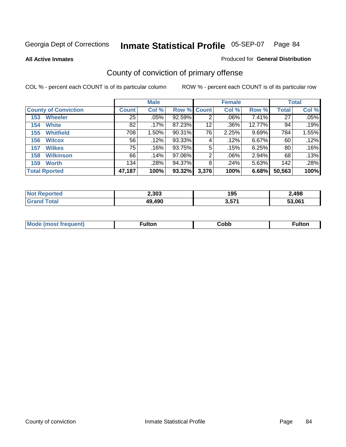**All Active Inmates**

#### Produced for **General Distribution**

# County of conviction of primary offense

|                             |                 | <b>Male</b> |                    |       | <b>Female</b> |        |                 | <b>Total</b> |
|-----------------------------|-----------------|-------------|--------------------|-------|---------------|--------|-----------------|--------------|
| <b>County of Conviction</b> | <b>Count</b>    | Col %       | <b>Row % Count</b> |       | Col %         | Row %  | <b>Total</b>    | Col %        |
| <b>Wheeler</b><br>153       | 25              | $.05\%$     | 92.59%             | 2     | .06%          | 7.41%  | $\overline{27}$ | .05%         |
| <b>White</b><br>154         | 82              | .17%        | 87.23%             | 12    | .36%          | 12.77% | 94              | .19%         |
| <b>Whitfield</b><br>155     | 708             | 1.50%       | 90.31%             | 76    | 2.25%         | 9.69%  | 784             | 1.55%        |
| <b>Wilcox</b><br>156        | 56              | .12%        | 93.33%             | 4     | .12%          | 6.67%  | 60              | .12%         |
| <b>Wilkes</b><br>157        | 75 <sub>1</sub> | .16%        | 93.75%             | 5     | .15%          | 6.25%  | 80              | .16%         |
| <b>Wilkinson</b><br>158     | 66              | .14%        | 97.06%             | 2     | .06%          | 2.94%  | 68              | $.13\%$      |
| <b>Worth</b><br>159         | 134             | .28%        | 94.37%             | 8     | .24%          | 5.63%  | 142             | .28%         |
| <b>Total Rported</b>        | 47,187          | 100%        | 93.32%             | 3,376 | 100%          | 6.68%  | 50,563          | 100%         |

| тео<br>NI. | 2,303      | 195         | 2,498  |
|------------|------------|-------------|--------|
|            | .490<br>49 | 2571<br>J,J | 53.061 |

| <b>Mo</b><br>uent) | ™ulton<br>____ | obb∶ |  |
|--------------------|----------------|------|--|
|                    |                |      |  |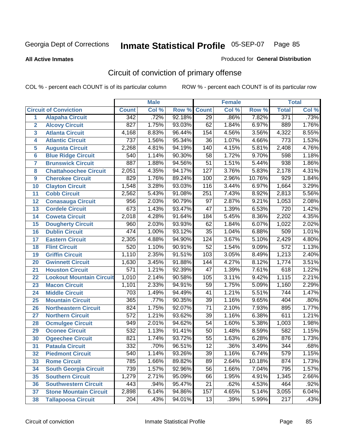**All Active Inmates**

#### Produced for **General Distribution**

# Circuit of conviction of primary offense

|                         |                                 |                  | <b>Male</b> |        |                  | <b>Female</b> |        |                  | <b>Total</b> |
|-------------------------|---------------------------------|------------------|-------------|--------|------------------|---------------|--------|------------------|--------------|
|                         | <b>Circuit of Conviction</b>    | <b>Count</b>     | Col %       | Row %  | <b>Count</b>     | Col %         | Row %  | <b>Total</b>     | Col %        |
| 1                       | <b>Alapaha Circuit</b>          | 342              | .72%        | 92.18% | $\overline{29}$  | .86%          | 7.82%  | 371              | .73%         |
| $\overline{2}$          | <b>Alcovy Circuit</b>           | $\overline{827}$ | 1.75%       | 93.03% | 62               | 1.84%         | 6.97%  | 889              | 1.76%        |
| $\overline{\mathbf{3}}$ | <b>Atlanta Circuit</b>          | 4,168            | 8.83%       | 96.44% | 154              | 4.56%         | 3.56%  | 4,322            | 8.55%        |
| 4                       | <b>Atlantic Circuit</b>         | $\overline{737}$ | 1.56%       | 95.34% | $\overline{36}$  | 1.07%         | 4.66%  | $\overline{773}$ | 1.53%        |
| 5                       | <b>Augusta Circuit</b>          | 2,268            | 4.81%       | 94.19% | $\overline{140}$ | 4.15%         | 5.81%  | 2,408            | 4.76%        |
| $6\phantom{a}$          | <b>Blue Ridge Circuit</b>       | $\overline{540}$ | 1.14%       | 90.30% | $\overline{58}$  | 1.72%         | 9.70%  | 598              | 1.18%        |
| $\overline{7}$          | <b>Brunswick Circuit</b>        | 887              | 1.88%       | 94.56% | $\overline{51}$  | 1.51%         | 5.44%  | 938              | 1.86%        |
| 8                       | <b>Chattahoochee Circuit</b>    | 2,051            | 4.35%       | 94.17% | $\overline{127}$ | 3.76%         | 5.83%  | 2,178            | 4.31%        |
| 9                       | <b>Cherokee Circuit</b>         | 829              | 1.76%       | 89.24% | 100              | 2.96%         | 10.76% | $\overline{929}$ | 1.84%        |
| 10                      | <b>Clayton Circuit</b>          | 1,548            | 3.28%       | 93.03% | 116              | 3.44%         | 6.97%  | 1,664            | 3.29%        |
| 11                      | <b>Cobb Circuit</b>             | 2,562            | 5.43%       | 91.08% | $\overline{251}$ | 7.43%         | 8.92%  | 2,813            | 5.56%        |
| 12                      | <b>Conasauga Circuit</b>        | 956              | 2.03%       | 90.79% | $\overline{97}$  | 2.87%         | 9.21%  | 1,053            | 2.08%        |
| 13                      | <b>Cordele Circuit</b>          | 673              | 1.43%       | 93.47% | $\overline{47}$  | 1.39%         | 6.53%  | 720              | 1.42%        |
| 14                      | <b>Coweta Circuit</b>           | 2,018            | 4.28%       | 91.64% | 184              | 5.45%         | 8.36%  | 2,202            | 4.35%        |
| 15                      | <b>Dougherty Circuit</b>        | 960              | 2.03%       | 93.93% | 62               | 1.84%         | 6.07%  | 1,022            | 2.02%        |
| 16                      | <b>Dublin Circuit</b>           | 474              | 1.00%       | 93.12% | $\overline{35}$  | 1.04%         | 6.88%  | 509              | 1.01%        |
| 17                      | <b>Eastern Circuit</b>          | 2,305            | 4.88%       | 94.90% | 124              | 3.67%         | 5.10%  | 2,429            | 4.80%        |
| 18                      | <b>Flint Circuit</b>            | 520              | 1.10%       | 90.91% | $\overline{52}$  | 1.54%         | 9.09%  | $\overline{572}$ | 1.13%        |
| 19                      | <b>Griffin Circuit</b>          | 1,110            | 2.35%       | 91.51% | 103              | 3.05%         | 8.49%  | 1,213            | 2.40%        |
| 20                      | <b>Gwinnett Circuit</b>         | 1,630            | 3.45%       | 91.88% | 144              | 4.27%         | 8.12%  | 1,774            | 3.51%        |
| 21                      | <b>Houston Circuit</b>          | $\overline{571}$ | 1.21%       | 92.39% | $\overline{47}$  | 1.39%         | 7.61%  | 618              | 1.22%        |
| $\overline{22}$         | <b>Lookout Mountain Circuit</b> | 1,010            | 2.14%       | 90.58% | 105              | 3.11%         | 9.42%  | 1,115            | 2.21%        |
| 23                      | <b>Macon Circuit</b>            | 1,101            | 2.33%       | 94.91% | 59               | 1.75%         | 5.09%  | 1,160            | 2.29%        |
| 24                      | <b>Middle Circuit</b>           | $\overline{703}$ | 1.49%       | 94.49% | $\overline{41}$  | 1.21%         | 5.51%  | $\overline{744}$ | 1.47%        |
| 25                      | <b>Mountain Circuit</b>         | 365              | .77%        | 90.35% | $\overline{39}$  | 1.16%         | 9.65%  | 404              | .80%         |
| 26                      | <b>Northeastern Circuit</b>     | 824              | 1.75%       | 92.07% | $\overline{71}$  | 2.10%         | 7.93%  | 895              | 1.77%        |
| 27                      | <b>Northern Circuit</b>         | 572              | 1.21%       | 93.62% | $\overline{39}$  | 1.16%         | 6.38%  | 611              | 1.21%        |
| 28                      | <b>Ocmulgee Circuit</b>         | 949              | 2.01%       | 94.62% | $\overline{54}$  | 1.60%         | 5.38%  | 1,003            | 1.98%        |
| 29                      | <b>Oconee Circuit</b>           | 532              | 1.13%       | 91.41% | $\overline{50}$  | 1.48%         | 8.59%  | 582              | 1.15%        |
| 30                      | <b>Ogeechee Circuit</b>         | $\overline{821}$ | 1.74%       | 93.72% | $\overline{55}$  | 1.63%         | 6.28%  | 876              | 1.73%        |
| $\overline{31}$         | <b>Pataula Circuit</b>          | $\overline{332}$ | .70%        | 96.51% | $\overline{12}$  | .36%          | 3.49%  | 344              | .68%         |
| 32                      | <b>Piedmont Circuit</b>         | 540              | 1.14%       | 93.26% | 39               | 1.16%         | 6.74%  | 579              | 1.15%        |
| 33                      | <b>Rome Circuit</b>             | 785              | 1.66%       | 89.82% | 89               | 2.64%         | 10.18% | 874              | 1.73%        |
| 34                      | <b>South Georgia Circuit</b>    | 739              | 1.57%       | 92.96% | $\overline{56}$  | 1.66%         | 7.04%  | 795              | 1.57%        |
| 35                      | <b>Southern Circuit</b>         | 1,279            | 2.71%       | 95.09% | 66               | 1.95%         | 4.91%  | 1,345            | 2.66%        |
| 36                      | <b>Southwestern Circuit</b>     | 443              | .94%        | 95.47% | 21               | .62%          | 4.53%  | 464              | .92%         |
| 37                      | <b>Stone Mountain Circuit</b>   | 2,898            | 6.14%       | 94.86% | 157              | 4.65%         | 5.14%  | 3,055            | 6.04%        |
| 38                      | <b>Tallapoosa Circuit</b>       | 204              | .43%        | 94.01% | 13               | .39%          | 5.99%  | $\overline{217}$ | .43%         |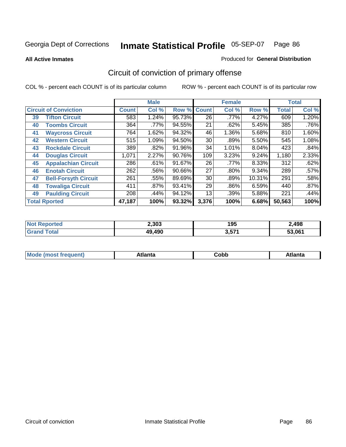**All Active Inmates**

#### Produced for **General Distribution**

# Circuit of conviction of primary offense

|    |                              |              | <b>Male</b> |        |                 | <b>Female</b> |        |              | <b>Total</b> |
|----|------------------------------|--------------|-------------|--------|-----------------|---------------|--------|--------------|--------------|
|    | <b>Circuit of Conviction</b> | <b>Count</b> | Col %       | Row %  | <b>Count</b>    | Col %         | Row %  | <b>Total</b> | Col %        |
| 39 | <b>Tifton Circuit</b>        | 583          | 1.24%       | 95.73% | $\overline{26}$ | $.77\%$       | 4.27%  | 609          | 1.20%        |
| 40 | <b>Toombs Circuit</b>        | 364          | .77%        | 94.55% | 21              | .62%          | 5.45%  | 385          | .76%         |
| 41 | <b>Waycross Circuit</b>      | 764          | 1.62%       | 94.32% | 46              | 1.36%         | 5.68%  | 810          | 1.60%        |
| 42 | <b>Western Circuit</b>       | 515          | 1.09%       | 94.50% | 30              | .89%          | 5.50%  | 545          | 1.08%        |
| 43 | <b>Rockdale Circuit</b>      | 389          | .82%        | 91.96% | 34              | 1.01%         | 8.04%  | 423          | .84%         |
| 44 | <b>Douglas Circuit</b>       | 1,071        | 2.27%       | 90.76% | 109             | 3.23%         | 9.24%  | 1,180        | 2.33%        |
| 45 | <b>Appalachian Circuit</b>   | 286          | .61%        | 91.67% | 26              | .77%          | 8.33%  | 312          | .62%         |
| 46 | <b>Enotah Circuit</b>        | 262          | .56%        | 90.66% | 27              | $.80\%$       | 9.34%  | 289          | .57%         |
| 47 | <b>Bell-Forsyth Circuit</b>  | 261          | .55%        | 89.69% | 30              | .89%          | 10.31% | 291          | .58%         |
| 48 | <b>Towaliga Circuit</b>      | 411          | $.87\%$     | 93.41% | 29              | .86%          | 6.59%  | 440          | .87%         |
| 49 | <b>Paulding Circuit</b>      | 208          | .44%        | 94.12% | 13              | .39%          | 5.88%  | 221          | .44%         |
|    | <b>Total Rported</b>         | 47,187       | 100%        | 93.32% | 3,376           | 100%          | 6.68%  | 50,563       | 100%         |

| тес | 2,303  | 195               | 2,498  |
|-----|--------|-------------------|--------|
|     | 49,490 | 2 571<br>. ו שועי | 53.061 |

| <b>M</b> ດ<br>.<br>. | $+1$ ant $\cdot$<br>ιαπιω<br>. <i>. .</i> | ∶obb<br>- - - - - | 'anta |
|----------------------|-------------------------------------------|-------------------|-------|
|----------------------|-------------------------------------------|-------------------|-------|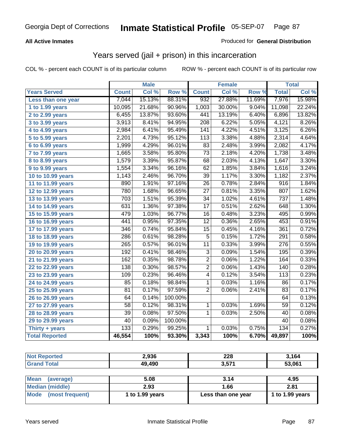### **All Active Inmates**

### Produced for **General Distribution**

### Years served (jail + prison) in this incarceration

|                              |                  | <b>Male</b> |         |                  | <b>Female</b> |        |                  | <b>Total</b> |
|------------------------------|------------------|-------------|---------|------------------|---------------|--------|------------------|--------------|
| <b>Years Served</b>          | <b>Count</b>     | Col %       | Row %   | <b>Count</b>     | Col %         | Row %  | <b>Total</b>     | Col%         |
| Less than one year           | 7,044            | 15.13%      | 88.31%  | 932              | 27.88%        | 11.69% | 7,976            | 15.98%       |
| 1 to 1.99 years              | 10,095           | 21.68%      | 90.96%  | 1,003            | 30.00%        | 9.04%  | 11,098           | 22.24%       |
| 2 to 2.99 years              | 6,455            | 13.87%      | 93.60%  | 441              | 13.19%        | 6.40%  | 6,896            | 13.82%       |
| 3 to 3.99 years              | 3,913            | 8.41%       | 94.95%  | $\overline{208}$ | 6.22%         | 5.05%  | 4,121            | 8.26%        |
| 4 to 4.99 years              | 2,984            | 6.41%       | 95.49%  | 141              | 4.22%         | 4.51%  | 3,125            | 6.26%        |
| 5 to 5.99 years              | 2,201            | 4.73%       | 95.12%  | 113              | 3.38%         | 4.88%  | 2,314            | 4.64%        |
| 6 to 6.99 years              | 1,999            | 4.29%       | 96.01%  | 83               | 2.48%         | 3.99%  | 2,082            | 4.17%        |
| $\overline{7}$ to 7.99 years | 1,665            | 3.58%       | 95.80%  | $\overline{73}$  | 2.18%         | 4.20%  | 1,738            | 3.48%        |
| 8 to 8.99 years              | 1,579            | 3.39%       | 95.87%  | 68               | 2.03%         | 4.13%  | 1,647            | 3.30%        |
| 9 to 9.99 years              | 1,554            | 3.34%       | 96.16%  | 62               | 1.85%         | 3.84%  | 1,616            | 3.24%        |
| 10 to 10.99 years            | 1,143            | 2.46%       | 96.70%  | $\overline{39}$  | 1.17%         | 3.30%  | 1,182            | 2.37%        |
| 11 to 11.99 years            | 890              | 1.91%       | 97.16%  | $\overline{26}$  | 0.78%         | 2.84%  | $\overline{916}$ | 1.84%        |
| 12 to 12.99 years            | 780              | 1.68%       | 96.65%  | $\overline{27}$  | 0.81%         | 3.35%  | 807              | 1.62%        |
| 13 to 13.99 years            | $\overline{703}$ | 1.51%       | 95.39%  | $\overline{34}$  | 1.02%         | 4.61%  | $\overline{737}$ | 1.48%        |
| 14 to 14.99 years            | 631              | 1.36%       | 97.38%  | $\overline{17}$  | 0.51%         | 2.62%  | 648              | 1.30%        |
| 15 to 15.99 years            | 479              | 1.03%       | 96.77%  | 16               | 0.48%         | 3.23%  | 495              | 0.99%        |
| 16 to 16.99 years            | 441              | 0.95%       | 97.35%  | $\overline{12}$  | 0.36%         | 2.65%  | 453              | 0.91%        |
| 17 to 17.99 years            | 346              | 0.74%       | 95.84%  | $\overline{15}$  | 0.45%         | 4.16%  | 361              | 0.72%        |
| 18 to 18.99 years            | 286              | 0.61%       | 98.28%  | $\overline{5}$   | 0.15%         | 1.72%  | 291              | 0.58%        |
| 19 to 19.99 years            | 265              | 0.57%       | 96.01%  | $\overline{11}$  | 0.33%         | 3.99%  | $\overline{276}$ | 0.55%        |
| 20 to 20.99 years            | 192              | 0.41%       | 98.46%  | $\overline{3}$   | 0.09%         | 1.54%  | 195              | 0.39%        |
| 21 to 21.99 years            | 162              | 0.35%       | 98.78%  | $\overline{2}$   | 0.06%         | 1.22%  | 164              | 0.33%        |
| 22 to 22.99 years            | 138              | 0.30%       | 98.57%  | $\overline{2}$   | 0.06%         | 1.43%  | 140              | 0.28%        |
| 23 to 23.99 years            | 109              | 0.23%       | 96.46%  | $\overline{4}$   | 0.12%         | 3.54%  | $\overline{113}$ | 0.23%        |
| 24 to 24.99 years            | 85               | 0.18%       | 98.84%  | 1                | 0.03%         | 1.16%  | 86               | 0.17%        |
| 25 to 25.99 years            | $\overline{81}$  | 0.17%       | 97.59%  | $\overline{2}$   | 0.06%         | 2.41%  | 83               | 0.17%        |
| 26 to 26.99 years            | 64               | 0.14%       | 100.00% |                  |               |        | 64               | 0.13%        |
| 27 to 27.99 years            | 58               | 0.12%       | 98.31%  | $\mathbf{1}$     | 0.03%         | 1.69%  | 59               | 0.12%        |
| 28 to 28.99 years            | $\overline{39}$  | 0.08%       | 97.50%  | 1                | 0.03%         | 2.50%  | $\overline{40}$  | 0.08%        |
| 29 to 29.99 years            | 40               | 0.09%       | 100.00% |                  |               |        | 40               | 0.08%        |
| Thirty + years               | 133              | 0.29%       | 99.25%  | $\mathbf{1}$     | 0.03%         | 0.75%  | 134              | 0.27%        |
| <b>Total Reported</b>        | 46,554           | 100%        | 93.30%  | 3,343            | 100%          | 6.70%  | 49,897           | 100%         |

| <b>Not Reported</b>            | 2.936           | 228                | 3,164           |
|--------------------------------|-----------------|--------------------|-----------------|
| <b>Grand Total</b>             | 49,490          | 3,571              | 53,061          |
|                                |                 |                    |                 |
| <b>Mean</b><br>(average)       | 5.08            | 3.14               | 4.95            |
| <b>Median (middle)</b>         | 2.93            | 1.66               | 2.81            |
| <b>Mode</b><br>(most frequent) | 1 to 1.99 years | Less than one year | 1 to 1.99 years |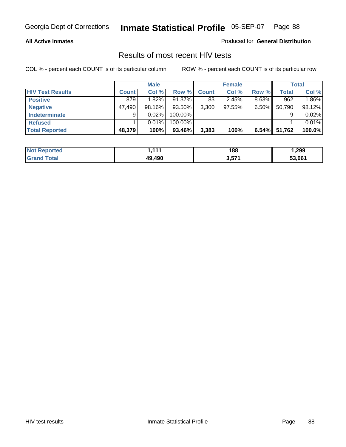#### **All Active Inmates**

Produced for **General Distribution**

### Results of most recent HIV tests

|                         |              | <b>Male</b> |         |              | <b>Female</b> |          |              | Total  |
|-------------------------|--------------|-------------|---------|--------------|---------------|----------|--------------|--------|
| <b>HIV Test Results</b> | <b>Count</b> | Col %       | Row %   | <b>Count</b> | Col %         | Row %    | <b>Total</b> | Col %  |
| <b>Positive</b>         | 879          | $1.82\%$    | 91.37%  | 83           | 2.45%         | $8.63\%$ | 962          | 1.86%  |
| <b>Negative</b>         | 47,490       | 98.16%      | 93.50%  | 3,300        | 97.55%        | $6.50\%$ | 50,790       | 98.12% |
| <b>Indeterminate</b>    | 9            | 0.02%       | 100.00% |              |               |          |              | 0.02%  |
| <b>Refused</b>          |              | 0.01%       | 100.00% |              |               |          |              | 0.01%  |
| <b>Total Reported</b>   | 48,379       | 100%        | 93.46%  | 3,383        | 100%          | 6.54%    | 51,762       | 100.0% |

| <b>Not Reported</b>   | 444    | 188   | 299, ا |
|-----------------------|--------|-------|--------|
| <b>Grand</b><br>Total | 49.490 | 3,571 | 53,061 |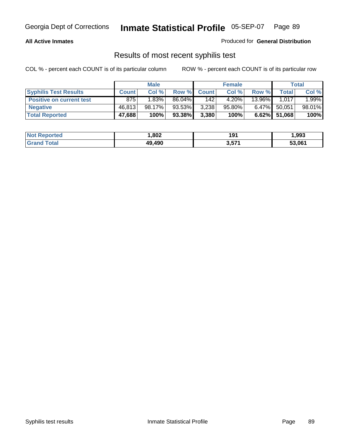#### **All Active Inmates**

Produced for **General Distribution**

### Results of most recent syphilis test

|                                 |              | <b>Male</b> |        |                  | <b>Female</b> |          |              | Total  |
|---------------------------------|--------------|-------------|--------|------------------|---------------|----------|--------------|--------|
| <b>Syphilis Test Results</b>    | <b>Count</b> | Col %       | Row %  | <b>Count</b>     | Col %         | Row %    | $\tau$ otal  | Col %  |
| <b>Positive on current test</b> | 875          | 1.83%       | 86.04% | 142 <sub>1</sub> | 4.20%         | 13.96%   | 1.017        | 1.99%  |
| <b>Negative</b>                 | 46,813       | $98.17\%$   | 93.53% | 3,238            | $95.80\%$     | $6.47\%$ | 50,051       | 98.01% |
| <b>Total Reported</b>           | 47,688       | 100%        | 93.38% | 3,380            | 100%          |          | 6.62% 51,068 | 100%   |

| <b>Not Reported</b> | .802   | 191   | 993. ا |
|---------------------|--------|-------|--------|
| <b>Grand Total</b>  | 49.490 | 3,571 | 53,061 |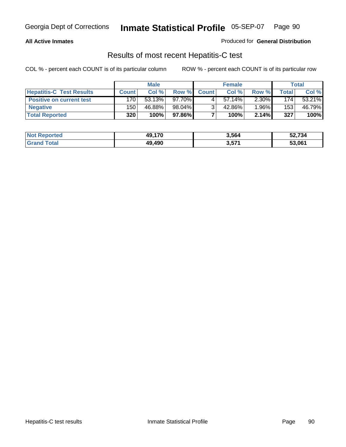#### **All Active Inmates**

Produced for **General Distribution**

### Results of most recent Hepatitis-C test

|                                 |              | <b>Male</b> |         |              | <b>Female</b> |          |             | Total  |
|---------------------------------|--------------|-------------|---------|--------------|---------------|----------|-------------|--------|
| <b>Hepatitis-C Test Results</b> | <b>Count</b> | Col %       | Row %I  | <b>Count</b> | Col %         | Row %    | $\tau$ otal | Col %  |
| <b>Positive on current test</b> | 170          | 53.13%      | 97.70%I |              | $57.14\%$     | $2.30\%$ | 174         | 53.21% |
| <b>Negative</b>                 | 150          | 46.88%      | 98.04%  |              | 42.86%        | $1.96\%$ | 153         | 46.79% |
| <b>Total Reported</b>           | 320          | 100%        | 97.86%  |              | 100%          | 2.14%    | 327         | 100%   |

| <b>Not Reported</b> | 49,170 | 3,564 | 52,734 |
|---------------------|--------|-------|--------|
| <b>Grand Total</b>  | 49.490 | 3,571 | 53,061 |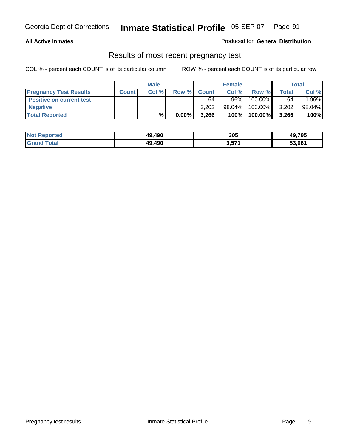#### **All Active Inmates**

#### Produced for **General Distribution**

### Results of most recent pregnancy test

|                                 |              | <b>Male</b> |          |              | <b>Female</b> |         |       | Total  |
|---------------------------------|--------------|-------------|----------|--------------|---------------|---------|-------|--------|
| <b>Pregnancy Test Results</b>   | <b>Count</b> | Col %       | Row %    | <b>Count</b> | Col %         | Row %   | Total | Col %  |
| <b>Positive on current test</b> |              |             |          | 64           | $1.96\%$      | 100.00% | 64    | 1.96%  |
| <b>Negative</b>                 |              |             |          | 3.202        | 98.04%        | 100.00% | 3,202 | 98.04% |
| <b>Total Reported</b>           |              | $\%$        | $0.00\%$ | 3,266        | 100%          | 100.00% | 3,266 | 100%   |

| <b>Not Reported</b> | 49.490 | 305   | 49,795 |
|---------------------|--------|-------|--------|
| <b>Grand Total</b>  | 49.490 | 3,571 | 53,061 |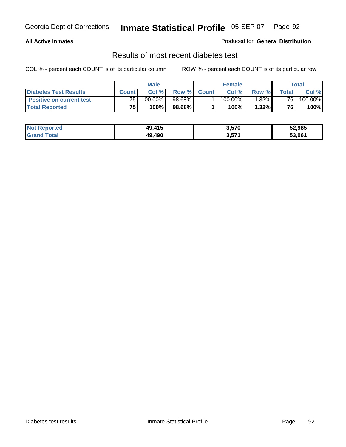#### **All Active Inmates**

#### Produced for **General Distribution**

### Results of most recent diabetes test

|                                 | <b>Male</b>     |         |        | <b>Female</b> |            |          | Total |         |
|---------------------------------|-----------------|---------|--------|---------------|------------|----------|-------|---------|
| <b>Diabetes Test Results</b>    | Count           | Col %   | Row %  | <b>Count</b>  | Col %      | Row %I   | Total | Col %   |
| <b>Positive on current test</b> | 75 <sub>1</sub> | 100.00% | 98.68% |               | $100.00\%$ | $1.32\%$ | 761   | 100.00% |
| <b>Total Reported</b>           | 75              | 100%    | 98.68% |               | 100%       | 1.32%    | 76    | 100%    |

| Not R<br>: Reported   | 49.415 | 3,570 | 52,985 |
|-----------------------|--------|-------|--------|
| Total<br><b>Grand</b> | 49.490 | 3,57' | 53,061 |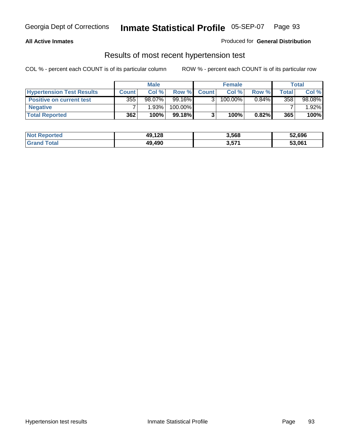#### **All Active Inmates**

#### Produced for **General Distribution**

### Results of most recent hypertension test

|                                  |              | <b>Male</b> |           |              | <b>Female</b> |          |       | <b>Total</b> |
|----------------------------------|--------------|-------------|-----------|--------------|---------------|----------|-------|--------------|
| <b>Hypertension Test Results</b> | <b>Count</b> | Col %       | Row %     | <b>Count</b> | Col%          | Row %    | Total | Col %        |
| <b>Positive on current test</b>  | 355          | $98.07\%$   | 99.16%    |              | 100.00%       | $0.84\%$ | 358   | 98.08%       |
| <b>Negative</b>                  |              | 1.93%       | 100.00%   |              |               |          |       | $.92\%$      |
| <b>Total Reported</b>            | 362          | 100%        | $99.18\%$ |              | 100%          | $0.82\%$ | 365   | 100%         |

| <b>Not Reported</b> | 49,128 | 3,568 | 52,696 |
|---------------------|--------|-------|--------|
| <b>Grand Total</b>  | 49,490 | 3,571 | 53,061 |